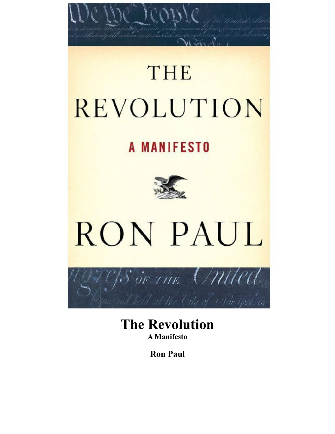

## THE REVOLUTION

### **A MANIFESTO**



# RON PAUL

#Cf8 ör vne (/Mtted)

and held at the City of New York in

#### **The Revolution A Manifesto**

**Ron Paul**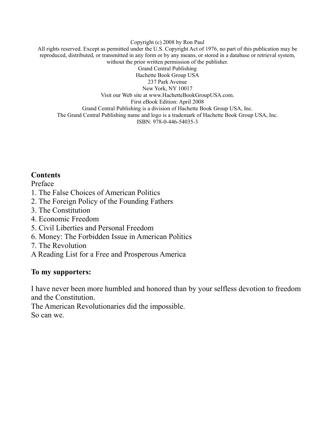Copyright (c) 2008 by Ron Paul All rights reserved. Except as permitted under the U.S. Copyright Act of 1976, no part of this publication may be reproduced, distributed, or transmitted in any form or by any means, or stored in a database or retrieval system, without the prior written permission of the publisher.

Grand Central Publishing Hachette Book Group USA 237 Park Avenue New York, NY 10017 Visit our Web site at www.HachetteBookGroupUSA.com. First eBook Edition: April 2008 Grand Central Publishing is a division of Hachette Book Group USA, Inc. The Grand Central Publishing name and logo is a trademark of Hachette Book Group USA, Inc. ISBN: 978-0-446-54035-3

#### **Contents**

#### Preface

- 1. The False Choices of American Politics
- 2. The Foreign Policy of the Founding Fathers
- 3. The Constitution
- 4. Economic Freedom
- 5. Civil Liberties and Personal Freedom
- 6. Money: The Forbidden Issue in American Politics
- 7. The Revolution
- A Reading List for a Free and Prosperous America

#### **To my supporters:**

I have never been more humbled and honored than by your selfless devotion to freedom and the Constitution.

The American Revolutionaries did the impossible. So can we.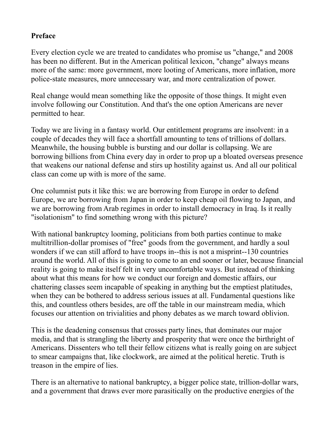#### **Preface**

Every election cycle we are treated to candidates who promise us "change," and 2008 has been no different. But in the American political lexicon, "change" always means more of the same: more government, more looting of Americans, more inflation, more police-state measures, more unnecessary war, and more centralization of power.

Real change would mean something like the opposite of those things. It might even involve following our Constitution. And that's the one option Americans are never permitted to hear.

Today we are living in a fantasy world. Our entitlement programs are insolvent: in a couple of decades they will face a shortfall amounting to tens of trillions of dollars. Meanwhile, the housing bubble is bursting and our dollar is collapsing. We are borrowing billions from China every day in order to prop up a bloated overseas presence that weakens our national defense and stirs up hostility against us. And all our political class can come up with is more of the same.

One columnist puts it like this: we are borrowing from Europe in order to defend Europe, we are borrowing from Japan in order to keep cheap oil flowing to Japan, and we are borrowing from Arab regimes in order to install democracy in Iraq. Is it really "isolationism" to find something wrong with this picture?

With national bankruptcy looming, politicians from both parties continue to make multitrillion-dollar promises of "free" goods from the government, and hardly a soul wonders if we can still afford to have troops in--this is not a misprint--130 countries around the world. All of this is going to come to an end sooner or later, because financial reality is going to make itself felt in very uncomfortable ways. But instead of thinking about what this means for how we conduct our foreign and domestic affairs, our chattering classes seem incapable of speaking in anything but the emptiest platitudes, when they can be bothered to address serious issues at all. Fundamental questions like this, and countless others besides, are off the table in our mainstream media, which focuses our attention on trivialities and phony debates as we march toward oblivion.

This is the deadening consensus that crosses party lines, that dominates our major media, and that is strangling the liberty and prosperity that were once the birthright of Americans. Dissenters who tell their fellow citizens what is really going on are subject to smear campaigns that, like clockwork, are aimed at the political heretic. Truth is treason in the empire of lies.

There is an alternative to national bankruptcy, a bigger police state, trillion-dollar wars, and a government that draws ever more parasitically on the productive energies of the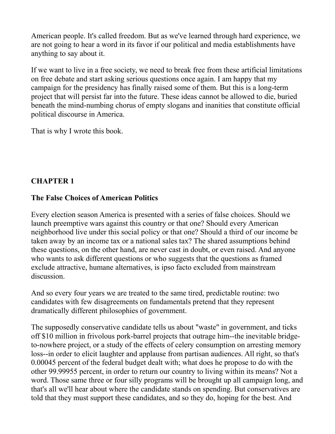American people. It's called freedom. But as we've learned through hard experience, we are not going to hear a word in its favor if our political and media establishments have anything to say about it.

If we want to live in a free society, we need to break free from these artificial limitations on free debate and start asking serious questions once again. I am happy that my campaign for the presidency has finally raised some of them. But this is a long-term project that will persist far into the future. These ideas cannot be allowed to die, buried beneath the mind-numbing chorus of empty slogans and inanities that constitute official political discourse in America.

That is why I wrote this book.

#### **CHAPTER 1**

#### **The False Choices of American Politics**

Every election season America is presented with a series of false choices. Should we launch preemptive wars against this country or that one? Should every American neighborhood live under this social policy or that one? Should a third of our income be taken away by an income tax or a national sales tax? The shared assumptions behind these questions, on the other hand, are never cast in doubt, or even raised. And anyone who wants to ask different questions or who suggests that the questions as framed exclude attractive, humane alternatives, is ipso facto excluded from mainstream discussion.

And so every four years we are treated to the same tired, predictable routine: two candidates with few disagreements on fundamentals pretend that they represent dramatically different philosophies of government.

The supposedly conservative candidate tells us about "waste" in government, and ticks off \$10 million in frivolous pork-barrel projects that outrage him--the inevitable bridgeto-nowhere project, or a study of the effects of celery consumption on arresting memory loss--in order to elicit laughter and applause from partisan audiences. All right, so that's 0.00045 percent of the federal budget dealt with; what does he propose to do with the other 99.99955 percent, in order to return our country to living within its means? Not a word. Those same three or four silly programs will be brought up all campaign long, and that's all we'll hear about where the candidate stands on spending. But conservatives are told that they must support these candidates, and so they do, hoping for the best. And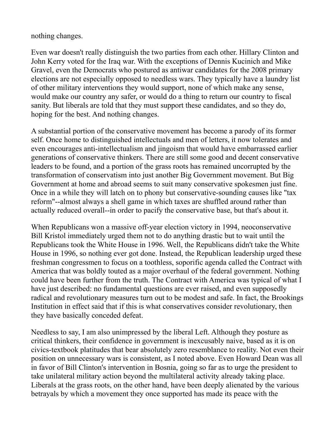nothing changes.

Even war doesn't really distinguish the two parties from each other. Hillary Clinton and John Kerry voted for the Iraq war. With the exceptions of Dennis Kucinich and Mike Gravel, even the Democrats who postured as antiwar candidates for the 2008 primary elections are not especially opposed to needless wars. They typically have a laundry list of other military interventions they would support, none of which make any sense, would make our country any safer, or would do a thing to return our country to fiscal sanity. But liberals are told that they must support these candidates, and so they do, hoping for the best. And nothing changes.

A substantial portion of the conservative movement has become a parody of its former self. Once home to distinguished intellectuals and men of letters, it now tolerates and even encourages anti-intellectualism and jingoism that would have embarrassed earlier generations of conservative thinkers. There are still some good and decent conservative leaders to be found, and a portion of the grass roots has remained uncorrupted by the transformation of conservatism into just another Big Government movement. But Big Government at home and abroad seems to suit many conservative spokesmen just fine. Once in a while they will latch on to phony but conservative-sounding causes like "tax reform"--almost always a shell game in which taxes are shuffled around rather than actually reduced overall--in order to pacify the conservative base, but that's about it.

When Republicans won a massive off-year election victory in 1994, neoconservative Bill Kristol immediately urged them not to do anything drastic but to wait until the Republicans took the White House in 1996. Well, the Republicans didn't take the White House in 1996, so nothing ever got done. Instead, the Republican leadership urged these freshman congressmen to focus on a toothless, soporific agenda called the Contract with America that was boldly touted as a major overhaul of the federal government. Nothing could have been further from the truth. The Contract with America was typical of what I have just described: no fundamental questions are ever raised, and even supposedly radical and revolutionary measures turn out to be modest and safe. In fact, the Brookings Institution in effect said that if this is what conservatives consider revolutionary, then they have basically conceded defeat.

Needless to say, I am also unimpressed by the liberal Left. Although they posture as critical thinkers, their confidence in government is inexcusably naive, based as it is on civics-textbook platitudes that bear absolutely zero resemblance to reality. Not even their position on unnecessary wars is consistent, as I noted above. Even Howard Dean was all in favor of Bill Clinton's intervention in Bosnia, going so far as to urge the president to take unilateral military action beyond the multilateral activity already taking place. Liberals at the grass roots, on the other hand, have been deeply alienated by the various betrayals by which a movement they once supported has made its peace with the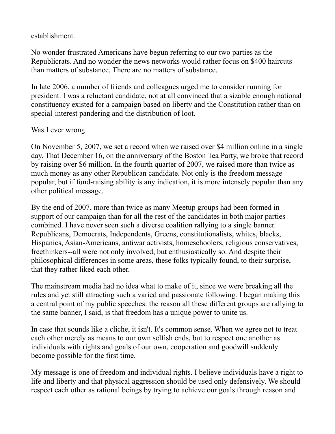establishment.

No wonder frustrated Americans have begun referring to our two parties as the Republicrats. And no wonder the news networks would rather focus on \$400 haircuts than matters of substance. There are no matters of substance.

In late 2006, a number of friends and colleagues urged me to consider running for president. I was a reluctant candidate, not at all convinced that a sizable enough national constituency existed for a campaign based on liberty and the Constitution rather than on special-interest pandering and the distribution of loot.

Was I ever wrong.

On November 5, 2007, we set a record when we raised over \$4 million online in a single day. That December 16, on the anniversary of the Boston Tea Party, we broke that record by raising over \$6 million. In the fourth quarter of 2007, we raised more than twice as much money as any other Republican candidate. Not only is the freedom message popular, but if fund-raising ability is any indication, it is more intensely popular than any other political message.

By the end of 2007, more than twice as many Meetup groups had been formed in support of our campaign than for all the rest of the candidates in both major parties combined. I have never seen such a diverse coalition rallying to a single banner. Republicans, Democrats, Independents, Greens, constitutionalists, whites, blacks, Hispanics, Asian-Americans, antiwar activists, homeschoolers, religious conservatives, freethinkers--all were not only involved, but enthusiastically so. And despite their philosophical differences in some areas, these folks typically found, to their surprise, that they rather liked each other.

The mainstream media had no idea what to make of it, since we were breaking all the rules and yet still attracting such a varied and passionate following. I began making this a central point of my public speeches: the reason all these different groups are rallying to the same banner, I said, is that freedom has a unique power to unite us.

In case that sounds like a cliche, it isn't. It's common sense. When we agree not to treat each other merely as means to our own selfish ends, but to respect one another as individuals with rights and goals of our own, cooperation and goodwill suddenly become possible for the first time.

My message is one of freedom and individual rights. I believe individuals have a right to life and liberty and that physical aggression should be used only defensively. We should respect each other as rational beings by trying to achieve our goals through reason and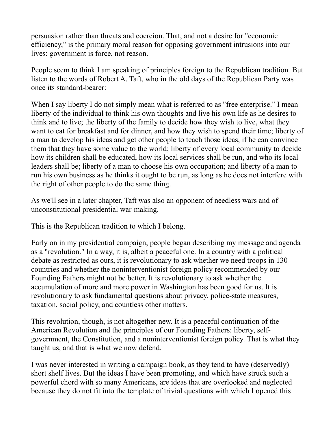persuasion rather than threats and coercion. That, and not a desire for "economic efficiency," is the primary moral reason for opposing government intrusions into our lives: government is force, not reason.

People seem to think I am speaking of principles foreign to the Republican tradition. But listen to the words of Robert A. Taft, who in the old days of the Republican Party was once its standard-bearer:

When I say liberty I do not simply mean what is referred to as "free enterprise." I mean liberty of the individual to think his own thoughts and live his own life as he desires to think and to live; the liberty of the family to decide how they wish to live, what they want to eat for breakfast and for dinner, and how they wish to spend their time; liberty of a man to develop his ideas and get other people to teach those ideas, if he can convince them that they have some value to the world; liberty of every local community to decide how its children shall be educated, how its local services shall be run, and who its local leaders shall be; liberty of a man to choose his own occupation; and liberty of a man to run his own business as he thinks it ought to be run, as long as he does not interfere with the right of other people to do the same thing.

As we'll see in a later chapter, Taft was also an opponent of needless wars and of unconstitutional presidential war-making.

This is the Republican tradition to which I belong.

Early on in my presidential campaign, people began describing my message and agenda as a "revolution." In a way, it is, albeit a peaceful one. In a country with a political debate as restricted as ours, it is revolutionary to ask whether we need troops in 130 countries and whether the noninterventionist foreign policy recommended by our Founding Fathers might not be better. It is revolutionary to ask whether the accumulation of more and more power in Washington has been good for us. It is revolutionary to ask fundamental questions about privacy, police-state measures, taxation, social policy, and countless other matters.

This revolution, though, is not altogether new. It is a peaceful continuation of the American Revolution and the principles of our Founding Fathers: liberty, selfgovernment, the Constitution, and a noninterventionist foreign policy. That is what they taught us, and that is what we now defend.

I was never interested in writing a campaign book, as they tend to have (deservedly) short shelf lives. But the ideas I have been promoting, and which have struck such a powerful chord with so many Americans, are ideas that are overlooked and neglected because they do not fit into the template of trivial questions with which I opened this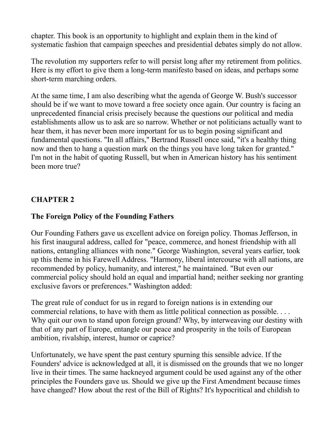chapter. This book is an opportunity to highlight and explain them in the kind of systematic fashion that campaign speeches and presidential debates simply do not allow.

The revolution my supporters refer to will persist long after my retirement from politics. Here is my effort to give them a long-term manifesto based on ideas, and perhaps some short-term marching orders.

At the same time, I am also describing what the agenda of George W. Bush's successor should be if we want to move toward a free society once again. Our country is facing an unprecedented financial crisis precisely because the questions our political and media establishments allow us to ask are so narrow. Whether or not politicians actually want to hear them, it has never been more important for us to begin posing significant and fundamental questions. "In all affairs," Bertrand Russell once said, "it's a healthy thing now and then to hang a question mark on the things you have long taken for granted." I'm not in the habit of quoting Russell, but when in American history has his sentiment been more true?

#### **CHAPTER 2**

#### **The Foreign Policy of the Founding Fathers**

Our Founding Fathers gave us excellent advice on foreign policy. Thomas Jefferson, in his first inaugural address, called for "peace, commerce, and honest friendship with all nations, entangling alliances with none." George Washington, several years earlier, took up this theme in his Farewell Address. "Harmony, liberal intercourse with all nations, are recommended by policy, humanity, and interest," he maintained. "But even our commercial policy should hold an equal and impartial hand; neither seeking nor granting exclusive favors or preferences." Washington added:

The great rule of conduct for us in regard to foreign nations is in extending our commercial relations, to have with them as little political connection as possible. . . . Why quit our own to stand upon foreign ground? Why, by interweaving our destiny with that of any part of Europe, entangle our peace and prosperity in the toils of European ambition, rivalship, interest, humor or caprice?

Unfortunately, we have spent the past century spurning this sensible advice. If the Founders' advice is acknowledged at all, it is dismissed on the grounds that we no longer live in their times. The same hackneyed argument could be used against any of the other principles the Founders gave us. Should we give up the First Amendment because times have changed? How about the rest of the Bill of Rights? It's hypocritical and childish to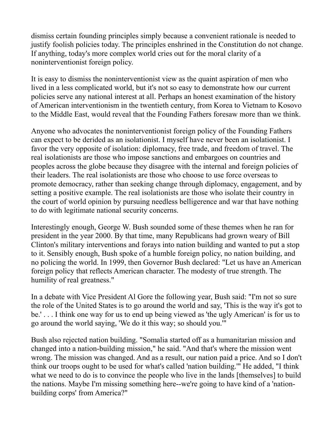dismiss certain founding principles simply because a convenient rationale is needed to justify foolish policies today. The principles enshrined in the Constitution do not change. If anything, today's more complex world cries out for the moral clarity of a noninterventionist foreign policy.

It is easy to dismiss the noninterventionist view as the quaint aspiration of men who lived in a less complicated world, but it's not so easy to demonstrate how our current policies serve any national interest at all. Perhaps an honest examination of the history of American interventionism in the twentieth century, from Korea to Vietnam to Kosovo to the Middle East, would reveal that the Founding Fathers foresaw more than we think.

Anyone who advocates the noninterventionist foreign policy of the Founding Fathers can expect to be derided as an isolationist. I myself have never been an isolationist. I favor the very opposite of isolation: diplomacy, free trade, and freedom of travel. The real isolationists are those who impose sanctions and embargoes on countries and peoples across the globe because they disagree with the internal and foreign policies of their leaders. The real isolationists are those who choose to use force overseas to promote democracy, rather than seeking change through diplomacy, engagement, and by setting a positive example. The real isolationists are those who isolate their country in the court of world opinion by pursuing needless belligerence and war that have nothing to do with legitimate national security concerns.

Interestingly enough, George W. Bush sounded some of these themes when he ran for president in the year 2000. By that time, many Republicans had grown weary of Bill Clinton's military interventions and forays into nation building and wanted to put a stop to it. Sensibly enough, Bush spoke of a humble foreign policy, no nation building, and no policing the world. In 1999, then Governor Bush declared: "Let us have an American foreign policy that reflects American character. The modesty of true strength. The humility of real greatness."

In a debate with Vice President Al Gore the following year, Bush said: "I'm not so sure the role of the United States is to go around the world and say, 'This is the way it's got to be.' . . . I think one way for us to end up being viewed as 'the ugly American' is for us to go around the world saying, 'We do it this way; so should you.'"

Bush also rejected nation building. "Somalia started off as a humanitarian mission and changed into a nation-building mission," he said. "And that's where the mission went wrong. The mission was changed. And as a result, our nation paid a price. And so I don't think our troops ought to be used for what's called 'nation building.'" He added, "I think what we need to do is to convince the people who live in the lands [themselves] to build the nations. Maybe I'm missing something here--we're going to have kind of a 'nationbuilding corps' from America?"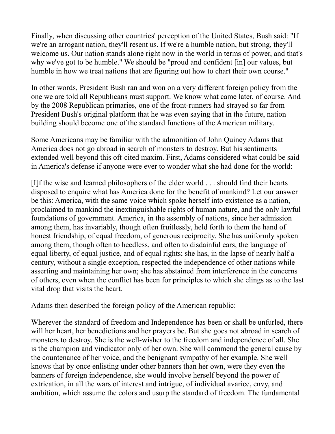Finally, when discussing other countries' perception of the United States, Bush said: "If we're an arrogant nation, they'll resent us. If we're a humble nation, but strong, they'll welcome us. Our nation stands alone right now in the world in terms of power, and that's why we've got to be humble." We should be "proud and confident [in] our values, but humble in how we treat nations that are figuring out how to chart their own course."

In other words, President Bush ran and won on a very different foreign policy from the one we are told all Republicans must support. We know what came later, of course. And by the 2008 Republican primaries, one of the front-runners had strayed so far from President Bush's original platform that he was even saying that in the future, nation building should become one of the standard functions of the American military.

Some Americans may be familiar with the admonition of John Quincy Adams that America does not go abroad in search of monsters to destroy. But his sentiments extended well beyond this oft-cited maxim. First, Adams considered what could be said in America's defense if anyone were ever to wonder what she had done for the world:

[I]f the wise and learned philosophers of the elder world . . . should find their hearts disposed to enquire what has America done for the benefit of mankind? Let our answer be this: America, with the same voice which spoke herself into existence as a nation, proclaimed to mankind the inextinguishable rights of human nature, and the only lawful foundations of government. America, in the assembly of nations, since her admission among them, has invariably, though often fruitlessly, held forth to them the hand of honest friendship, of equal freedom, of generous reciprocity. She has uniformly spoken among them, though often to heedless, and often to disdainful ears, the language of equal liberty, of equal justice, and of equal rights; she has, in the lapse of nearly half a century, without a single exception, respected the independence of other nations while asserting and maintaining her own; she has abstained from interference in the concerns of others, even when the conflict has been for principles to which she clings as to the last vital drop that visits the heart.

Adams then described the foreign policy of the American republic:

Wherever the standard of freedom and Independence has been or shall be unfurled, there will her heart, her benedictions and her prayers be. But she goes not abroad in search of monsters to destroy. She is the well-wisher to the freedom and independence of all. She is the champion and vindicator only of her own. She will commend the general cause by the countenance of her voice, and the benignant sympathy of her example. She well knows that by once enlisting under other banners than her own, were they even the banners of foreign independence, she would involve herself beyond the power of extrication, in all the wars of interest and intrigue, of individual avarice, envy, and ambition, which assume the colors and usurp the standard of freedom. The fundamental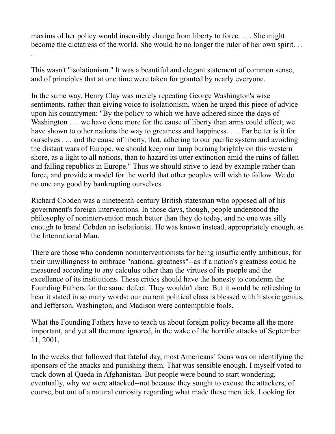maxims of her policy would insensibly change from liberty to force. . . . She might become the dictatress of the world. She would be no longer the ruler of her own spirit. . .

This wasn't "isolationism." It was a beautiful and elegant statement of common sense, and of principles that at one time were taken for granted by nearly everyone.

.

In the same way, Henry Clay was merely repeating George Washington's wise sentiments, rather than giving voice to isolationism, when he urged this piece of advice upon his countrymen: "By the policy to which we have adhered since the days of Washington . . . we have done more for the cause of liberty than arms could effect; we have shown to other nations the way to greatness and happiness. . . . Far better is it for ourselves . . . and the cause of liberty, that, adhering to our pacific system and avoiding the distant wars of Europe, we should keep our lamp burning brightly on this western shore, as a light to all nations, than to hazard its utter extinction amid the ruins of fallen and falling republics in Europe." Thus we should strive to lead by example rather than force, and provide a model for the world that other peoples will wish to follow. We do no one any good by bankrupting ourselves.

Richard Cobden was a nineteenth-century British statesman who opposed all of his government's foreign interventions. In those days, though, people understood the philosophy of nonintervention much better than they do today, and no one was silly enough to brand Cobden an isolationist. He was known instead, appropriately enough, as the International Man.

There are those who condemn noninterventionists for being insufficiently ambitious, for their unwillingness to embrace "national greatness"--as if a nation's greatness could be measured according to any calculus other than the virtues of its people and the excellence of its institutions. These critics should have the honesty to condemn the Founding Fathers for the same defect. They wouldn't dare. But it would be refreshing to hear it stated in so many words: our current political class is blessed with historic genius, and Jefferson, Washington, and Madison were contemptible fools.

What the Founding Fathers have to teach us about foreign policy became all the more important, and yet all the more ignored, in the wake of the horrific attacks of September 11, 2001.

In the weeks that followed that fateful day, most Americans' focus was on identifying the sponsors of the attacks and punishing them. That was sensible enough. I myself voted to track down al Qaeda in Afghanistan. But people were bound to start wondering, eventually, why we were attacked--not because they sought to excuse the attackers, of course, but out of a natural curiosity regarding what made these men tick. Looking for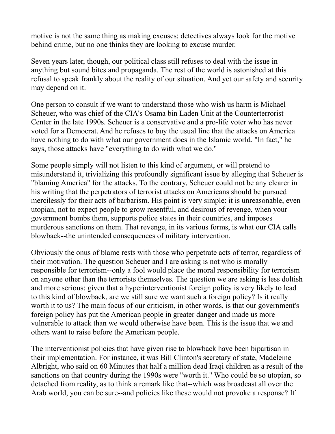motive is not the same thing as making excuses; detectives always look for the motive behind crime, but no one thinks they are looking to excuse murder.

Seven years later, though, our political class still refuses to deal with the issue in anything but sound bites and propaganda. The rest of the world is astonished at this refusal to speak frankly about the reality of our situation. And yet our safety and security may depend on it.

One person to consult if we want to understand those who wish us harm is Michael Scheuer, who was chief of the CIA's Osama bin Laden Unit at the Counterterrorist Center in the late 1990s. Scheuer is a conservative and a pro-life voter who has never voted for a Democrat. And he refuses to buy the usual line that the attacks on America have nothing to do with what our government does in the Islamic world. "In fact," he says, those attacks have "everything to do with what we do."

Some people simply will not listen to this kind of argument, or will pretend to misunderstand it, trivializing this profoundly significant issue by alleging that Scheuer is "blaming America" for the attacks. To the contrary, Scheuer could not be any clearer in his writing that the perpetrators of terrorist attacks on Americans should be pursued mercilessly for their acts of barbarism. His point is very simple: it is unreasonable, even utopian, not to expect people to grow resentful, and desirous of revenge, when your government bombs them, supports police states in their countries, and imposes murderous sanctions on them. That revenge, in its various forms, is what our CIA calls blowback--the unintended consequences of military intervention.

Obviously the onus of blame rests with those who perpetrate acts of terror, regardless of their motivation. The question Scheuer and I are asking is not who is morally responsible for terrorism--only a fool would place the moral responsibility for terrorism on anyone other than the terrorists themselves. The question we are asking is less doltish and more serious: given that a hyperinterventionist foreign policy is very likely to lead to this kind of blowback, are we still sure we want such a foreign policy? Is it really worth it to us? The main focus of our criticism, in other words, is that our government's foreign policy has put the American people in greater danger and made us more vulnerable to attack than we would otherwise have been. This is the issue that we and others want to raise before the American people.

The interventionist policies that have given rise to blowback have been bipartisan in their implementation. For instance, it was Bill Clinton's secretary of state, Madeleine Albright, who said on 60 Minutes that half a million dead Iraqi children as a result of the sanctions on that country during the 1990s were "worth it." Who could be so utopian, so detached from reality, as to think a remark like that--which was broadcast all over the Arab world, you can be sure--and policies like these would not provoke a response? If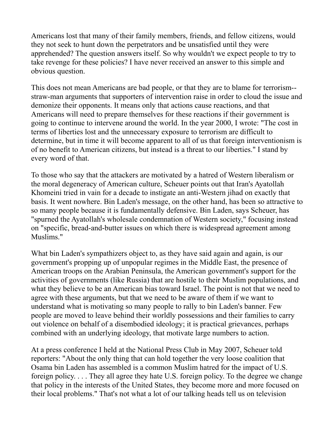Americans lost that many of their family members, friends, and fellow citizens, would they not seek to hunt down the perpetrators and be unsatisfied until they were apprehended? The question answers itself. So why wouldn't we expect people to try to take revenge for these policies? I have never received an answer to this simple and obvious question.

This does not mean Americans are bad people, or that they are to blame for terrorism- straw-man arguments that supporters of intervention raise in order to cloud the issue and demonize their opponents. It means only that actions cause reactions, and that Americans will need to prepare themselves for these reactions if their government is going to continue to intervene around the world. In the year 2000, I wrote: "The cost in terms of liberties lost and the unnecessary exposure to terrorism are difficult to determine, but in time it will become apparent to all of us that foreign interventionism is of no benefit to American citizens, but instead is a threat to our liberties." I stand by every word of that.

To those who say that the attackers are motivated by a hatred of Western liberalism or the moral degeneracy of American culture, Scheuer points out that Iran's Ayatollah Khomeini tried in vain for a decade to instigate an anti-Western jihad on exactly that basis. It went nowhere. Bin Laden's message, on the other hand, has been so attractive to so many people because it is fundamentally defensive. Bin Laden, says Scheuer, has "spurned the Ayatollah's wholesale condemnation of Western society," focusing instead on "specific, bread-and-butter issues on which there is widespread agreement among Muslims."

What bin Laden's sympathizers object to, as they have said again and again, is our government's propping up of unpopular regimes in the Middle East, the presence of American troops on the Arabian Peninsula, the American government's support for the activities of governments (like Russia) that are hostile to their Muslim populations, and what they believe to be an American bias toward Israel. The point is not that we need to agree with these arguments, but that we need to be aware of them if we want to understand what is motivating so many people to rally to bin Laden's banner. Few people are moved to leave behind their worldly possessions and their families to carry out violence on behalf of a disembodied ideology; it is practical grievances, perhaps combined with an underlying ideology, that motivate large numbers to action.

At a press conference I held at the National Press Club in May 2007, Scheuer told reporters: "About the only thing that can hold together the very loose coalition that Osama bin Laden has assembled is a common Muslim hatred for the impact of U.S. foreign policy. . . . They all agree they hate U.S. foreign policy. To the degree we change that policy in the interests of the United States, they become more and more focused on their local problems." That's not what a lot of our talking heads tell us on television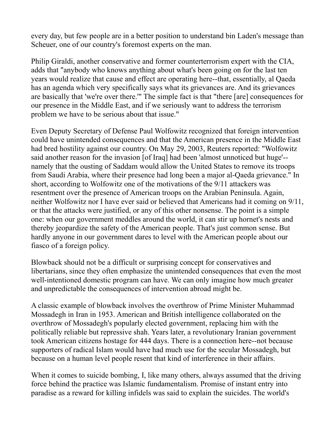every day, but few people are in a better position to understand bin Laden's message than Scheuer, one of our country's foremost experts on the man.

Philip Giraldi, another conservative and former counterterrorism expert with the CIA, adds that "anybody who knows anything about what's been going on for the last ten years would realize that cause and effect are operating here--that, essentially, al Qaeda has an agenda which very specifically says what its grievances are. And its grievances are basically that 'we're over there.'" The simple fact is that "there [are] consequences for our presence in the Middle East, and if we seriously want to address the terrorism problem we have to be serious about that issue."

Even Deputy Secretary of Defense Paul Wolfowitz recognized that foreign intervention could have unintended consequences and that the American presence in the Middle East had bred hostility against our country. On May 29, 2003, Reuters reported: "Wolfowitz said another reason for the invasion [of Iraq] had been 'almost unnoticed but huge'- namely that the ousting of Saddam would allow the United States to remove its troops from Saudi Arabia, where their presence had long been a major al-Qaeda grievance." In short, according to Wolfowitz one of the motivations of the 9/11 attackers was resentment over the presence of American troops on the Arabian Peninsula. Again, neither Wolfowitz nor I have ever said or believed that Americans had it coming on 9/11, or that the attacks were justified, or any of this other nonsense. The point is a simple one: when our government meddles around the world, it can stir up hornet's nests and thereby jeopardize the safety of the American people. That's just common sense. But hardly anyone in our government dares to level with the American people about our fiasco of a foreign policy.

Blowback should not be a difficult or surprising concept for conservatives and libertarians, since they often emphasize the unintended consequences that even the most well-intentioned domestic program can have. We can only imagine how much greater and unpredictable the consequences of intervention abroad might be.

A classic example of blowback involves the overthrow of Prime Minister Muhammad Mossadegh in Iran in 1953. American and British intelligence collaborated on the overthrow of Mossadegh's popularly elected government, replacing him with the politically reliable but repressive shah. Years later, a revolutionary Iranian government took American citizens hostage for 444 days. There is a connection here--not because supporters of radical Islam would have had much use for the secular Mossadegh, but because on a human level people resent that kind of interference in their affairs.

When it comes to suicide bombing, I, like many others, always assumed that the driving force behind the practice was Islamic fundamentalism. Promise of instant entry into paradise as a reward for killing infidels was said to explain the suicides. The world's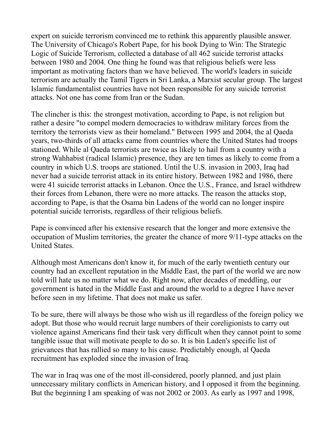expert on suicide terrorism convinced me to rethink this apparently plausible answer. The University of Chicago's Robert Pape, for his book Dying to Win: The Strategic Logic of Suicide Terrorism, collected a database of all 462 suicide terrorist attacks between 1980 and 2004. One thing he found was that religious beliefs were less important as motivating factors than we have believed. The world's leaders in suicide terrorism are actually the Tamil Tigers in Sri Lanka, a Marxist secular group. The largest Islamic fundamentalist countries have not been responsible for any suicide terrorist attacks. Not one has come from Iran or the Sudan.

The clincher is this: the strongest motivation, according to Pape, is not religion but rather a desire "to compel modern democracies to withdraw military forces from the territory the terrorists view as their homeland." Between 1995 and 2004, the al Qaeda years, two-thirds of all attacks came from countries where the United States had troops stationed. While al Qaeda terrorists are twice as likely to hail from a country with a strong Wahhabist (radical Islamic) presence, they are ten times as likely to come from a country in which U.S. troops are stationed. Until the U.S. invasion in 2003, Iraq had never had a suicide terrorist attack in its entire history. Between 1982 and 1986, there were 41 suicide terrorist attacks in Lebanon. Once the U.S., France, and Israel withdrew their forces from Lebanon, there were no more attacks. The reason the attacks stop, according to Pape, is that the Osama bin Ladens of the world can no longer inspire potential suicide terrorists, regardless of their religious beliefs.

Pape is convinced after his extensive research that the longer and more extensive the occupation of Muslim territories, the greater the chance of more 9/11-type attacks on the United States.

Although most Americans don't know it, for much of the early twentieth century our country had an excellent reputation in the Middle East, the part of the world we are now told will hate us no matter what we do. Right now, after decades of meddling, our government is hated in the Middle East and around the world to a degree I have never before seen in my lifetime. That does not make us safer.

To be sure, there will always be those who wish us ill regardless of the foreign policy we adopt. But those who would recruit large numbers of their coreligionists to carry out violence against Americans find their task very difficult when they cannot point to some tangible issue that will motivate people to do so. It is bin Laden's specific list of grievances that has rallied so many to his cause. Predictably enough, al Qaeda recruitment has exploded since the invasion of Iraq.

The war in Iraq was one of the most ill-considered, poorly planned, and just plain unnecessary military conflicts in American history, and I opposed it from the beginning. But the beginning I am speaking of was not 2002 or 2003. As early as 1997 and 1998,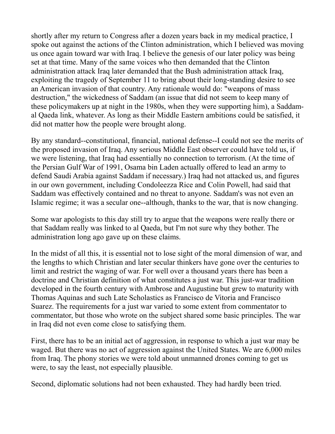shortly after my return to Congress after a dozen years back in my medical practice, I spoke out against the actions of the Clinton administration, which I believed was moving us once again toward war with Iraq. I believe the genesis of our later policy was being set at that time. Many of the same voices who then demanded that the Clinton administration attack Iraq later demanded that the Bush administration attack Iraq, exploiting the tragedy of September 11 to bring about their long-standing desire to see an American invasion of that country. Any rationale would do: "weapons of mass destruction," the wickedness of Saddam (an issue that did not seem to keep many of these policymakers up at night in the 1980s, when they were supporting him), a Saddamal Qaeda link, whatever. As long as their Middle Eastern ambitions could be satisfied, it did not matter how the people were brought along.

By any standard--constitutional, financial, national defense--I could not see the merits of the proposed invasion of Iraq. Any serious Middle East observer could have told us, if we were listening, that Iraq had essentially no connection to terrorism. (At the time of the Persian Gulf War of 1991, Osama bin Laden actually offered to lead an army to defend Saudi Arabia against Saddam if necessary.) Iraq had not attacked us, and figures in our own government, including Condoleezza Rice and Colin Powell, had said that Saddam was effectively contained and no threat to anyone. Saddam's was not even an Islamic regime; it was a secular one--although, thanks to the war, that is now changing.

Some war apologists to this day still try to argue that the weapons were really there or that Saddam really was linked to al Qaeda, but I'm not sure why they bother. The administration long ago gave up on these claims.

In the midst of all this, it is essential not to lose sight of the moral dimension of war, and the lengths to which Christian and later secular thinkers have gone over the centuries to limit and restrict the waging of war. For well over a thousand years there has been a doctrine and Christian definition of what constitutes a just war. This just-war tradition developed in the fourth century with Ambrose and Augustine but grew to maturity with Thomas Aquinas and such Late Scholastics as Francisco de Vitoria and Francisco Suarez. The requirements for a just war varied to some extent from commentator to commentator, but those who wrote on the subject shared some basic principles. The war in Iraq did not even come close to satisfying them.

First, there has to be an initial act of aggression, in response to which a just war may be waged. But there was no act of aggression against the United States. We are 6,000 miles from Iraq. The phony stories we were told about unmanned drones coming to get us were, to say the least, not especially plausible.

Second, diplomatic solutions had not been exhausted. They had hardly been tried.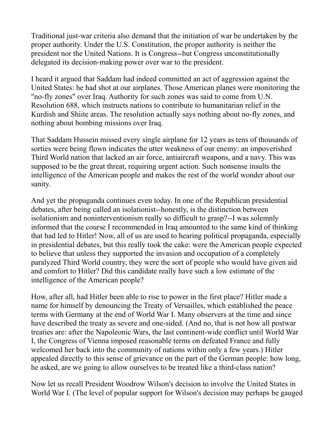Traditional just-war criteria also demand that the initiation of war be undertaken by the proper authority. Under the U.S. Constitution, the proper authority is neither the president nor the United Nations. It is Congress--but Congress unconstitutionally delegated its decision-making power over war to the president.

I heard it argued that Saddam had indeed committed an act of aggression against the United States: he had shot at our airplanes. Those American planes were monitoring the "no-fly zones" over Iraq. Authority for such zones was said to come from U.N. Resolution 688, which instructs nations to contribute to humanitarian relief in the Kurdish and Shiite areas. The resolution actually says nothing about no-fly zones, and nothing about bombing missions over Iraq.

That Saddam Hussein missed every single airplane for 12 years as tens of thousands of sorties were being flown indicates the utter weakness of our enemy: an impoverished Third World nation that lacked an air force, antiaircraft weapons, and a navy. This was supposed to be the great threat, requiring urgent action. Such nonsense insults the intelligence of the American people and makes the rest of the world wonder about our sanity.

And yet the propaganda continues even today. In one of the Republican presidential debates, after being called an isolationist--honestly, is the distinction between isolationism and noninterventionism really so difficult to grasp?--I was solemnly informed that the course I recommended in Iraq amounted to the same kind of thinking that had led to Hitler! Now, all of us are used to hearing political propaganda, especially in presidential debates, but this really took the cake: were the American people expected to believe that unless they supported the invasion and occupation of a completely paralyzed Third World country, they were the sort of people who would have given aid and comfort to Hitler? Did this candidate really have such a low estimate of the intelligence of the American people?

How, after all, had Hitler been able to rise to power in the first place? Hitler made a name for himself by denouncing the Treaty of Versailles, which established the peace terms with Germany at the end of World War I. Many observers at the time and since have described the treaty as severe and one-sided. (And no, that is not how all postwar treaties are: after the Napoleonic Wars, the last continent-wide conflict until World War I, the Congress of Vienna imposed reasonable terms on defeated France and fully welcomed her back into the community of nations within only a few years.) Hitler appealed directly to this sense of grievance on the part of the German people: how long, he asked, are we going to allow ourselves to be treated like a third-class nation?

Now let us recall President Woodrow Wilson's decision to involve the United States in World War I. (The level of popular support for Wilson's decision may perhaps be gauged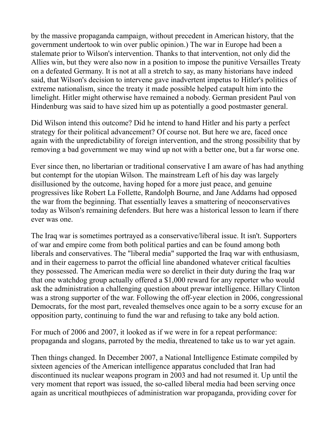by the massive propaganda campaign, without precedent in American history, that the government undertook to win over public opinion.) The war in Europe had been a stalemate prior to Wilson's intervention. Thanks to that intervention, not only did the Allies win, but they were also now in a position to impose the punitive Versailles Treaty on a defeated Germany. It is not at all a stretch to say, as many historians have indeed said, that Wilson's decision to intervene gave inadvertent impetus to Hitler's politics of extreme nationalism, since the treaty it made possible helped catapult him into the limelight. Hitler might otherwise have remained a nobody. German president Paul von Hindenburg was said to have sized him up as potentially a good postmaster general.

Did Wilson intend this outcome? Did he intend to hand Hitler and his party a perfect strategy for their political advancement? Of course not. But here we are, faced once again with the unpredictability of foreign intervention, and the strong possibility that by removing a bad government we may wind up not with a better one, but a far worse one.

Ever since then, no libertarian or traditional conservative I am aware of has had anything but contempt for the utopian Wilson. The mainstream Left of his day was largely disillusioned by the outcome, having hoped for a more just peace, and genuine progressives like Robert La Follette, Randolph Bourne, and Jane Addams had opposed the war from the beginning. That essentially leaves a smattering of neoconservatives today as Wilson's remaining defenders. But here was a historical lesson to learn if there ever was one.

The Iraq war is sometimes portrayed as a conservative/liberal issue. It isn't. Supporters of war and empire come from both political parties and can be found among both liberals and conservatives. The "liberal media" supported the Iraq war with enthusiasm, and in their eagerness to parrot the official line abandoned whatever critical faculties they possessed. The American media were so derelict in their duty during the Iraq war that one watchdog group actually offered a \$1,000 reward for any reporter who would ask the administration a challenging question about prewar intelligence. Hillary Clinton was a strong supporter of the war. Following the off-year election in 2006, congressional Democrats, for the most part, revealed themselves once again to be a sorry excuse for an opposition party, continuing to fund the war and refusing to take any bold action.

For much of 2006 and 2007, it looked as if we were in for a repeat performance: propaganda and slogans, parroted by the media, threatened to take us to war yet again.

Then things changed. In December 2007, a National Intelligence Estimate compiled by sixteen agencies of the American intelligence apparatus concluded that Iran had discontinued its nuclear weapons program in 2003 and had not resumed it. Up until the very moment that report was issued, the so-called liberal media had been serving once again as uncritical mouthpieces of administration war propaganda, providing cover for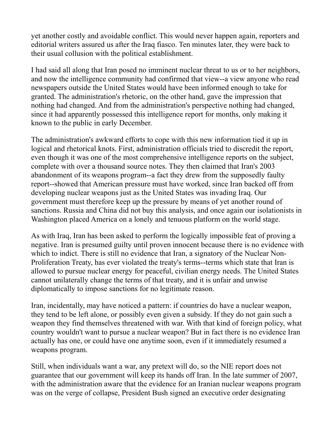yet another costly and avoidable conflict. This would never happen again, reporters and editorial writers assured us after the Iraq fiasco. Ten minutes later, they were back to their usual collusion with the political establishment.

I had said all along that Iran posed no imminent nuclear threat to us or to her neighbors, and now the intelligence community had confirmed that view--a view anyone who read newspapers outside the United States would have been informed enough to take for granted. The administration's rhetoric, on the other hand, gave the impression that nothing had changed. And from the administration's perspective nothing had changed, since it had apparently possessed this intelligence report for months, only making it known to the public in early December.

The administration's awkward efforts to cope with this new information tied it up in logical and rhetorical knots. First, administration officials tried to discredit the report, even though it was one of the most comprehensive intelligence reports on the subject, complete with over a thousand source notes. They then claimed that Iran's 2003 abandonment of its weapons program--a fact they drew from the supposedly faulty report--showed that American pressure must have worked, since Iran backed off from developing nuclear weapons just as the United States was invading Iraq. Our government must therefore keep up the pressure by means of yet another round of sanctions. Russia and China did not buy this analysis, and once again our isolationists in Washington placed America on a lonely and tenuous platform on the world stage.

As with Iraq, Iran has been asked to perform the logically impossible feat of proving a negative. Iran is presumed guilty until proven innocent because there is no evidence with which to indict. There is still no evidence that Iran, a signatory of the Nuclear Non-Proliferation Treaty, has ever violated the treaty's terms--terms which state that Iran is allowed to pursue nuclear energy for peaceful, civilian energy needs. The United States cannot unilaterally change the terms of that treaty, and it is unfair and unwise diplomatically to impose sanctions for no legitimate reason.

Iran, incidentally, may have noticed a pattern: if countries do have a nuclear weapon, they tend to be left alone, or possibly even given a subsidy. If they do not gain such a weapon they find themselves threatened with war. With that kind of foreign policy, what country wouldn't want to pursue a nuclear weapon? But in fact there is no evidence Iran actually has one, or could have one anytime soon, even if it immediately resumed a weapons program.

Still, when individuals want a war, any pretext will do, so the NIE report does not guarantee that our government will keep its hands off Iran. In the late summer of 2007, with the administration aware that the evidence for an Iranian nuclear weapons program was on the verge of collapse, President Bush signed an executive order designating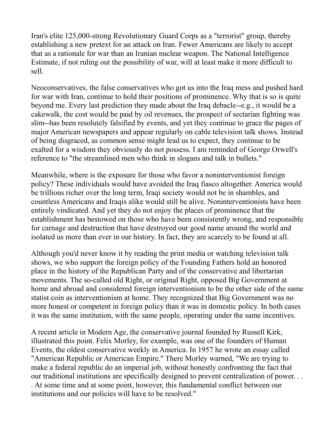Iran's elite 125,000-strong Revolutionary Guard Corps as a "terrorist" group, thereby establishing a new pretext for an attack on Iran. Fewer Americans are likely to accept that as a rationale for war than an Iranian nuclear weapon. The National Intelligence Estimate, if not ruling out the possibility of war, will at least make it more difficult to sell.

Neoconservatives, the false conservatives who got us into the Iraq mess and pushed hard for war with Iran, continue to hold their positions of prominence. Why that is so is quite beyond me. Every last prediction they made about the Iraq debacle--e.g., it would be a cakewalk, the cost would be paid by oil revenues, the prospect of sectarian fighting was slim--has been resolutely falsified by events, and yet they continue to grace the pages of major American newspapers and appear regularly on cable television talk shows. Instead of being disgraced, as common sense might lead us to expect, they continue to be exalted for a wisdom they obviously do not possess. I am reminded of George Orwell's reference to "the streamlined men who think in slogans and talk in bullets."

Meanwhile, where is the exposure for those who favor a noninterventionist foreign policy? These individuals would have avoided the Iraq fiasco altogether. America would be trillions richer over the long term, Iraqi society would not be in shambles, and countless Americans and Iraqis alike would still be alive. Noninterventionists have been entirely vindicated. And yet they do not enjoy the places of prominence that the establishment has bestowed on those who have been consistently wrong, and responsible for carnage and destruction that have destroyed our good name around the world and isolated us more than ever in our history. In fact, they are scarcely to be found at all.

Although you'd never know it by reading the print media or watching television talk shows, we who support the foreign policy of the Founding Fathers hold an honored place in the history of the Republican Party and of the conservative and libertarian movements. The so-called old Right, or original Right, opposed Big Government at home and abroad and considered foreign interventionism to be the other side of the same statist coin as interventionism at home. They recognized that Big Government was no more honest or competent in foreign policy than it was in domestic policy. In both cases it was the same institution, with the same people, operating under the same incentives.

A recent article in Modern Age, the conservative journal founded by Russell Kirk, illustrated this point. Felix Morley, for example, was one of the founders of Human Events, the oldest conservative weekly in America. In 1957 he wrote an essay called "American Republic or American Empire." There Morley warned, "We are trying to make a federal republic do an imperial job, without honestly confronting the fact that our traditional institutions are specifically designed to prevent centralization of power. . . . At some time and at some point, however, this fundamental conflict between our institutions and our policies will have to be resolved."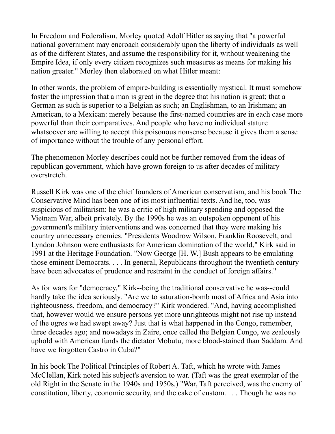In Freedom and Federalism, Morley quoted Adolf Hitler as saying that "a powerful national government may encroach considerably upon the liberty of individuals as well as of the different States, and assume the responsibility for it, without weakening the Empire Idea, if only every citizen recognizes such measures as means for making his nation greater." Morley then elaborated on what Hitler meant:

In other words, the problem of empire-building is essentially mystical. It must somehow foster the impression that a man is great in the degree that his nation is great; that a German as such is superior to a Belgian as such; an Englishman, to an Irishman; an American, to a Mexican: merely because the first-named countries are in each case more powerful than their comparatives. And people who have no individual stature whatsoever are willing to accept this poisonous nonsense because it gives them a sense of importance without the trouble of any personal effort.

The phenomenon Morley describes could not be further removed from the ideas of republican government, which have grown foreign to us after decades of military overstretch.

Russell Kirk was one of the chief founders of American conservatism, and his book The Conservative Mind has been one of its most influential texts. And he, too, was suspicious of militarism: he was a critic of high military spending and opposed the Vietnam War, albeit privately. By the 1990s he was an outspoken opponent of his government's military interventions and was concerned that they were making his country unnecessary enemies. "Presidents Woodrow Wilson, Franklin Roosevelt, and Lyndon Johnson were enthusiasts for American domination of the world," Kirk said in 1991 at the Heritage Foundation. "Now George [H. W.] Bush appears to be emulating those eminent Democrats. . . . In general, Republicans throughout the twentieth century have been advocates of prudence and restraint in the conduct of foreign affairs."

As for wars for "democracy," Kirk--being the traditional conservative he was--could hardly take the idea seriously. "Are we to saturation-bomb most of Africa and Asia into righteousness, freedom, and democracy?" Kirk wondered. "And, having accomplished that, however would we ensure persons yet more unrighteous might not rise up instead of the ogres we had swept away? Just that is what happened in the Congo, remember, three decades ago; and nowadays in Zaire, once called the Belgian Congo, we zealously uphold with American funds the dictator Mobutu, more blood-stained than Saddam. And have we forgotten Castro in Cuba?"

In his book The Political Principles of Robert A. Taft, which he wrote with James McClellan, Kirk noted his subject's aversion to war. (Taft was the great exemplar of the old Right in the Senate in the 1940s and 1950s.) "War, Taft perceived, was the enemy of constitution, liberty, economic security, and the cake of custom. . . . Though he was no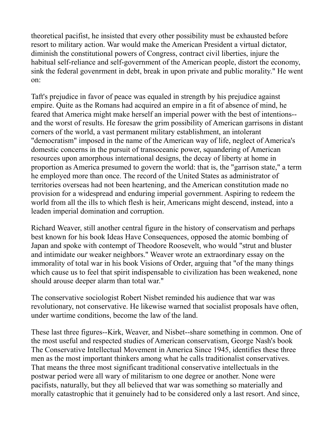theoretical pacifist, he insisted that every other possibility must be exhausted before resort to military action. War would make the American President a virtual dictator, diminish the constitutional powers of Congress, contract civil liberties, injure the habitual self-reliance and self-government of the American people, distort the economy, sink the federal govenrment in debt, break in upon private and public morality." He went on:

Taft's prejudice in favor of peace was equaled in strength by his prejudice against empire. Quite as the Romans had acquired an empire in a fit of absence of mind, he feared that America might make herself an imperial power with the best of intentions- and the worst of results. He foresaw the grim possibility of American garrisons in distant corners of the world, a vast permanent military establishment, an intolerant "democratism" imposed in the name of the American way of life, neglect of America's domestic concerns in the pursuit of transoceanic power, squandering of American resources upon amorphous international designs, the decay of liberty at home in proportion as America presumed to govern the world: that is, the "garrison state," a term he employed more than once. The record of the United States as administrator of territories overseas had not been heartening, and the American constitution made no provision for a widespread and enduring imperial government. Aspiring to redeem the world from all the ills to which flesh is heir, Americans might descend, instead, into a leaden imperial domination and corruption.

Richard Weaver, still another central figure in the history of conservatism and perhaps best known for his book Ideas Have Consequences, opposed the atomic bombing of Japan and spoke with contempt of Theodore Roosevelt, who would "strut and bluster and intimidate our weaker neighbors." Weaver wrote an extraordinary essay on the immorality of total war in his book Visions of Order, arguing that "of the many things which cause us to feel that spirit indispensable to civilization has been weakened, none should arouse deeper alarm than total war."

The conservative sociologist Robert Nisbet reminded his audience that war was revolutionary, not conservative. He likewise warned that socialist proposals have often, under wartime conditions, become the law of the land.

These last three figures--Kirk, Weaver, and Nisbet--share something in common. One of the most useful and respected studies of American conservatism, George Nash's book The Conservative Intellectual Movement in America Since 1945, identifies these three men as the most important thinkers among what he calls traditionalist conservatives. That means the three most significant traditional conservative intellectuals in the postwar period were all wary of militarism to one degree or another. None were pacifists, naturally, but they all believed that war was something so materially and morally catastrophic that it genuinely had to be considered only a last resort. And since,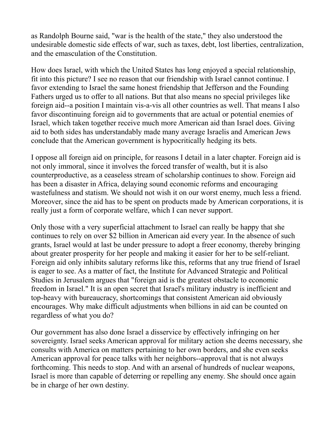as Randolph Bourne said, "war is the health of the state," they also understood the undesirable domestic side effects of war, such as taxes, debt, lost liberties, centralization, and the emasculation of the Constitution.

How does Israel, with which the United States has long enjoyed a special relationship, fit into this picture? I see no reason that our friendship with Israel cannot continue. I favor extending to Israel the same honest friendship that Jefferson and the Founding Fathers urged us to offer to all nations. But that also means no special privileges like foreign aid--a position I maintain vis-a-vis all other countries as well. That means I also favor discontinuing foreign aid to governments that are actual or potential enemies of Israel, which taken together receive much more American aid than Israel does. Giving aid to both sides has understandably made many average Israelis and American Jews conclude that the American government is hypocritically hedging its bets.

I oppose all foreign aid on principle, for reasons I detail in a later chapter. Foreign aid is not only immoral, since it involves the forced transfer of wealth, but it is also counterproductive, as a ceaseless stream of scholarship continues to show. Foreign aid has been a disaster in Africa, delaying sound economic reforms and encouraging wastefulness and statism. We should not wish it on our worst enemy, much less a friend. Moreover, since the aid has to be spent on products made by American corporations, it is really just a form of corporate welfare, which I can never support.

Only those with a very superficial attachment to Israel can really be happy that she continues to rely on over \$2 billion in American aid every year. In the absence of such grants, Israel would at last be under pressure to adopt a freer economy, thereby bringing about greater prosperity for her people and making it easier for her to be self-reliant. Foreign aid only inhibits salutary reforms like this, reforms that any true friend of Israel is eager to see. As a matter of fact, the Institute for Advanced Strategic and Political Studies in Jerusalem argues that "foreign aid is the greatest obstacle to economic freedom in Israel." It is an open secret that Israel's military industry is inefficient and top-heavy with bureaucracy, shortcomings that consistent American aid obviously encourages. Why make difficult adjustments when billions in aid can be counted on regardless of what you do?

Our government has also done Israel a disservice by effectively infringing on her sovereignty. Israel seeks American approval for military action she deems necessary, she consults with America on matters pertaining to her own borders, and she even seeks American approval for peace talks with her neighbors--approval that is not always forthcoming. This needs to stop. And with an arsenal of hundreds of nuclear weapons, Israel is more than capable of deterring or repelling any enemy. She should once again be in charge of her own destiny.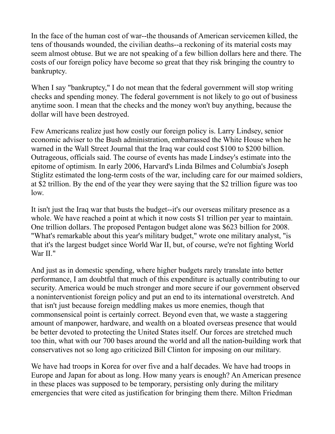In the face of the human cost of war--the thousands of American servicemen killed, the tens of thousands wounded, the civilian deaths--a reckoning of its material costs may seem almost obtuse. But we are not speaking of a few billion dollars here and there. The costs of our foreign policy have become so great that they risk bringing the country to bankruptcy.

When I say "bankruptcy," I do not mean that the federal government will stop writing checks and spending money. The federal government is not likely to go out of business anytime soon. I mean that the checks and the money won't buy anything, because the dollar will have been destroyed.

Few Americans realize just how costly our foreign policy is. Larry Lindsey, senior economic adviser to the Bush administration, embarrassed the White House when he warned in the Wall Street Journal that the Iraq war could cost \$100 to \$200 billion. Outrageous, officials said. The course of events has made Lindsey's estimate into the epitome of optimism. In early 2006, Harvard's Linda Bilmes and Columbia's Joseph Stiglitz estimated the long-term costs of the war, including care for our maimed soldiers, at \$2 trillion. By the end of the year they were saying that the \$2 trillion figure was too low.

It isn't just the Iraq war that busts the budget--it's our overseas military presence as a whole. We have reached a point at which it now costs \$1 trillion per year to maintain. One trillion dollars. The proposed Pentagon budget alone was \$623 billion for 2008. "What's remarkable about this year's military budget," wrote one military analyst, "is that it's the largest budget since World War II, but, of course, we're not fighting World War II."

And just as in domestic spending, where higher budgets rarely translate into better performance, I am doubtful that much of this expenditure is actually contributing to our security. America would be much stronger and more secure if our government observed a noninterventionist foreign policy and put an end to its international overstretch. And that isn't just because foreign meddling makes us more enemies, though that commonsensical point is certainly correct. Beyond even that, we waste a staggering amount of manpower, hardware, and wealth on a bloated overseas presence that would be better devoted to protecting the United States itself. Our forces are stretched much too thin, what with our 700 bases around the world and all the nation-building work that conservatives not so long ago criticized Bill Clinton for imposing on our military.

We have had troops in Korea for over five and a half decades. We have had troops in Europe and Japan for about as long. How many years is enough? An American presence in these places was supposed to be temporary, persisting only during the military emergencies that were cited as justification for bringing them there. Milton Friedman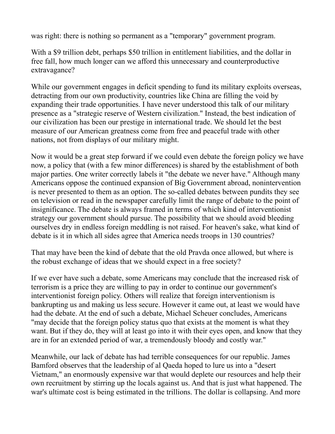was right: there is nothing so permanent as a "temporary" government program.

With a \$9 trillion debt, perhaps \$50 trillion in entitlement liabilities, and the dollar in free fall, how much longer can we afford this unnecessary and counterproductive extravagance?

While our government engages in deficit spending to fund its military exploits overseas, detracting from our own productivity, countries like China are filling the void by expanding their trade opportunities. I have never understood this talk of our military presence as a "strategic reserve of Western civilization." Instead, the best indication of our civilization has been our prestige in international trade. We should let the best measure of our American greatness come from free and peaceful trade with other nations, not from displays of our military might.

Now it would be a great step forward if we could even debate the foreign policy we have now, a policy that (with a few minor differences) is shared by the establishment of both major parties. One writer correctly labels it "the debate we never have." Although many Americans oppose the continued expansion of Big Government abroad, nonintervention is never presented to them as an option. The so-called debates between pundits they see on television or read in the newspaper carefully limit the range of debate to the point of insignificance. The debate is always framed in terms of which kind of interventionist strategy our government should pursue. The possibility that we should avoid bleeding ourselves dry in endless foreign meddling is not raised. For heaven's sake, what kind of debate is it in which all sides agree that America needs troops in 130 countries?

That may have been the kind of debate that the old Pravda once allowed, but where is the robust exchange of ideas that we should expect in a free society?

If we ever have such a debate, some Americans may conclude that the increased risk of terrorism is a price they are willing to pay in order to continue our government's interventionist foreign policy. Others will realize that foreign interventionism is bankrupting us and making us less secure. However it came out, at least we would have had the debate. At the end of such a debate, Michael Scheuer concludes, Americans "may decide that the foreign policy status quo that exists at the moment is what they want. But if they do, they will at least go into it with their eyes open, and know that they are in for an extended period of war, a tremendously bloody and costly war."

Meanwhile, our lack of debate has had terrible consequences for our republic. James Bamford observes that the leadership of al Qaeda hoped to lure us into a "desert Vietnam," an enormously expensive war that would deplete our resources and help their own recruitment by stirring up the locals against us. And that is just what happened. The war's ultimate cost is being estimated in the trillions. The dollar is collapsing. And more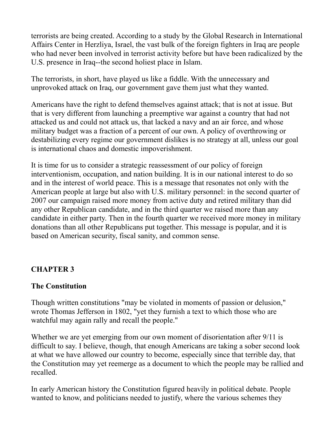terrorists are being created. According to a study by the Global Research in International Affairs Center in Herzliya, Israel, the vast bulk of the foreign fighters in Iraq are people who had never been involved in terrorist activity before but have been radicalized by the U.S. presence in Iraq--the second holiest place in Islam.

The terrorists, in short, have played us like a fiddle. With the unnecessary and unprovoked attack on Iraq, our government gave them just what they wanted.

Americans have the right to defend themselves against attack; that is not at issue. But that is very different from launching a preemptive war against a country that had not attacked us and could not attack us, that lacked a navy and an air force, and whose military budget was a fraction of a percent of our own. A policy of overthrowing or destabilizing every regime our government dislikes is no strategy at all, unless our goal is international chaos and domestic impoverishment.

It is time for us to consider a strategic reassessment of our policy of foreign interventionism, occupation, and nation building. It is in our national interest to do so and in the interest of world peace. This is a message that resonates not only with the American people at large but also with U.S. military personnel: in the second quarter of 2007 our campaign raised more money from active duty and retired military than did any other Republican candidate, and in the third quarter we raised more than any candidate in either party. Then in the fourth quarter we received more money in military donations than all other Republicans put together. This message is popular, and it is based on American security, fiscal sanity, and common sense.

#### **CHAPTER 3**

#### **The Constitution**

Though written constitutions "may be violated in moments of passion or delusion," wrote Thomas Jefferson in 1802, "yet they furnish a text to which those who are watchful may again rally and recall the people."

Whether we are yet emerging from our own moment of disorientation after 9/11 is difficult to say. I believe, though, that enough Americans are taking a sober second look at what we have allowed our country to become, especially since that terrible day, that the Constitution may yet reemerge as a document to which the people may be rallied and recalled.

In early American history the Constitution figured heavily in political debate. People wanted to know, and politicians needed to justify, where the various schemes they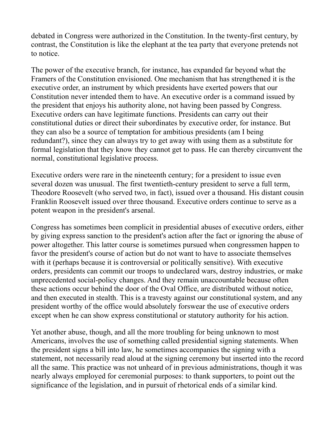debated in Congress were authorized in the Constitution. In the twenty-first century, by contrast, the Constitution is like the elephant at the tea party that everyone pretends not to notice.

The power of the executive branch, for instance, has expanded far beyond what the Framers of the Constitution envisioned. One mechanism that has strengthened it is the executive order, an instrument by which presidents have exerted powers that our Constitution never intended them to have. An executive order is a command issued by the president that enjoys his authority alone, not having been passed by Congress. Executive orders can have legitimate functions. Presidents can carry out their constitutional duties or direct their subordinates by executive order, for instance. But they can also be a source of temptation for ambitious presidents (am I being redundant?), since they can always try to get away with using them as a substitute for formal legislation that they know they cannot get to pass. He can thereby circumvent the normal, constitutional legislative process.

Executive orders were rare in the nineteenth century; for a president to issue even several dozen was unusual. The first twentieth-century president to serve a full term, Theodore Roosevelt (who served two, in fact), issued over a thousand. His distant cousin Franklin Roosevelt issued over three thousand. Executive orders continue to serve as a potent weapon in the president's arsenal.

Congress has sometimes been complicit in presidential abuses of executive orders, either by giving express sanction to the president's action after the fact or ignoring the abuse of power altogether. This latter course is sometimes pursued when congressmen happen to favor the president's course of action but do not want to have to associate themselves with it (perhaps because it is controversial or politically sensitive). With executive orders, presidents can commit our troops to undeclared wars, destroy industries, or make unprecedented social-policy changes. And they remain unaccountable because often these actions occur behind the door of the Oval Office, are distributed without notice, and then executed in stealth. This is a travesty against our constitutional system, and any president worthy of the office would absolutely forswear the use of executive orders except when he can show express constitutional or statutory authority for his action.

Yet another abuse, though, and all the more troubling for being unknown to most Americans, involves the use of something called presidential signing statements. When the president signs a bill into law, he sometimes accompanies the signing with a statement, not necessarily read aloud at the signing ceremony but inserted into the record all the same. This practice was not unheard of in previous administrations, though it was nearly always employed for ceremonial purposes: to thank supporters, to point out the significance of the legislation, and in pursuit of rhetorical ends of a similar kind.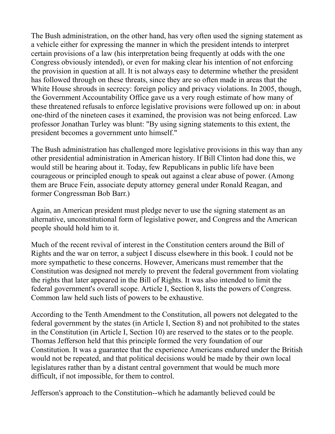The Bush administration, on the other hand, has very often used the signing statement as a vehicle either for expressing the manner in which the president intends to interpret certain provisions of a law (his interpretation being frequently at odds with the one Congress obviously intended), or even for making clear his intention of not enforcing the provision in question at all. It is not always easy to determine whether the president has followed through on these threats, since they are so often made in areas that the White House shrouds in secrecy: foreign policy and privacy violations. In 2005, though, the Government Accountability Office gave us a very rough estimate of how many of these threatened refusals to enforce legislative provisions were followed up on: in about one-third of the nineteen cases it examined, the provision was not being enforced. Law professor Jonathan Turley was blunt: "By using signing statements to this extent, the president becomes a government unto himself."

The Bush administration has challenged more legislative provisions in this way than any other presidential administration in American history. If Bill Clinton had done this, we would still be hearing about it. Today, few Republicans in public life have been courageous or principled enough to speak out against a clear abuse of power. (Among them are Bruce Fein, associate deputy attorney general under Ronald Reagan, and former Congressman Bob Barr.)

Again, an American president must pledge never to use the signing statement as an alternative, unconstitutional form of legislative power, and Congress and the American people should hold him to it.

Much of the recent revival of interest in the Constitution centers around the Bill of Rights and the war on terror, a subject I discuss elsewhere in this book. I could not be more sympathetic to these concerns. However, Americans must remember that the Constitution was designed not merely to prevent the federal government from violating the rights that later appeared in the Bill of Rights. It was also intended to limit the federal government's overall scope. Article I, Section 8, lists the powers of Congress. Common law held such lists of powers to be exhaustive.

According to the Tenth Amendment to the Constitution, all powers not delegated to the federal government by the states (in Article I, Section 8) and not prohibited to the states in the Constitution (in Article I, Section 10) are reserved to the states or to the people. Thomas Jefferson held that this principle formed the very foundation of our Constitution. It was a guarantee that the experience Americans endured under the British would not be repeated, and that political decisions would be made by their own local legislatures rather than by a distant central government that would be much more difficult, if not impossible, for them to control.

Jefferson's approach to the Constitution--which he adamantly believed could be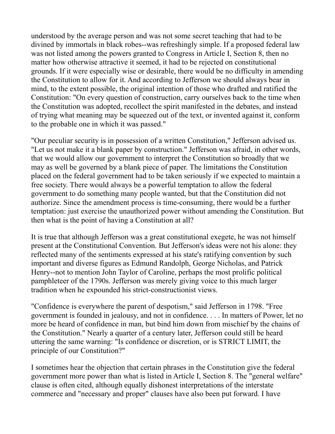understood by the average person and was not some secret teaching that had to be divined by immortals in black robes--was refreshingly simple. If a proposed federal law was not listed among the powers granted to Congress in Article I, Section 8, then no matter how otherwise attractive it seemed, it had to be rejected on constitutional grounds. If it were especially wise or desirable, there would be no difficulty in amending the Constitution to allow for it. And according to Jefferson we should always bear in mind, to the extent possible, the original intention of those who drafted and ratified the Constitution: "On every question of construction, carry ourselves back to the time when the Constitution was adopted, recollect the spirit manifested in the debates, and instead of trying what meaning may be squeezed out of the text, or invented against it, conform to the probable one in which it was passed."

"Our peculiar security is in possession of a written Constitution," Jefferson advised us. "Let us not make it a blank paper by construction." Jefferson was afraid, in other words, that we would allow our government to interpret the Constitution so broadly that we may as well be governed by a blank piece of paper. The limitations the Constitution placed on the federal government had to be taken seriously if we expected to maintain a free society. There would always be a powerful temptation to allow the federal government to do something many people wanted, but that the Constitution did not authorize. Since the amendment process is time-consuming, there would be a further temptation: just exercise the unauthorized power without amending the Constitution. But then what is the point of having a Constitution at all?

It is true that although Jefferson was a great constitutional exegete, he was not himself present at the Constitutional Convention. But Jefferson's ideas were not his alone: they reflected many of the sentiments expressed at his state's ratifying convention by such important and diverse figures as Edmund Randolph, George Nicholas, and Patrick Henry--not to mention John Taylor of Caroline, perhaps the most prolific political pamphleteer of the 1790s. Jefferson was merely giving voice to this much larger tradition when he expounded his strict-constructionist views.

"Confidence is everywhere the parent of despotism," said Jefferson in 1798. "Free government is founded in jealousy, and not in confidence. . . . In matters of Power, let no more be heard of confidence in man, but bind him down from mischief by the chains of the Constitution." Nearly a quarter of a century later, Jefferson could still be heard uttering the same warning: "Is confidence or discretion, or is STRICT LIMIT, the principle of our Constitution?"

I sometimes hear the objection that certain phrases in the Constitution give the federal government more power than what is listed in Article I, Section 8. The "general welfare" clause is often cited, although equally dishonest interpretations of the interstate commerce and "necessary and proper" clauses have also been put forward. I have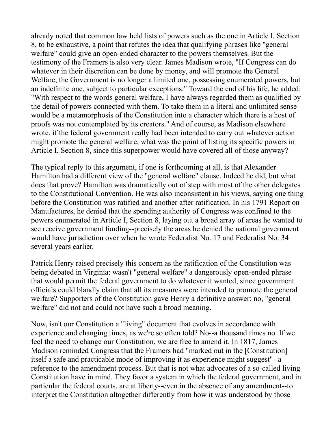already noted that common law held lists of powers such as the one in Article I, Section 8, to be exhaustive, a point that refutes the idea that qualifying phrases like "general welfare" could give an open-ended character to the powers themselves. But the testimony of the Framers is also very clear. James Madison wrote, "If Congress can do whatever in their discretion can be done by money, and will promote the General Welfare, the Government is no longer a limited one, possessing enumerated powers, but an indefinite one, subject to particular exceptions." Toward the end of his life, he added: "With respect to the words general welfare, I have always regarded them as qualified by the detail of powers connected with them. To take them in a literal and unlimited sense would be a metamorphosis of the Constitution into a character which there is a host of proofs was not contemplated by its creators." And of course, as Madison elsewhere wrote, if the federal government really had been intended to carry out whatever action might promote the general welfare, what was the point of listing its specific powers in Article I, Section 8, since this superpower would have covered all of those anyway?

The typical reply to this argument, if one is forthcoming at all, is that Alexander Hamilton had a different view of the "general welfare" clause. Indeed he did, but what does that prove? Hamilton was dramatically out of step with most of the other delegates to the Constitutional Convention. He was also inconsistent in his views, saying one thing before the Constitution was ratified and another after ratification. In his 1791 Report on Manufactures, he denied that the spending authority of Congress was confined to the powers enumerated in Article I, Section 8, laying out a broad array of areas he wanted to see receive government funding--precisely the areas he denied the national government would have jurisdiction over when he wrote Federalist No. 17 and Federalist No. 34 several years earlier.

Patrick Henry raised precisely this concern as the ratification of the Constitution was being debated in Virginia: wasn't "general welfare" a dangerously open-ended phrase that would permit the federal government to do whatever it wanted, since government officials could blandly claim that all its measures were intended to promote the general welfare? Supporters of the Constitution gave Henry a definitive answer: no, "general welfare" did not and could not have such a broad meaning.

Now, isn't our Constitution a "living" document that evolves in accordance with experience and changing times, as we're so often told? No--a thousand times no. If we feel the need to change our Constitution, we are free to amend it. In 1817, James Madison reminded Congress that the Framers had "marked out in the [Constitution] itself a safe and practicable mode of improving it as experience might suggest"--a reference to the amendment process. But that is not what advocates of a so-called living Constitution have in mind. They favor a system in which the federal government, and in particular the federal courts, are at liberty--even in the absence of any amendment--to interpret the Constitution altogether differently from how it was understood by those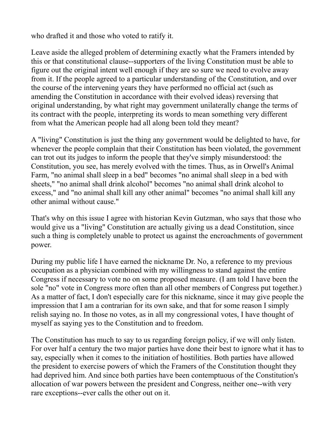who drafted it and those who voted to ratify it.

Leave aside the alleged problem of determining exactly what the Framers intended by this or that constitutional clause--supporters of the living Constitution must be able to figure out the original intent well enough if they are so sure we need to evolve away from it. If the people agreed to a particular understanding of the Constitution, and over the course of the intervening years they have performed no official act (such as amending the Constitution in accordance with their evolved ideas) reversing that original understanding, by what right may government unilaterally change the terms of its contract with the people, interpreting its words to mean something very different from what the American people had all along been told they meant?

A "living" Constitution is just the thing any government would be delighted to have, for whenever the people complain that their Constitution has been violated, the government can trot out its judges to inform the people that they've simply misunderstood: the Constitution, you see, has merely evolved with the times. Thus, as in Orwell's Animal Farm, "no animal shall sleep in a bed" becomes "no animal shall sleep in a bed with sheets," "no animal shall drink alcohol" becomes "no animal shall drink alcohol to excess," and "no animal shall kill any other animal" becomes "no animal shall kill any other animal without cause."

That's why on this issue I agree with historian Kevin Gutzman, who says that those who would give us a "living" Constitution are actually giving us a dead Constitution, since such a thing is completely unable to protect us against the encroachments of government power.

During my public life I have earned the nickname Dr. No, a reference to my previous occupation as a physician combined with my willingness to stand against the entire Congress if necessary to vote no on some proposed measure. (I am told I have been the sole "no" vote in Congress more often than all other members of Congress put together.) As a matter of fact, I don't especially care for this nickname, since it may give people the impression that I am a contrarian for its own sake, and that for some reason I simply relish saying no. In those no votes, as in all my congressional votes, I have thought of myself as saying yes to the Constitution and to freedom.

The Constitution has much to say to us regarding foreign policy, if we will only listen. For over half a century the two major parties have done their best to ignore what it has to say, especially when it comes to the initiation of hostilities. Both parties have allowed the president to exercise powers of which the Framers of the Constitution thought they had deprived him. And since both parties have been contemptuous of the Constitution's allocation of war powers between the president and Congress, neither one--with very rare exceptions--ever calls the other out on it.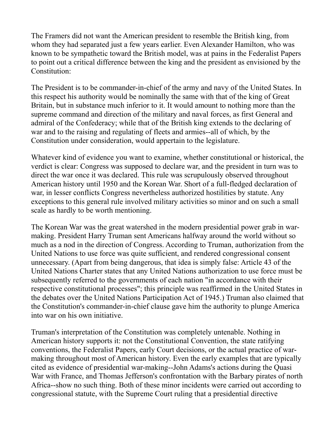The Framers did not want the American president to resemble the British king, from whom they had separated just a few years earlier. Even Alexander Hamilton, who was known to be sympathetic toward the British model, was at pains in the Federalist Papers to point out a critical difference between the king and the president as envisioned by the Constitution:

The President is to be commander-in-chief of the army and navy of the United States. In this respect his authority would be nominally the same with that of the king of Great Britain, but in substance much inferior to it. It would amount to nothing more than the supreme command and direction of the military and naval forces, as first General and admiral of the Confederacy; while that of the British king extends to the declaring of war and to the raising and regulating of fleets and armies--all of which, by the Constitution under consideration, would appertain to the legislature.

Whatever kind of evidence you want to examine, whether constitutional or historical, the verdict is clear: Congress was supposed to declare war, and the president in turn was to direct the war once it was declared. This rule was scrupulously observed throughout American history until 1950 and the Korean War. Short of a full-fledged declaration of war, in lesser conflicts Congress nevertheless authorized hostilities by statute. Any exceptions to this general rule involved military activities so minor and on such a small scale as hardly to be worth mentioning.

The Korean War was the great watershed in the modern presidential power grab in warmaking. President Harry Truman sent Americans halfway around the world without so much as a nod in the direction of Congress. According to Truman, authorization from the United Nations to use force was quite sufficient, and rendered congressional consent unnecessary. (Apart from being dangerous, that idea is simply false: Article 43 of the United Nations Charter states that any United Nations authorization to use force must be subsequently referred to the governments of each nation "in accordance with their respective constitutional processes"; this principle was reaffirmed in the United States in the debates over the United Nations Participation Act of 1945.) Truman also claimed that the Constitution's commander-in-chief clause gave him the authority to plunge America into war on his own initiative.

Truman's interpretation of the Constitution was completely untenable. Nothing in American history supports it: not the Constitutional Convention, the state ratifying conventions, the Federalist Papers, early Court decisions, or the actual practice of warmaking throughout most of American history. Even the early examples that are typically cited as evidence of presidential war-making--John Adams's actions during the Quasi War with France, and Thomas Jefferson's confrontation with the Barbary pirates of north Africa--show no such thing. Both of these minor incidents were carried out according to congressional statute, with the Supreme Court ruling that a presidential directive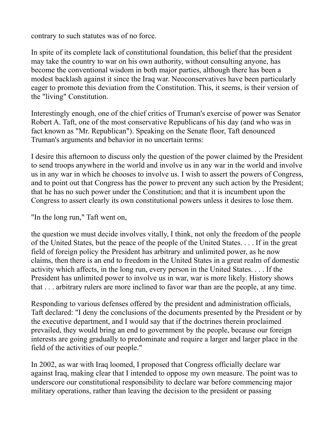contrary to such statutes was of no force.

In spite of its complete lack of constitutional foundation, this belief that the president may take the country to war on his own authority, without consulting anyone, has become the conventional wisdom in both major parties, although there has been a modest backlash against it since the Iraq war. Neoconservatives have been particularly eager to promote this deviation from the Constitution. This, it seems, is their version of the "living" Constitution.

Interestingly enough, one of the chief critics of Truman's exercise of power was Senator Robert A. Taft, one of the most conservative Republicans of his day (and who was in fact known as "Mr. Republican"). Speaking on the Senate floor, Taft denounced Truman's arguments and behavior in no uncertain terms:

I desire this afternoon to discuss only the question of the power claimed by the President to send troops anywhere in the world and involve us in any war in the world and involve us in any war in which he chooses to involve us. I wish to assert the powers of Congress, and to point out that Congress has the power to prevent any such action by the President; that he has no such power under the Constitution; and that it is incumbent upon the Congress to assert clearly its own constitutional powers unless it desires to lose them.

"In the long run," Taft went on,

the question we must decide involves vitally, I think, not only the freedom of the people of the United States, but the peace of the people of the United States. . . . If in the great field of foreign policy the President has arbitrary and unlimited power, as he now claims, then there is an end to freedom in the United States in a great realm of domestic activity which affects, in the long run, every person in the United States. . . . If the President has unlimited power to involve us in war, war is more likely. History shows that . . . arbitrary rulers are more inclined to favor war than are the people, at any time.

Responding to various defenses offered by the president and administration officials, Taft declared: "I deny the conclusions of the documents presented by the President or by the executive department, and I would say that if the doctrines therein proclaimed prevailed, they would bring an end to government by the people, because our foreign interests are going gradually to predominate and require a larger and larger place in the field of the activities of our people."

In 2002, as war with Iraq loomed, I proposed that Congress officially declare war against Iraq, making clear that I intended to oppose my own measure. The point was to underscore our constitutional responsibility to declare war before commencing major military operations, rather than leaving the decision to the president or passing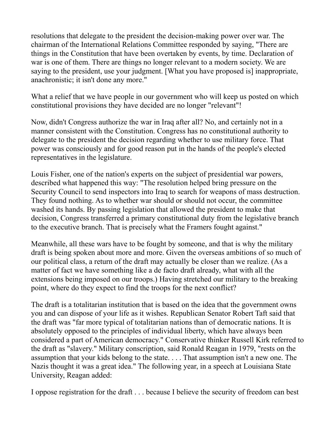resolutions that delegate to the president the decision-making power over war. The chairman of the International Relations Committee responded by saying, "There are things in the Constitution that have been overtaken by events, by time. Declaration of war is one of them. There are things no longer relevant to a modern society. We are saying to the president, use your judgment. [What you have proposed is] inappropriate, anachronistic; it isn't done any more."

What a relief that we have people in our government who will keep us posted on which constitutional provisions they have decided are no longer "relevant"!

Now, didn't Congress authorize the war in Iraq after all? No, and certainly not in a manner consistent with the Constitution. Congress has no constitutional authority to delegate to the president the decision regarding whether to use military force. That power was consciously and for good reason put in the hands of the people's elected representatives in the legislature.

Louis Fisher, one of the nation's experts on the subject of presidential war powers, described what happened this way: "The resolution helped bring pressure on the Security Council to send inspectors into Iraq to search for weapons of mass destruction. They found nothing. As to whether war should or should not occur, the committee washed its hands. By passing legislation that allowed the president to make that decision, Congress transferred a primary constitutional duty from the legislative branch to the executive branch. That is precisely what the Framers fought against."

Meanwhile, all these wars have to be fought by someone, and that is why the military draft is being spoken about more and more. Given the overseas ambitions of so much of our political class, a return of the draft may actually be closer than we realize. (As a matter of fact we have something like a de facto draft already, what with all the extensions being imposed on our troops.) Having stretched our military to the breaking point, where do they expect to find the troops for the next conflict?

The draft is a totalitarian institution that is based on the idea that the government owns you and can dispose of your life as it wishes. Republican Senator Robert Taft said that the draft was "far more typical of totalitarian nations than of democratic nations. It is absolutely opposed to the principles of individual liberty, which have always been considered a part of American democracy." Conservative thinker Russell Kirk referred to the draft as "slavery." Military conscription, said Ronald Reagan in 1979, "rests on the assumption that your kids belong to the state. . . . That assumption isn't a new one. The Nazis thought it was a great idea." The following year, in a speech at Louisiana State University, Reagan added:

I oppose registration for the draft . . . because I believe the security of freedom can best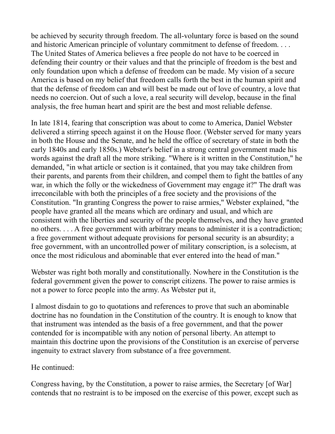be achieved by security through freedom. The all-voluntary force is based on the sound and historic American principle of voluntary commitment to defense of freedom. . . . The United States of America believes a free people do not have to be coerced in defending their country or their values and that the principle of freedom is the best and only foundation upon which a defense of freedom can be made. My vision of a secure America is based on my belief that freedom calls forth the best in the human spirit and that the defense of freedom can and will best be made out of love of country, a love that needs no coercion. Out of such a love, a real security will develop, because in the final analysis, the free human heart and spirit are the best and most reliable defense.

In late 1814, fearing that conscription was about to come to America, Daniel Webster delivered a stirring speech against it on the House floor. (Webster served for many years in both the House and the Senate, and he held the office of secretary of state in both the early 1840s and early 1850s.) Webster's belief in a strong central government made his words against the draft all the more striking. "Where is it written in the Constitution," he demanded, "in what article or section is it contained, that you may take children from their parents, and parents from their children, and compel them to fight the battles of any war, in which the folly or the wickedness of Government may engage it?" The draft was irreconcilable with both the principles of a free society and the provisions of the Constitution. "In granting Congress the power to raise armies," Webster explained, "the people have granted all the means which are ordinary and usual, and which are consistent with the liberties and security of the people themselves, and they have granted no others. . . . A free government with arbitrary means to administer it is a contradiction; a free government without adequate provisions for personal security is an absurdity; a free government, with an uncontrolled power of military conscription, is a solecism, at once the most ridiculous and abominable that ever entered into the head of man."

Webster was right both morally and constitutionally. Nowhere in the Constitution is the federal government given the power to conscript citizens. The power to raise armies is not a power to force people into the army. As Webster put it,

I almost disdain to go to quotations and references to prove that such an abominable doctrine has no foundation in the Constitution of the country. It is enough to know that that instrument was intended as the basis of a free government, and that the power contended for is incompatible with any notion of personal liberty. An attempt to maintain this doctrine upon the provisions of the Constitution is an exercise of perverse ingenuity to extract slavery from substance of a free government.

#### He continued:

Congress having, by the Constitution, a power to raise armies, the Secretary [of War] contends that no restraint is to be imposed on the exercise of this power, except such as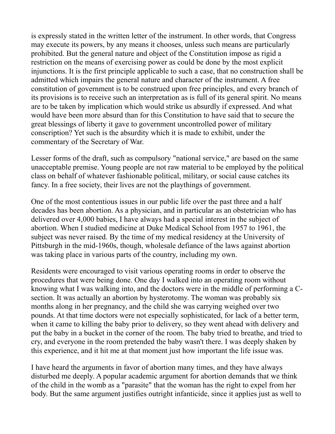is expressly stated in the written letter of the instrument. In other words, that Congress may execute its powers, by any means it chooses, unless such means are particularly prohibited. But the general nature and object of the Constitution impose as rigid a restriction on the means of exercising power as could be done by the most explicit injunctions. It is the first principle applicable to such a case, that no construction shall be admitted which impairs the general nature and character of the instrument. A free constitution of government is to be construed upon free principles, and every branch of its provisions is to receive such an interpretation as is full of its general spirit. No means are to be taken by implication which would strike us absurdly if expressed. And what would have been more absurd than for this Constitution to have said that to secure the great blessings of liberty it gave to government uncontrolled power of military conscription? Yet such is the absurdity which it is made to exhibit, under the commentary of the Secretary of War.

Lesser forms of the draft, such as compulsory "national service," are based on the same unacceptable premise. Young people are not raw material to be employed by the political class on behalf of whatever fashionable political, military, or social cause catches its fancy. In a free society, their lives are not the playthings of government.

One of the most contentious issues in our public life over the past three and a half decades has been abortion. As a physician, and in particular as an obstetrician who has delivered over 4,000 babies, I have always had a special interest in the subject of abortion. When I studied medicine at Duke Medical School from 1957 to 1961, the subject was never raised. By the time of my medical residency at the University of Pittsburgh in the mid-1960s, though, wholesale defiance of the laws against abortion was taking place in various parts of the country, including my own.

Residents were encouraged to visit various operating rooms in order to observe the procedures that were being done. One day I walked into an operating room without knowing what I was walking into, and the doctors were in the middle of performing a Csection. It was actually an abortion by hysterotomy. The woman was probably six months along in her pregnancy, and the child she was carrying weighed over two pounds. At that time doctors were not especially sophisticated, for lack of a better term, when it came to killing the baby prior to delivery, so they went ahead with delivery and put the baby in a bucket in the corner of the room. The baby tried to breathe, and tried to cry, and everyone in the room pretended the baby wasn't there. I was deeply shaken by this experience, and it hit me at that moment just how important the life issue was.

I have heard the arguments in favor of abortion many times, and they have always disturbed me deeply. A popular academic argument for abortion demands that we think of the child in the womb as a "parasite" that the woman has the right to expel from her body. But the same argument justifies outright infanticide, since it applies just as well to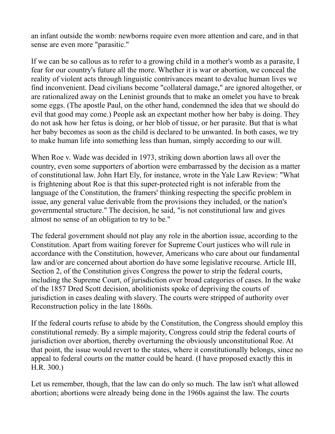an infant outside the womb: newborns require even more attention and care, and in that sense are even more "parasitic."

If we can be so callous as to refer to a growing child in a mother's womb as a parasite, I fear for our country's future all the more. Whether it is war or abortion, we conceal the reality of violent acts through linguistic contrivances meant to devalue human lives we find inconvenient. Dead civilians become "collateral damage," are ignored altogether, or are rationalized away on the Leninist grounds that to make an omelet you have to break some eggs. (The apostle Paul, on the other hand, condemned the idea that we should do evil that good may come.) People ask an expectant mother how her baby is doing. They do not ask how her fetus is doing, or her blob of tissue, or her parasite. But that is what her baby becomes as soon as the child is declared to be unwanted. In both cases, we try to make human life into something less than human, simply according to our will.

When Roe v. Wade was decided in 1973, striking down abortion laws all over the country, even some supporters of abortion were embarrassed by the decision as a matter of constitutional law. John Hart Ely, for instance, wrote in the Yale Law Review: "What is frightening about Roe is that this super-protected right is not inferable from the language of the Constitution, the framers' thinking respecting the specific problem in issue, any general value derivable from the provisions they included, or the nation's governmental structure." The decision, he said, "is not constitutional law and gives almost no sense of an obligation to try to be."

The federal government should not play any role in the abortion issue, according to the Constitution. Apart from waiting forever for Supreme Court justices who will rule in accordance with the Constitution, however, Americans who care about our fundamental law and/or are concerned about abortion do have some legislative recourse. Article III, Section 2, of the Constitution gives Congress the power to strip the federal courts, including the Supreme Court, of jurisdiction over broad categories of cases. In the wake of the 1857 Dred Scott decision, abolitionists spoke of depriving the courts of jurisdiction in cases dealing with slavery. The courts were stripped of authority over Reconstruction policy in the late 1860s.

If the federal courts refuse to abide by the Constitution, the Congress should employ this constitutional remedy. By a simple majority, Congress could strip the federal courts of jurisdiction over abortion, thereby overturning the obviously unconstitutional Roe. At that point, the issue would revert to the states, where it constitutionally belongs, since no appeal to federal courts on the matter could be heard. (I have proposed exactly this in H.R. 300.)

Let us remember, though, that the law can do only so much. The law isn't what allowed abortion; abortions were already being done in the 1960s against the law. The courts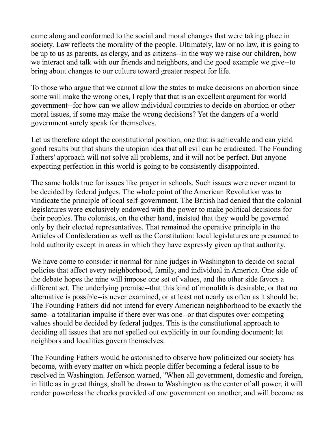came along and conformed to the social and moral changes that were taking place in society. Law reflects the morality of the people. Ultimately, law or no law, it is going to be up to us as parents, as clergy, and as citizens--in the way we raise our children, how we interact and talk with our friends and neighbors, and the good example we give--to bring about changes to our culture toward greater respect for life.

To those who argue that we cannot allow the states to make decisions on abortion since some will make the wrong ones, I reply that that is an excellent argument for world government--for how can we allow individual countries to decide on abortion or other moral issues, if some may make the wrong decisions? Yet the dangers of a world government surely speak for themselves.

Let us therefore adopt the constitutional position, one that is achievable and can yield good results but that shuns the utopian idea that all evil can be eradicated. The Founding Fathers' approach will not solve all problems, and it will not be perfect. But anyone expecting perfection in this world is going to be consistently disappointed.

The same holds true for issues like prayer in schools. Such issues were never meant to be decided by federal judges. The whole point of the American Revolution was to vindicate the principle of local self-government. The British had denied that the colonial legislatures were exclusively endowed with the power to make political decisions for their peoples. The colonists, on the other hand, insisted that they would be governed only by their elected representatives. That remained the operative principle in the Articles of Confederation as well as the Constitution: local legislatures are presumed to hold authority except in areas in which they have expressly given up that authority.

We have come to consider it normal for nine judges in Washington to decide on social policies that affect every neighborhood, family, and individual in America. One side of the debate hopes the nine will impose one set of values, and the other side favors a different set. The underlying premise--that this kind of monolith is desirable, or that no alternative is possible--is never examined, or at least not nearly as often as it should be. The Founding Fathers did not intend for every American neighborhood to be exactly the same--a totalitarian impulse if there ever was one--or that disputes over competing values should be decided by federal judges. This is the constitutional approach to deciding all issues that are not spelled out explicitly in our founding document: let neighbors and localities govern themselves.

The Founding Fathers would be astonished to observe how politicized our society has become, with every matter on which people differ becoming a federal issue to be resolved in Washington. Jefferson warned, "When all government, domestic and foreign, in little as in great things, shall be drawn to Washington as the center of all power, it will render powerless the checks provided of one government on another, and will become as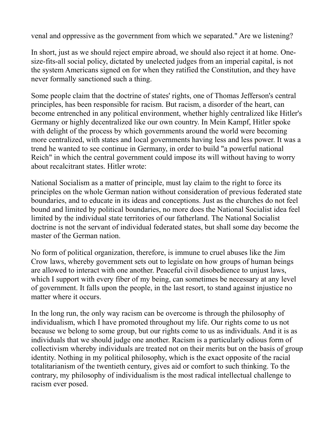venal and oppressive as the government from which we separated." Are we listening?

In short, just as we should reject empire abroad, we should also reject it at home. Onesize-fits-all social policy, dictated by unelected judges from an imperial capital, is not the system Americans signed on for when they ratified the Constitution, and they have never formally sanctioned such a thing.

Some people claim that the doctrine of states' rights, one of Thomas Jefferson's central principles, has been responsible for racism. But racism, a disorder of the heart, can become entrenched in any political environment, whether highly centralized like Hitler's Germany or highly decentralized like our own country. In Mein Kampf, Hitler spoke with delight of the process by which governments around the world were becoming more centralized, with states and local governments having less and less power. It was a trend he wanted to see continue in Germany, in order to build "a powerful national Reich" in which the central government could impose its will without having to worry about recalcitrant states. Hitler wrote:

National Socialism as a matter of principle, must lay claim to the right to force its principles on the whole German nation without consideration of previous federated state boundaries, and to educate in its ideas and conceptions. Just as the churches do not feel bound and limited by political boundaries, no more does the National Socialist idea feel limited by the individual state territories of our fatherland. The National Socialist doctrine is not the servant of individual federated states, but shall some day become the master of the German nation.

No form of political organization, therefore, is immune to cruel abuses like the Jim Crow laws, whereby government sets out to legislate on how groups of human beings are allowed to interact with one another. Peaceful civil disobedience to unjust laws, which I support with every fiber of my being, can sometimes be necessary at any level of government. It falls upon the people, in the last resort, to stand against injustice no matter where it occurs.

In the long run, the only way racism can be overcome is through the philosophy of individualism, which I have promoted throughout my life. Our rights come to us not because we belong to some group, but our rights come to us as individuals. And it is as individuals that we should judge one another. Racism is a particularly odious form of collectivism whereby individuals are treated not on their merits but on the basis of group identity. Nothing in my political philosophy, which is the exact opposite of the racial totalitarianism of the twentieth century, gives aid or comfort to such thinking. To the contrary, my philosophy of individualism is the most radical intellectual challenge to racism ever posed.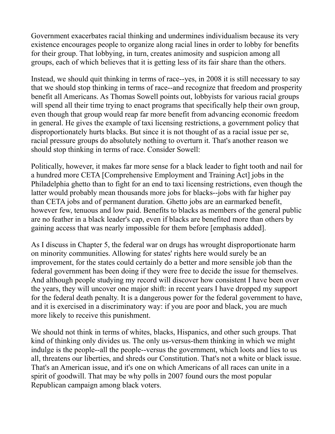Government exacerbates racial thinking and undermines individualism because its very existence encourages people to organize along racial lines in order to lobby for benefits for their group. That lobbying, in turn, creates animosity and suspicion among all groups, each of which believes that it is getting less of its fair share than the others.

Instead, we should quit thinking in terms of race--yes, in 2008 it is still necessary to say that we should stop thinking in terms of race--and recognize that freedom and prosperity benefit all Americans. As Thomas Sowell points out, lobbyists for various racial groups will spend all their time trying to enact programs that specifically help their own group, even though that group would reap far more benefit from advancing economic freedom in general. He gives the example of taxi licensing restrictions, a government policy that disproportionately hurts blacks. But since it is not thought of as a racial issue per se, racial pressure groups do absolutely nothing to overturn it. That's another reason we should stop thinking in terms of race. Consider Sowell:

Politically, however, it makes far more sense for a black leader to fight tooth and nail for a hundred more CETA [Comprehensive Employment and Training Act] jobs in the Philadelphia ghetto than to fight for an end to taxi licensing restrictions, even though the latter would probably mean thousands more jobs for blacks--jobs with far higher pay than CETA jobs and of permanent duration. Ghetto jobs are an earmarked benefit, however few, tenuous and low paid. Benefits to blacks as members of the general public are no feather in a black leader's cap, even if blacks are benefited more than others by gaining access that was nearly impossible for them before [emphasis added].

As I discuss in Chapter 5, the federal war on drugs has wrought disproportionate harm on minority communities. Allowing for states' rights here would surely be an improvement, for the states could certainly do a better and more sensible job than the federal government has been doing if they were free to decide the issue for themselves. And although people studying my record will discover how consistent I have been over the years, they will uncover one major shift: in recent years I have dropped my support for the federal death penalty. It is a dangerous power for the federal government to have, and it is exercised in a discriminatory way: if you are poor and black, you are much more likely to receive this punishment.

We should not think in terms of whites, blacks, Hispanics, and other such groups. That kind of thinking only divides us. The only us-versus-them thinking in which we might indulge is the people--all the people--versus the government, which loots and lies to us all, threatens our liberties, and shreds our Constitution. That's not a white or black issue. That's an American issue, and it's one on which Americans of all races can unite in a spirit of goodwill. That may be why polls in 2007 found ours the most popular Republican campaign among black voters.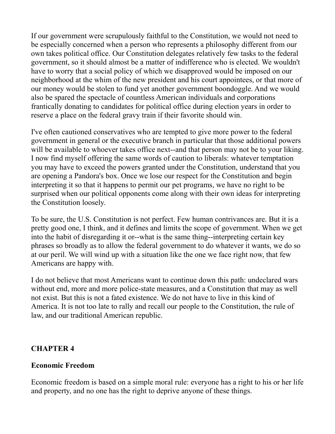If our government were scrupulously faithful to the Constitution, we would not need to be especially concerned when a person who represents a philosophy different from our own takes political office. Our Constitution delegates relatively few tasks to the federal government, so it should almost be a matter of indifference who is elected. We wouldn't have to worry that a social policy of which we disapproved would be imposed on our neighborhood at the whim of the new president and his court appointees, or that more of our money would be stolen to fund yet another government boondoggle. And we would also be spared the spectacle of countless American individuals and corporations frantically donating to candidates for political office during election years in order to reserve a place on the federal gravy train if their favorite should win.

I've often cautioned conservatives who are tempted to give more power to the federal government in general or the executive branch in particular that those additional powers will be available to whoever takes office next--and that person may not be to your liking. I now find myself offering the same words of caution to liberals: whatever temptation you may have to exceed the powers granted under the Constitution, understand that you are opening a Pandora's box. Once we lose our respect for the Constitution and begin interpreting it so that it happens to permit our pet programs, we have no right to be surprised when our political opponents come along with their own ideas for interpreting the Constitution loosely.

To be sure, the U.S. Constitution is not perfect. Few human contrivances are. But it is a pretty good one, I think, and it defines and limits the scope of government. When we get into the habit of disregarding it or--what is the same thing--interpreting certain key phrases so broadly as to allow the federal government to do whatever it wants, we do so at our peril. We will wind up with a situation like the one we face right now, that few Americans are happy with.

I do not believe that most Americans want to continue down this path: undeclared wars without end, more and more police-state measures, and a Constitution that may as well not exist. But this is not a fated existence. We do not have to live in this kind of America. It is not too late to rally and recall our people to the Constitution, the rule of law, and our traditional American republic.

## **CHAPTER 4**

## **Economic Freedom**

Economic freedom is based on a simple moral rule: everyone has a right to his or her life and property, and no one has the right to deprive anyone of these things.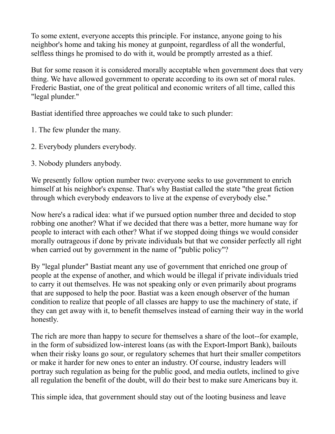To some extent, everyone accepts this principle. For instance, anyone going to his neighbor's home and taking his money at gunpoint, regardless of all the wonderful, selfless things he promised to do with it, would be promptly arrested as a thief.

But for some reason it is considered morally acceptable when government does that very thing. We have allowed government to operate according to its own set of moral rules. Frederic Bastiat, one of the great political and economic writers of all time, called this "legal plunder."

Bastiat identified three approaches we could take to such plunder:

- 1. The few plunder the many.
- 2. Everybody plunders everybody.
- 3. Nobody plunders anybody.

We presently follow option number two: everyone seeks to use government to enrich himself at his neighbor's expense. That's why Bastiat called the state "the great fiction through which everybody endeavors to live at the expense of everybody else."

Now here's a radical idea: what if we pursued option number three and decided to stop robbing one another? What if we decided that there was a better, more humane way for people to interact with each other? What if we stopped doing things we would consider morally outrageous if done by private individuals but that we consider perfectly all right when carried out by government in the name of "public policy"?

By "legal plunder" Bastiat meant any use of government that enriched one group of people at the expense of another, and which would be illegal if private individuals tried to carry it out themselves. He was not speaking only or even primarily about programs that are supposed to help the poor. Bastiat was a keen enough observer of the human condition to realize that people of all classes are happy to use the machinery of state, if they can get away with it, to benefit themselves instead of earning their way in the world honestly.

The rich are more than happy to secure for themselves a share of the loot--for example, in the form of subsidized low-interest loans (as with the Export-Import Bank), bailouts when their risky loans go sour, or regulatory schemes that hurt their smaller competitors or make it harder for new ones to enter an industry. Of course, industry leaders will portray such regulation as being for the public good, and media outlets, inclined to give all regulation the benefit of the doubt, will do their best to make sure Americans buy it.

This simple idea, that government should stay out of the looting business and leave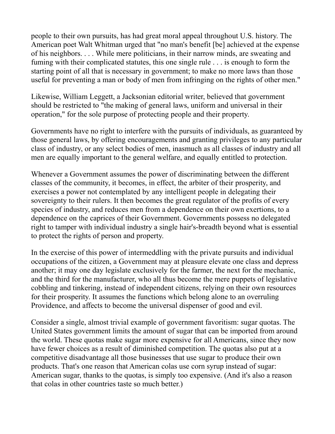people to their own pursuits, has had great moral appeal throughout U.S. history. The American poet Walt Whitman urged that "no man's benefit [be] achieved at the expense of his neighbors. . . . While mere politicians, in their narrow minds, are sweating and fuming with their complicated statutes, this one single rule . . . is enough to form the starting point of all that is necessary in government; to make no more laws than those useful for preventing a man or body of men from infringing on the rights of other men."

Likewise, William Leggett, a Jacksonian editorial writer, believed that government should be restricted to "the making of general laws, uniform and universal in their operation," for the sole purpose of protecting people and their property.

Governments have no right to interfere with the pursuits of individuals, as guaranteed by those general laws, by offering encouragements and granting privileges to any particular class of industry, or any select bodies of men, inasmuch as all classes of industry and all men are equally important to the general welfare, and equally entitled to protection.

Whenever a Government assumes the power of discriminating between the different classes of the community, it becomes, in effect, the arbiter of their prosperity, and exercises a power not contemplated by any intelligent people in delegating their sovereignty to their rulers. It then becomes the great regulator of the profits of every species of industry, and reduces men from a dependence on their own exertions, to a dependence on the caprices of their Government. Governments possess no delegated right to tamper with individual industry a single hair's-breadth beyond what is essential to protect the rights of person and property.

In the exercise of this power of intermeddling with the private pursuits and individual occupations of the citizen, a Government may at pleasure elevate one class and depress another; it may one day legislate exclusively for the farmer, the next for the mechanic, and the third for the manufacturer, who all thus become the mere puppets of legislative cobbling and tinkering, instead of independent citizens, relying on their own resources for their prosperity. It assumes the functions which belong alone to an overruling Providence, and affects to become the universal dispenser of good and evil.

Consider a single, almost trivial example of government favoritism: sugar quotas. The United States government limits the amount of sugar that can be imported from around the world. These quotas make sugar more expensive for all Americans, since they now have fewer choices as a result of diminished competition. The quotas also put at a competitive disadvantage all those businesses that use sugar to produce their own products. That's one reason that American colas use corn syrup instead of sugar: American sugar, thanks to the quotas, is simply too expensive. (And it's also a reason that colas in other countries taste so much better.)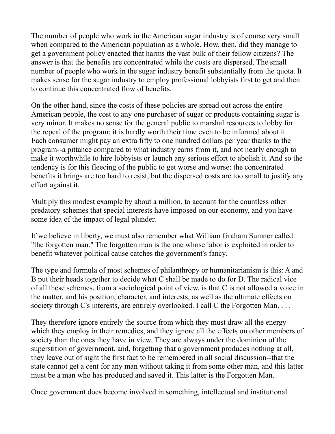The number of people who work in the American sugar industry is of course very small when compared to the American population as a whole. How, then, did they manage to get a government policy enacted that harms the vast bulk of their fellow citizens? The answer is that the benefits are concentrated while the costs are dispersed. The small number of people who work in the sugar industry benefit substantially from the quota. It makes sense for the sugar industry to employ professional lobbyists first to get and then to continue this concentrated flow of benefits.

On the other hand, since the costs of these policies are spread out across the entire American people, the cost to any one purchaser of sugar or products containing sugar is very minor. It makes no sense for the general public to marshal resources to lobby for the repeal of the program; it is hardly worth their time even to be informed about it. Each consumer might pay an extra fifty to one hundred dollars per year thanks to the program--a pittance compared to what industry earns from it, and not nearly enough to make it worthwhile to hire lobbyists or launch any serious effort to abolish it. And so the tendency is for this fleecing of the public to get worse and worse: the concentrated benefits it brings are too hard to resist, but the dispersed costs are too small to justify any effort against it.

Multiply this modest example by about a million, to account for the countless other predatory schemes that special interests have imposed on our economy, and you have some idea of the impact of legal plunder.

If we believe in liberty, we must also remember what William Graham Sumner called "the forgotten man." The forgotten man is the one whose labor is exploited in order to benefit whatever political cause catches the government's fancy.

The type and formula of most schemes of philanthropy or humanitarianism is this: A and B put their heads together to decide what C shall be made to do for D. The radical vice of all these schemes, from a sociological point of view, is that C is not allowed a voice in the matter, and his position, character, and interests, as well as the ultimate effects on society through C's interests, are entirely overlooked. I call C the Forgotten Man. . . .

They therefore ignore entirely the source from which they must draw all the energy which they employ in their remedies, and they ignore all the effects on other members of society than the ones they have in view. They are always under the dominion of the superstition of government, and, forgetting that a government produces nothing at all, they leave out of sight the first fact to be remembered in all social discussion--that the state cannot get a cent for any man without taking it from some other man, and this latter must be a man who has produced and saved it. This latter is the Forgotten Man.

Once government does become involved in something, intellectual and institutional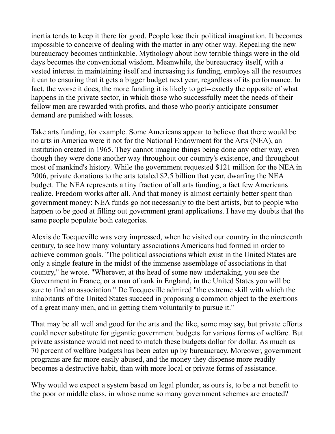inertia tends to keep it there for good. People lose their political imagination. It becomes impossible to conceive of dealing with the matter in any other way. Repealing the new bureaucracy becomes unthinkable. Mythology about how terrible things were in the old days becomes the conventional wisdom. Meanwhile, the bureaucracy itself, with a vested interest in maintaining itself and increasing its funding, employs all the resources it can to ensuring that it gets a bigger budget next year, regardless of its performance. In fact, the worse it does, the more funding it is likely to get--exactly the opposite of what happens in the private sector, in which those who successfully meet the needs of their fellow men are rewarded with profits, and those who poorly anticipate consumer demand are punished with losses.

Take arts funding, for example. Some Americans appear to believe that there would be no arts in America were it not for the National Endowment for the Arts (NEA), an institution created in 1965. They cannot imagine things being done any other way, even though they were done another way throughout our country's existence, and throughout most of mankind's history. While the government requested \$121 million for the NEA in 2006, private donations to the arts totaled \$2.5 billion that year, dwarfing the NEA budget. The NEA represents a tiny fraction of all arts funding, a fact few Americans realize. Freedom works after all. And that money is almost certainly better spent than government money: NEA funds go not necessarily to the best artists, but to people who happen to be good at filling out government grant applications. I have my doubts that the same people populate both categories.

Alexis de Tocqueville was very impressed, when he visited our country in the nineteenth century, to see how many voluntary associations Americans had formed in order to achieve common goals. "The political associations which exist in the United States are only a single feature in the midst of the immense assemblage of associations in that country," he wrote. "Wherever, at the head of some new undertaking, you see the Government in France, or a man of rank in England, in the United States you will be sure to find an association." De Tocqueville admired "the extreme skill with which the inhabitants of the United States succeed in proposing a common object to the exertions of a great many men, and in getting them voluntarily to pursue it."

That may be all well and good for the arts and the like, some may say, but private efforts could never substitute for gigantic government budgets for various forms of welfare. But private assistance would not need to match these budgets dollar for dollar. As much as 70 percent of welfare budgets has been eaten up by bureaucracy. Moreover, government programs are far more easily abused, and the money they dispense more readily becomes a destructive habit, than with more local or private forms of assistance.

Why would we expect a system based on legal plunder, as ours is, to be a net benefit to the poor or middle class, in whose name so many government schemes are enacted?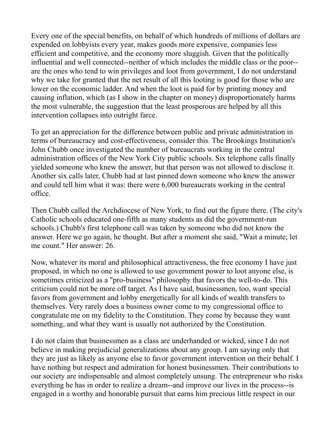Every one of the special benefits, on behalf of which hundreds of millions of dollars are expended on lobbyists every year, makes goods more expensive, companies less efficient and competitive, and the economy more sluggish. Given that the politically influential and well connected--neither of which includes the middle class or the poor- are the ones who tend to win privileges and loot from government, I do not understand why we take for granted that the net result of all this looting is good for those who are lower on the economic ladder. And when the loot is paid for by printing money and causing inflation, which (as I show in the chapter on money) disproportionately harms the most vulnerable, the suggestion that the least prosperous are helped by all this intervention collapses into outright farce.

To get an appreciation for the difference between public and private administration in terms of bureaucracy and cost-effectiveness, consider this. The Brookings Institution's John Chubb once investigated the number of bureaucrats working in the central administration offices of the New York City public schools. Six telephone calls finally yielded someone who knew the answer, but that person was not allowed to disclose it. Another six calls later, Chubb had at last pinned down someone who knew the answer and could tell him what it was: there were 6,000 bureaucrats working in the central office.

Then Chubb called the Archdiocese of New York, to find out the figure there. (The city's Catholic schools educated one-fifth as many students as did the government-run schools.) Chubb's first telephone call was taken by someone who did not know the answer. Here we go again, he thought. But after a moment she said, "Wait a minute; let me count." Her answer: 26.

Now, whatever its moral and philosophical attractiveness, the free economy I have just proposed, in which no one is allowed to use government power to loot anyone else, is sometimes criticized as a "pro-business" philosophy that favors the well-to-do. This criticism could not be more off target. As I have said, businessmen, too, want special favors from government and lobby energetically for all kinds of wealth transfers to themselves. Very rarely does a business owner come to my congressional office to congratulate me on my fidelity to the Constitution. They come by because they want something, and what they want is usually not authorized by the Constitution.

I do not claim that businessmen as a class are underhanded or wicked, since I do not believe in making prejudicial generalizations about any group. I am saying only that they are just as likely as anyone else to favor government intervention on their behalf. I have nothing but respect and admiration for honest businessmen. Their contributions to our society are indispensable and almost completely unsung. The entrepreneur who risks everything he has in order to realize a dream--and improve our lives in the process--is engaged in a worthy and honorable pursuit that earns him precious little respect in our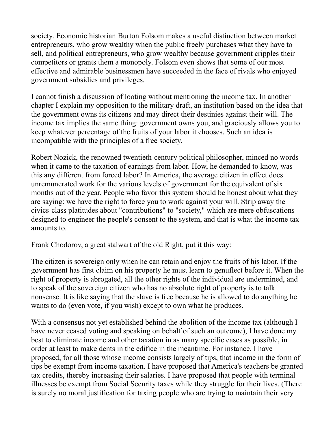society. Economic historian Burton Folsom makes a useful distinction between market entrepreneurs, who grow wealthy when the public freely purchases what they have to sell, and political entrepreneurs, who grow wealthy because government cripples their competitors or grants them a monopoly. Folsom even shows that some of our most effective and admirable businessmen have succeeded in the face of rivals who enjoyed government subsidies and privileges.

I cannot finish a discussion of looting without mentioning the income tax. In another chapter I explain my opposition to the military draft, an institution based on the idea that the government owns its citizens and may direct their destinies against their will. The income tax implies the same thing: government owns you, and graciously allows you to keep whatever percentage of the fruits of your labor it chooses. Such an idea is incompatible with the principles of a free society.

Robert Nozick, the renowned twentieth-century political philosopher, minced no words when it came to the taxation of earnings from labor. How, he demanded to know, was this any different from forced labor? In America, the average citizen in effect does unremunerated work for the various levels of government for the equivalent of six months out of the year. People who favor this system should be honest about what they are saying: we have the right to force you to work against your will. Strip away the civics-class platitudes about "contributions" to "society," which are mere obfuscations designed to engineer the people's consent to the system, and that is what the income tax amounts to.

Frank Chodorov, a great stalwart of the old Right, put it this way:

The citizen is sovereign only when he can retain and enjoy the fruits of his labor. If the government has first claim on his property he must learn to genuflect before it. When the right of property is abrogated, all the other rights of the individual are undermined, and to speak of the sovereign citizen who has no absolute right of property is to talk nonsense. It is like saying that the slave is free because he is allowed to do anything he wants to do (even vote, if you wish) except to own what he produces.

With a consensus not yet established behind the abolition of the income tax (although I have never ceased voting and speaking on behalf of such an outcome), I have done my best to eliminate income and other taxation in as many specific cases as possible, in order at least to make dents in the edifice in the meantime. For instance, I have proposed, for all those whose income consists largely of tips, that income in the form of tips be exempt from income taxation. I have proposed that America's teachers be granted tax credits, thereby increasing their salaries. I have proposed that people with terminal illnesses be exempt from Social Security taxes while they struggle for their lives. (There is surely no moral justification for taxing people who are trying to maintain their very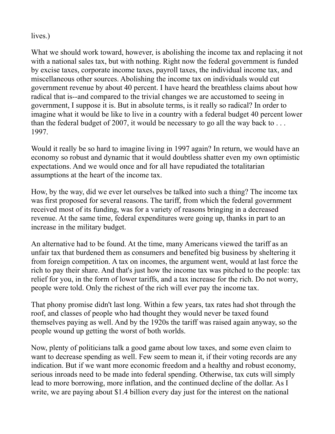## lives.)

What we should work toward, however, is abolishing the income tax and replacing it not with a national sales tax, but with nothing. Right now the federal government is funded by excise taxes, corporate income taxes, payroll taxes, the individual income tax, and miscellaneous other sources. Abolishing the income tax on individuals would cut government revenue by about 40 percent. I have heard the breathless claims about how radical that is--and compared to the trivial changes we are accustomed to seeing in government, I suppose it is. But in absolute terms, is it really so radical? In order to imagine what it would be like to live in a country with a federal budget 40 percent lower than the federal budget of 2007, it would be necessary to go all the way back to . . . 1997.

Would it really be so hard to imagine living in 1997 again? In return, we would have an economy so robust and dynamic that it would doubtless shatter even my own optimistic expectations. And we would once and for all have repudiated the totalitarian assumptions at the heart of the income tax.

How, by the way, did we ever let ourselves be talked into such a thing? The income tax was first proposed for several reasons. The tariff, from which the federal government received most of its funding, was for a variety of reasons bringing in a decreased revenue. At the same time, federal expenditures were going up, thanks in part to an increase in the military budget.

An alternative had to be found. At the time, many Americans viewed the tariff as an unfair tax that burdened them as consumers and benefited big business by sheltering it from foreign competition. A tax on incomes, the argument went, would at last force the rich to pay their share. And that's just how the income tax was pitched to the people: tax relief for you, in the form of lower tariffs, and a tax increase for the rich. Do not worry, people were told. Only the richest of the rich will ever pay the income tax.

That phony promise didn't last long. Within a few years, tax rates had shot through the roof, and classes of people who had thought they would never be taxed found themselves paying as well. And by the 1920s the tariff was raised again anyway, so the people wound up getting the worst of both worlds.

Now, plenty of politicians talk a good game about low taxes, and some even claim to want to decrease spending as well. Few seem to mean it, if their voting records are any indication. But if we want more economic freedom and a healthy and robust economy, serious inroads need to be made into federal spending. Otherwise, tax cuts will simply lead to more borrowing, more inflation, and the continued decline of the dollar. As I write, we are paying about \$1.4 billion every day just for the interest on the national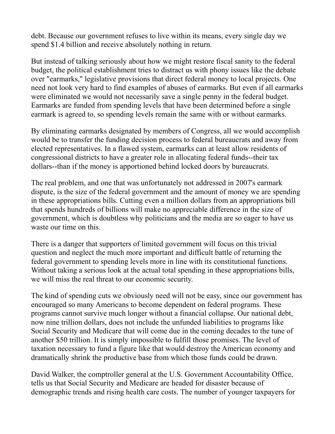debt. Because our government refuses to live within its means, every single day we spend \$1.4 billion and receive absolutely nothing in return.

But instead of talking seriously about how we might restore fiscal sanity to the federal budget, the political establishment tries to distract us with phony issues like the debate over "earmarks," legislative provisions that direct federal money to local projects. One need not look very hard to find examples of abuses of earmarks. But even if all earmarks were eliminated we would not necessarily save a single penny in the federal budget. Earmarks are funded from spending levels that have been determined before a single earmark is agreed to, so spending levels remain the same with or without earmarks.

By eliminating earmarks designated by members of Congress, all we would accomplish would be to transfer the funding decision process to federal bureaucrats and away from elected representatives. In a flawed system, earmarks can at least allow residents of congressional districts to have a greater role in allocating federal funds--their tax dollars--than if the money is apportioned behind locked doors by bureaucrats.

The real problem, and one that was unfortunately not addressed in 2007's earmark dispute, is the size of the federal government and the amount of money we are spending in these appropriations bills. Cutting even a million dollars from an appropriations bill that spends hundreds of billions will make no appreciable difference in the size of government, which is doubtless why politicians and the media are so eager to have us waste our time on this.

There is a danger that supporters of limited government will focus on this trivial question and neglect the much more important and difficult battle of returning the federal government to spending levels more in line with its constitutional functions. Without taking a serious look at the actual total spending in these appropriations bills, we will miss the real threat to our economic security.

The kind of spending cuts we obviously need will not be easy, since our government has encouraged so many Americans to become dependent on federal programs. These programs cannot survive much longer without a financial collapse. Our national debt, now nine trillion dollars, does not include the unfunded liabilities to programs like Social Security and Medicare that will come due in the coming decades to the tune of another \$50 trillion. It is simply impossible to fulfill those promises. The level of taxation necessary to fund a figure like that would destroy the American economy and dramatically shrink the productive base from which those funds could be drawn.

David Walker, the comptroller general at the U.S. Government Accountability Office, tells us that Social Security and Medicare are headed for disaster because of demographic trends and rising health care costs. The number of younger taxpayers for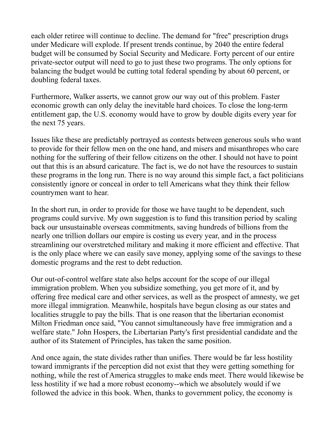each older retiree will continue to decline. The demand for "free" prescription drugs under Medicare will explode. If present trends continue, by 2040 the entire federal budget will be consumed by Social Security and Medicare. Forty percent of our entire private-sector output will need to go to just these two programs. The only options for balancing the budget would be cutting total federal spending by about 60 percent, or doubling federal taxes.

Furthermore, Walker asserts, we cannot grow our way out of this problem. Faster economic growth can only delay the inevitable hard choices. To close the long-term entitlement gap, the U.S. economy would have to grow by double digits every year for the next 75 years.

Issues like these are predictably portrayed as contests between generous souls who want to provide for their fellow men on the one hand, and misers and misanthropes who care nothing for the suffering of their fellow citizens on the other. I should not have to point out that this is an absurd caricature. The fact is, we do not have the resources to sustain these programs in the long run. There is no way around this simple fact, a fact politicians consistently ignore or conceal in order to tell Americans what they think their fellow countrymen want to hear.

In the short run, in order to provide for those we have taught to be dependent, such programs could survive. My own suggestion is to fund this transition period by scaling back our unsustainable overseas commitments, saving hundreds of billions from the nearly one trillion dollars our empire is costing us every year, and in the process streamlining our overstretched military and making it more efficient and effective. That is the only place where we can easily save money, applying some of the savings to these domestic programs and the rest to debt reduction.

Our out-of-control welfare state also helps account for the scope of our illegal immigration problem. When you subsidize something, you get more of it, and by offering free medical care and other services, as well as the prospect of amnesty, we get more illegal immigration. Meanwhile, hospitals have begun closing as our states and localities struggle to pay the bills. That is one reason that the libertarian economist Milton Friedman once said, "You cannot simultaneously have free immigration and a welfare state." John Hospers, the Libertarian Party's first presidential candidate and the author of its Statement of Principles, has taken the same position.

And once again, the state divides rather than unifies. There would be far less hostility toward immigrants if the perception did not exist that they were getting something for nothing, while the rest of America struggles to make ends meet. There would likewise be less hostility if we had a more robust economy--which we absolutely would if we followed the advice in this book. When, thanks to government policy, the economy is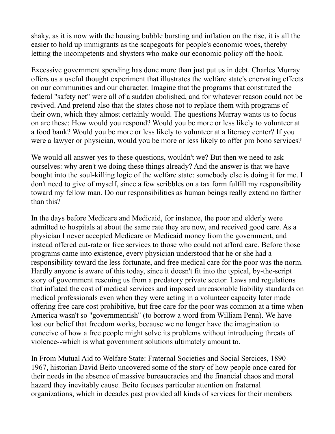shaky, as it is now with the housing bubble bursting and inflation on the rise, it is all the easier to hold up immigrants as the scapegoats for people's economic woes, thereby letting the incompetents and shysters who make our economic policy off the hook.

Excessive government spending has done more than just put us in debt. Charles Murray offers us a useful thought experiment that illustrates the welfare state's enervating effects on our communities and our character. Imagine that the programs that constituted the federal "safety net" were all of a sudden abolished, and for whatever reason could not be revived. And pretend also that the states chose not to replace them with programs of their own, which they almost certainly would. The questions Murray wants us to focus on are these: How would you respond? Would you be more or less likely to volunteer at a food bank? Would you be more or less likely to volunteer at a literacy center? If you were a lawyer or physician, would you be more or less likely to offer pro bono services?

We would all answer yes to these questions, wouldn't we? But then we need to ask ourselves: why aren't we doing these things already? And the answer is that we have bought into the soul-killing logic of the welfare state: somebody else is doing it for me. I don't need to give of myself, since a few scribbles on a tax form fulfill my responsibility toward my fellow man. Do our responsibilities as human beings really extend no farther than this?

In the days before Medicare and Medicaid, for instance, the poor and elderly were admitted to hospitals at about the same rate they are now, and received good care. As a physician I never accepted Medicare or Medicaid money from the government, and instead offered cut-rate or free services to those who could not afford care. Before those programs came into existence, every physician understood that he or she had a responsibility toward the less fortunate, and free medical care for the poor was the norm. Hardly anyone is aware of this today, since it doesn't fit into the typical, by-the-script story of government rescuing us from a predatory private sector. Laws and regulations that inflated the cost of medical services and imposed unreasonable liability standards on medical professionals even when they were acting in a volunteer capacity later made offering free care cost prohibitive, but free care for the poor was common at a time when America wasn't so "governmentish" (to borrow a word from William Penn). We have lost our belief that freedom works, because we no longer have the imagination to conceive of how a free people might solve its problems without introducing threats of violence--which is what government solutions ultimately amount to.

In From Mutual Aid to Welfare State: Fraternal Societies and Social Sercices, 1890- 1967, historian David Beito uncovered some of the story of how people once cared for their needs in the absence of massive bureaucracies and the financial chaos and moral hazard they inevitably cause. Beito focuses particular attention on fraternal organizations, which in decades past provided all kinds of services for their members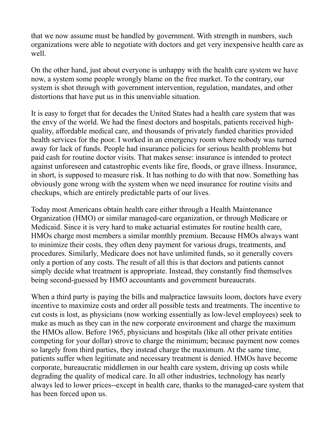that we now assume must be handled by government. With strength in numbers, such organizations were able to negotiate with doctors and get very inexpensive health care as well.

On the other hand, just about everyone is unhappy with the health care system we have now, a system some people wrongly blame on the free market. To the contrary, our system is shot through with government intervention, regulation, mandates, and other distortions that have put us in this unenviable situation.

It is easy to forget that for decades the United States had a health care system that was the envy of the world. We had the finest doctors and hospitals, patients received highquality, affordable medical care, and thousands of privately funded charities provided health services for the poor. I worked in an emergency room where nobody was turned away for lack of funds. People had insurance policies for serious health problems but paid cash for routine doctor visits. That makes sense: insurance is intended to protect against unforeseen and catastrophic events like fire, floods, or grave illness. Insurance, in short, is supposed to measure risk. It has nothing to do with that now. Something has obviously gone wrong with the system when we need insurance for routine visits and checkups, which are entirely predictable parts of our lives.

Today most Americans obtain health care either through a Health Maintenance Organization (HMO) or similar managed-care organization, or through Medicare or Medicaid. Since it is very hard to make actuarial estimates for routine health care, HMOs charge most members a similar monthly premium. Because HMOs always want to minimize their costs, they often deny payment for various drugs, treatments, and procedures. Similarly, Medicare does not have unlimited funds, so it generally covers only a portion of any costs. The result of all this is that doctors and patients cannot simply decide what treatment is appropriate. Instead, they constantly find themselves being second-guessed by HMO accountants and government bureaucrats.

When a third party is paying the bills and malpractice lawsuits loom, doctors have every incentive to maximize costs and order all possible tests and treatments. The incentive to cut costs is lost, as physicians (now working essentially as low-level employees) seek to make as much as they can in the new corporate environment and charge the maximum the HMOs allow. Before 1965, physicians and hospitals (like all other private entities competing for your dollar) strove to charge the minimum; because payment now comes so largely from third parties, they instead charge the maximum. At the same time, patients suffer when legitimate and necessary treatment is denied. HMOs have become corporate, bureaucratic middlemen in our health care system, driving up costs while degrading the quality of medical care. In all other industries, technology has nearly always led to lower prices--except in health care, thanks to the managed-care system that has been forced upon us.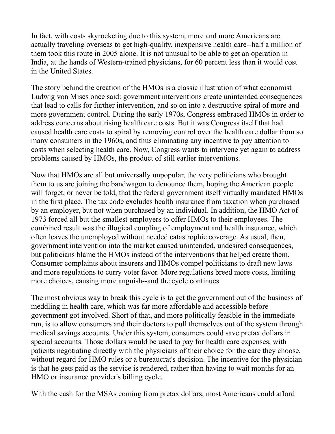In fact, with costs skyrocketing due to this system, more and more Americans are actually traveling overseas to get high-quality, inexpensive health care--half a million of them took this route in 2005 alone. It is not unusual to be able to get an operation in India, at the hands of Western-trained physicians, for 60 percent less than it would cost in the United States.

The story behind the creation of the HMOs is a classic illustration of what economist Ludwig von Mises once said: government interventions create unintended consequences that lead to calls for further intervention, and so on into a destructive spiral of more and more government control. During the early 1970s, Congress embraced HMOs in order to address concerns about rising health care costs. But it was Congress itself that had caused health care costs to spiral by removing control over the health care dollar from so many consumers in the 1960s, and thus eliminating any incentive to pay attention to costs when selecting health care. Now, Congress wants to intervene yet again to address problems caused by HMOs, the product of still earlier interventions.

Now that HMOs are all but universally unpopular, the very politicians who brought them to us are joining the bandwagon to denounce them, hoping the American people will forget, or never be told, that the federal government itself virtually mandated HMOs in the first place. The tax code excludes health insurance from taxation when purchased by an employer, but not when purchased by an individual. In addition, the HMO Act of 1973 forced all but the smallest employers to offer HMOs to their employees. The combined result was the illogical coupling of employment and health insurance, which often leaves the unemployed without needed catastrophic coverage. As usual, then, government intervention into the market caused unintended, undesired consequences, but politicians blame the HMOs instead of the interventions that helped create them. Consumer complaints about insurers and HMOs compel politicians to draft new laws and more regulations to curry voter favor. More regulations breed more costs, limiting more choices, causing more anguish--and the cycle continues.

The most obvious way to break this cycle is to get the government out of the business of meddling in health care, which was far more affordable and accessible before government got involved. Short of that, and more politically feasible in the immediate run, is to allow consumers and their doctors to pull themselves out of the system through medical savings accounts. Under this system, consumers could save pretax dollars in special accounts. Those dollars would be used to pay for health care expenses, with patients negotiating directly with the physicians of their choice for the care they choose, without regard for HMO rules or a bureaucrat's decision. The incentive for the physician is that he gets paid as the service is rendered, rather than having to wait months for an HMO or insurance provider's billing cycle.

With the cash for the MSAs coming from pretax dollars, most Americans could afford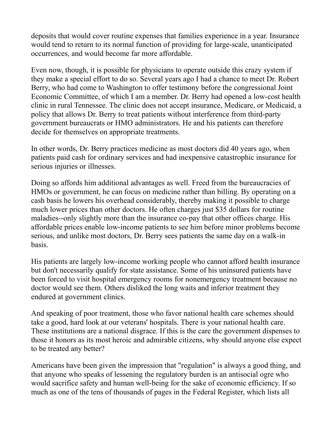deposits that would cover routine expenses that families experience in a year. Insurance would tend to return to its normal function of providing for large-scale, unanticipated occurrences, and would become far more affordable.

Even now, though, it is possible for physicians to operate outside this crazy system if they make a special effort to do so. Several years ago I had a chance to meet Dr. Robert Berry, who had come to Washington to offer testimony before the congressional Joint Economic Committee, of which I am a member. Dr. Berry had opened a low-cost health clinic in rural Tennessee. The clinic does not accept insurance, Medicare, or Medicaid, a policy that allows Dr. Berry to treat patients without interference from third-party government bureaucrats or HMO administrators. He and his patients can therefore decide for themselves on appropriate treatments.

In other words, Dr. Berry practices medicine as most doctors did 40 years ago, when patients paid cash for ordinary services and had inexpensive catastrophic insurance for serious injuries or illnesses.

Doing so affords him additional advantages as well. Freed from the bureaucracies of HMOs or government, he can focus on medicine rather than billing. By operating on a cash basis he lowers his overhead considerably, thereby making it possible to charge much lower prices than other doctors. He often charges just \$35 dollars for routine maladies--only slightly more than the insurance co-pay that other offices charge. His affordable prices enable low-income patients to see him before minor problems become serious, and unlike most doctors, Dr. Berry sees patients the same day on a walk-in basis.

His patients are largely low-income working people who cannot afford health insurance but don't necessarily qualify for state assistance. Some of his uninsured patients have been forced to visit hospital emergency rooms for nonemergency treatment because no doctor would see them. Others disliked the long waits and inferior treatment they endured at government clinics.

And speaking of poor treatment, those who favor national health care schemes should take a good, hard look at our veterans' hospitals. There is your national health care. These institutions are a national disgrace. If this is the care the government dispenses to those it honors as its most heroic and admirable citizens, why should anyone else expect to be treated any better?

Americans have been given the impression that "regulation" is always a good thing, and that anyone who speaks of lessening the regulatory burden is an antisocial ogre who would sacrifice safety and human well-being for the sake of economic efficiency. If so much as one of the tens of thousands of pages in the Federal Register, which lists all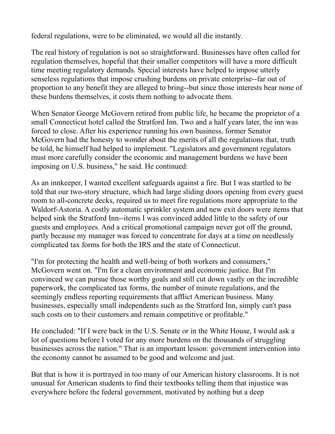federal regulations, were to be eliminated, we would all die instantly.

The real history of regulation is not so straightforward. Businesses have often called for regulation themselves, hopeful that their smaller competitors will have a more difficult time meeting regulatory demands. Special interests have helped to impose utterly senseless regulations that impose crushing burdens on private enterprise--far out of proportion to any benefit they are alleged to bring--but since those interests bear none of these burdens themselves, it costs them nothing to advocate them.

When Senator George McGovern retired from public life, he became the proprietor of a small Connecticut hotel called the Stratford Inn. Two and a half years later, the inn was forced to close. After his experience running his own business, former Senator McGovern had the honesty to wonder about the merits of all the regulations that, truth be told, he himself had helped to implement. "Legislators and government regulators must more carefully consider the economic and management burdens we have been imposing on U.S. business," he said. He continued:

As an innkeeper, I wanted excellent safeguards against a fire. But I was startled to be told that our two-story structure, which had large sliding doors opening from every guest room to all-concrete decks, required us to meet fire regulations more appropriate to the Waldorf-Astoria. A costly automatic sprinkler system and new exit doors were items that helped sink the Stratford Inn--items I was convinced added little to the safety of our guests and employees. And a critical promotional campaign never got off the ground, partly because my manager was forced to concentrate for days at a time on needlessly complicated tax forms for both the IRS and the state of Connecticut.

"I'm for protecting the health and well-being of both workers and consumers," McGovern went on. "I'm for a clean environment and economic justice. But I'm convinced we can pursue those worthy goals and still cut down vastly on the incredible paperwork, the complicated tax forms, the number of minute regulations, and the seemingly endless reporting requirements that afflict American business. Many businesses, especially small independents such as the Stratford Inn, simply can't pass such costs on to their customers and remain competitive or profitable."

He concluded: "If I were back in the U.S. Senate or in the White House, I would ask a lot of questions before I voted for any more burdens on the thousands of struggling businesses across the nation." That is an important lesson: government intervention into the economy cannot be assumed to be good and welcome and just.

But that is how it is portrayed in too many of our American history classrooms. It is not unusual for American students to find their textbooks telling them that injustice was everywhere before the federal government, motivated by nothing but a deep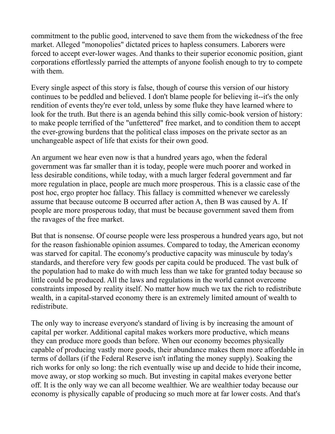commitment to the public good, intervened to save them from the wickedness of the free market. Alleged "monopolies" dictated prices to hapless consumers. Laborers were forced to accept ever-lower wages. And thanks to their superior economic position, giant corporations effortlessly parried the attempts of anyone foolish enough to try to compete with them.

Every single aspect of this story is false, though of course this version of our history continues to be peddled and believed. I don't blame people for believing it--it's the only rendition of events they're ever told, unless by some fluke they have learned where to look for the truth. But there is an agenda behind this silly comic-book version of history: to make people terrified of the "unfettered" free market, and to condition them to accept the ever-growing burdens that the political class imposes on the private sector as an unchangeable aspect of life that exists for their own good.

An argument we hear even now is that a hundred years ago, when the federal government was far smaller than it is today, people were much poorer and worked in less desirable conditions, while today, with a much larger federal government and far more regulation in place, people are much more prosperous. This is a classic case of the post hoc, ergo propter hoc fallacy. This fallacy is committed whenever we carelessly assume that because outcome B occurred after action A, then B was caused by A. If people are more prosperous today, that must be because government saved them from the ravages of the free market.

But that is nonsense. Of course people were less prosperous a hundred years ago, but not for the reason fashionable opinion assumes. Compared to today, the American economy was starved for capital. The economy's productive capacity was minuscule by today's standards, and therefore very few goods per capita could be produced. The vast bulk of the population had to make do with much less than we take for granted today because so little could be produced. All the laws and regulations in the world cannot overcome constraints imposed by reality itself. No matter how much we tax the rich to redistribute wealth, in a capital-starved economy there is an extremely limited amount of wealth to redistribute.

The only way to increase everyone's standard of living is by increasing the amount of capital per worker. Additional capital makes workers more productive, which means they can produce more goods than before. When our economy becomes physically capable of producing vastly more goods, their abundance makes them more affordable in terms of dollars (if the Federal Reserve isn't inflating the money supply). Soaking the rich works for only so long: the rich eventually wise up and decide to hide their income, move away, or stop working so much. But investing in capital makes everyone better off. It is the only way we can all become wealthier. We are wealthier today because our economy is physically capable of producing so much more at far lower costs. And that's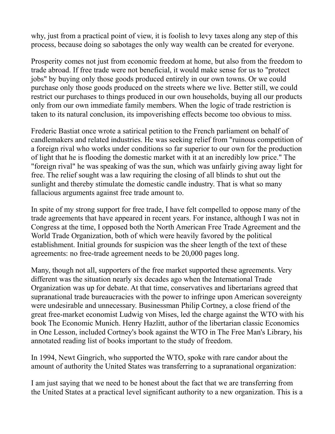why, just from a practical point of view, it is foolish to levy taxes along any step of this process, because doing so sabotages the only way wealth can be created for everyone.

Prosperity comes not just from economic freedom at home, but also from the freedom to trade abroad. If free trade were not beneficial, it would make sense for us to "protect jobs" by buying only those goods produced entirely in our own towns. Or we could purchase only those goods produced on the streets where we live. Better still, we could restrict our purchases to things produced in our own households, buying all our products only from our own immediate family members. When the logic of trade restriction is taken to its natural conclusion, its impoverishing effects become too obvious to miss.

Frederic Bastiat once wrote a satirical petition to the French parliament on behalf of candlemakers and related industries. He was seeking relief from "ruinous competition of a foreign rival who works under conditions so far superior to our own for the production of light that he is flooding the domestic market with it at an incredibly low price." The "foreign rival" he was speaking of was the sun, which was unfairly giving away light for free. The relief sought was a law requiring the closing of all blinds to shut out the sunlight and thereby stimulate the domestic candle industry. That is what so many fallacious arguments against free trade amount to.

In spite of my strong support for free trade, I have felt compelled to oppose many of the trade agreements that have appeared in recent years. For instance, although I was not in Congress at the time, I opposed both the North American Free Trade Agreement and the World Trade Organization, both of which were heavily favored by the political establishment. Initial grounds for suspicion was the sheer length of the text of these agreements: no free-trade agreement needs to be 20,000 pages long.

Many, though not all, supporters of the free market supported these agreements. Very different was the situation nearly six decades ago when the International Trade Organization was up for debate. At that time, conservatives and libertarians agreed that supranational trade bureaucracies with the power to infringe upon American sovereignty were undesirable and unnecessary. Businessman Philip Cortney, a close friend of the great free-market economist Ludwig von Mises, led the charge against the WTO with his book The Economic Munich. Henry Hazlitt, author of the libertarian classic Economics in One Lesson, included Cortney's book against the WTO in The Free Man's Library, his annotated reading list of books important to the study of freedom.

In 1994, Newt Gingrich, who supported the WTO, spoke with rare candor about the amount of authority the United States was transferring to a supranational organization:

I am just saying that we need to be honest about the fact that we are transferring from the United States at a practical level significant authority to a new organization. This is a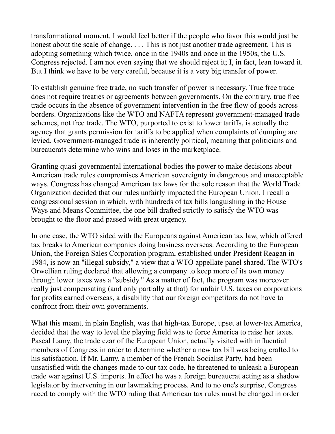transformational moment. I would feel better if the people who favor this would just be honest about the scale of change. . . . This is not just another trade agreement. This is adopting something which twice, once in the 1940s and once in the 1950s, the U.S. Congress rejected. I am not even saying that we should reject it; I, in fact, lean toward it. But I think we have to be very careful, because it is a very big transfer of power.

To establish genuine free trade, no such transfer of power is necessary. True free trade does not require treaties or agreements between governments. On the contrary, true free trade occurs in the absence of government intervention in the free flow of goods across borders. Organizations like the WTO and NAFTA represent government-managed trade schemes, not free trade. The WTO, purported to exist to lower tariffs, is actually the agency that grants permission for tariffs to be applied when complaints of dumping are levied. Government-managed trade is inherently political, meaning that politicians and bureaucrats determine who wins and loses in the marketplace.

Granting quasi-governmental international bodies the power to make decisions about American trade rules compromises American sovereignty in dangerous and unacceptable ways. Congress has changed American tax laws for the sole reason that the World Trade Organization decided that our rules unfairly impacted the European Union. I recall a congressional session in which, with hundreds of tax bills languishing in the House Ways and Means Committee, the one bill drafted strictly to satisfy the WTO was brought to the floor and passed with great urgency.

In one case, the WTO sided with the Europeans against American tax law, which offered tax breaks to American companies doing business overseas. According to the European Union, the Foreign Sales Corporation program, established under President Reagan in 1984, is now an "illegal subsidy," a view that a WTO appellate panel shared. The WTO's Orwellian ruling declared that allowing a company to keep more of its own money through lower taxes was a "subsidy." As a matter of fact, the program was moreover really just compensating (and only partially at that) for unfair U.S. taxes on corporations for profits earned overseas, a disability that our foreign competitors do not have to confront from their own governments.

What this meant, in plain English, was that high-tax Europe, upset at lower-tax America, decided that the way to level the playing field was to force America to raise her taxes. Pascal Lamy, the trade czar of the European Union, actually visited with influential members of Congress in order to determine whether a new tax bill was being crafted to his satisfaction. If Mr. Lamy, a member of the French Socialist Party, had been unsatisfied with the changes made to our tax code, he threatened to unleash a European trade war against U.S. imports. In effect he was a foreign bureaucrat acting as a shadow legislator by intervening in our lawmaking process. And to no one's surprise, Congress raced to comply with the WTO ruling that American tax rules must be changed in order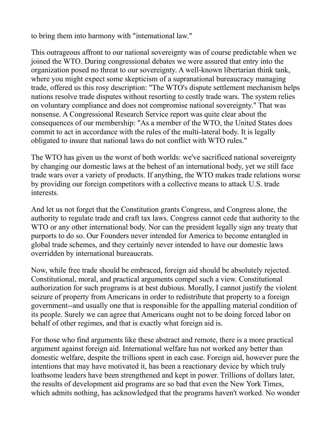to bring them into harmony with "international law."

This outrageous affront to our national sovereignty was of course predictable when we joined the WTO. During congressional debates we were assured that entry into the organization posed no threat to our sovereignty. A well-known libertarian think tank, where you might expect some skepticism of a supranational bureaucracy managing trade, offered us this rosy description: "The WTO's dispute settlement mechanism helps nations resolve trade disputes without resorting to costly trade wars. The system relies on voluntary compliance and does not compromise national sovereignty." That was nonsense. A Congressional Research Service report was quite clear about the consequences of our membership: "As a member of the WTO, the United States does commit to act in accordance with the rules of the multi-lateral body. It is legally obligated to insure that national laws do not conflict with WTO rules."

The WTO has given us the worst of both worlds: we've sacrificed national sovereignty by changing our domestic laws at the behest of an international body, yet we still face trade wars over a variety of products. If anything, the WTO makes trade relations worse by providing our foreign competitors with a collective means to attack U.S. trade interests.

And let us not forget that the Constitution grants Congress, and Congress alone, the authority to regulate trade and craft tax laws. Congress cannot cede that authority to the WTO or any other international body. Nor can the president legally sign any treaty that purports to do so. Our Founders never intended for America to become entangled in global trade schemes, and they certainly never intended to have our domestic laws overridden by international bureaucrats.

Now, while free trade should be embraced, foreign aid should be absolutely rejected. Constitutional, moral, and practical arguments compel such a view. Constitutional authorization for such programs is at best dubious. Morally, I cannot justify the violent seizure of property from Americans in order to redistribute that property to a foreign government--and usually one that is responsible for the appalling material condition of its people. Surely we can agree that Americans ought not to be doing forced labor on behalf of other regimes, and that is exactly what foreign aid is.

For those who find arguments like these abstract and remote, there is a more practical argument against foreign aid. International welfare has not worked any better than domestic welfare, despite the trillions spent in each case. Foreign aid, however pure the intentions that may have motivated it, has been a reactionary device by which truly loathsome leaders have been strengthened and kept in power. Trillions of dollars later, the results of development aid programs are so bad that even the New York Times, which admits nothing, has acknowledged that the programs haven't worked. No wonder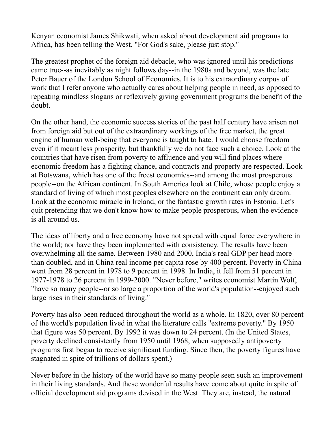Kenyan economist James Shikwati, when asked about development aid programs to Africa, has been telling the West, "For God's sake, please just stop."

The greatest prophet of the foreign aid debacle, who was ignored until his predictions came true--as inevitably as night follows day--in the 1980s and beyond, was the late Peter Bauer of the London School of Economics. It is to his extraordinary corpus of work that I refer anyone who actually cares about helping people in need, as opposed to repeating mindless slogans or reflexively giving government programs the benefit of the doubt.

On the other hand, the economic success stories of the past half century have arisen not from foreign aid but out of the extraordinary workings of the free market, the great engine of human well-being that everyone is taught to hate. I would choose freedom even if it meant less prosperity, but thankfully we do not face such a choice. Look at the countries that have risen from poverty to affluence and you will find places where economic freedom has a fighting chance, and contracts and property are respected. Look at Botswana, which has one of the freest economies--and among the most prosperous people--on the African continent. In South America look at Chile, whose people enjoy a standard of living of which most peoples elsewhere on the continent can only dream. Look at the economic miracle in Ireland, or the fantastic growth rates in Estonia. Let's quit pretending that we don't know how to make people prosperous, when the evidence is all around us.

The ideas of liberty and a free economy have not spread with equal force everywhere in the world; nor have they been implemented with consistency. The results have been overwhelming all the same. Between 1980 and 2000, India's real GDP per head more than doubled, and in China real income per capita rose by 400 percent. Poverty in China went from 28 percent in 1978 to 9 percent in 1998. In India, it fell from 51 percent in 1977-1978 to 26 percent in 1999-2000. "Never before," writes economist Martin Wolf, "have so many people--or so large a proportion of the world's population--enjoyed such large rises in their standards of living."

Poverty has also been reduced throughout the world as a whole. In 1820, over 80 percent of the world's population lived in what the literature calls "extreme poverty." By 1950 that figure was 50 percent. By 1992 it was down to 24 percent. (In the United States, poverty declined consistently from 1950 until 1968, when supposedly antipoverty programs first began to receive significant funding. Since then, the poverty figures have stagnated in spite of trillions of dollars spent.)

Never before in the history of the world have so many people seen such an improvement in their living standards. And these wonderful results have come about quite in spite of official development aid programs devised in the West. They are, instead, the natural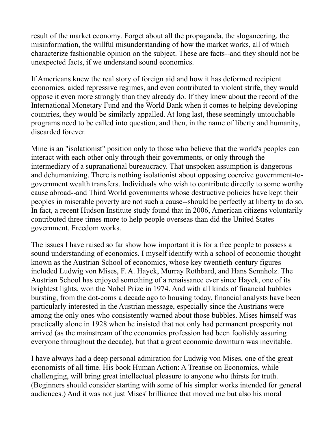result of the market economy. Forget about all the propaganda, the sloganeering, the misinformation, the willful misunderstanding of how the market works, all of which characterize fashionable opinion on the subject. These are facts--and they should not be unexpected facts, if we understand sound economics.

If Americans knew the real story of foreign aid and how it has deformed recipient economies, aided repressive regimes, and even contributed to violent strife, they would oppose it even more strongly than they already do. If they knew about the record of the International Monetary Fund and the World Bank when it comes to helping developing countries, they would be similarly appalled. At long last, these seemingly untouchable programs need to be called into question, and then, in the name of liberty and humanity, discarded forever.

Mine is an "isolationist" position only to those who believe that the world's peoples can interact with each other only through their governments, or only through the intermediary of a supranational bureaucracy. That unspoken assumption is dangerous and dehumanizing. There is nothing isolationist about opposing coercive government-togovernment wealth transfers. Individuals who wish to contribute directly to some worthy cause abroad--and Third World governments whose destructive policies have kept their peoples in miserable poverty are not such a cause--should be perfectly at liberty to do so. In fact, a recent Hudson Institute study found that in 2006, American citizens voluntarily contributed three times more to help people overseas than did the United States government. Freedom works.

The issues I have raised so far show how important it is for a free people to possess a sound understanding of economics. I myself identify with a school of economic thought known as the Austrian School of economics, whose key twentieth-century figures included Ludwig von Mises, F. A. Hayek, Murray Rothbard, and Hans Sennholz. The Austrian School has enjoyed something of a renaissance ever since Hayek, one of its brightest lights, won the Nobel Prize in 1974. And with all kinds of financial bubbles bursting, from the dot-coms a decade ago to housing today, financial analysts have been particularly interested in the Austrian message, especially since the Austrians were among the only ones who consistently warned about those bubbles. Mises himself was practically alone in 1928 when he insisted that not only had permanent prosperity not arrived (as the mainstream of the economics profession had been foolishly assuring everyone throughout the decade), but that a great economic downturn was inevitable.

I have always had a deep personal admiration for Ludwig von Mises, one of the great economists of all time. His book Human Action: A Treatise on Economics, while challenging, will bring great intellectual pleasure to anyone who thirsts for truth. (Beginners should consider starting with some of his simpler works intended for general audiences.) And it was not just Mises' brilliance that moved me but also his moral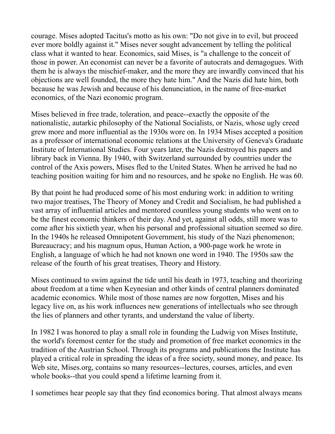courage. Mises adopted Tacitus's motto as his own: "Do not give in to evil, but proceed ever more boldly against it." Mises never sought advancement by telling the political class what it wanted to hear. Economics, said Mises, is "a challenge to the conceit of those in power. An economist can never be a favorite of autocrats and demagogues. With them he is always the mischief-maker, and the more they are inwardly convinced that his objections are well founded, the more they hate him." And the Nazis did hate him, both because he was Jewish and because of his denunciation, in the name of free-market economics, of the Nazi economic program.

Mises believed in free trade, toleration, and peace--exactly the opposite of the nationalistic, autarkic philosophy of the National Socialists, or Nazis, whose ugly creed grew more and more influential as the 1930s wore on. In 1934 Mises accepted a position as a professor of international economic relations at the University of Geneva's Graduate Institute of International Studies. Four years later, the Nazis destroyed his papers and library back in Vienna. By 1940, with Switzerland surrounded by countries under the control of the Axis powers, Mises fled to the United States. When he arrived he had no teaching position waiting for him and no resources, and he spoke no English. He was 60.

By that point he had produced some of his most enduring work: in addition to writing two major treatises, The Theory of Money and Credit and Socialism, he had published a vast array of influential articles and mentored countless young students who went on to be the finest economic thinkers of their day. And yet, against all odds, still more was to come after his sixtieth year, when his personal and professional situation seemed so dire. In the 1940s he released Omnipotent Government, his study of the Nazi phenomenon; Bureaucracy; and his magnum opus, Human Action, a 900-page work he wrote in English, a language of which he had not known one word in 1940. The 1950s saw the release of the fourth of his great treatises, Theory and History.

Mises continued to swim against the tide until his death in 1973, teaching and theorizing about freedom at a time when Keynesian and other kinds of central planners dominated academic economics. While most of those names are now forgotten, Mises and his legacy live on, as his work influences new generations of intellectuals who see through the lies of planners and other tyrants, and understand the value of liberty.

In 1982 I was honored to play a small role in founding the Ludwig von Mises Institute, the world's foremost center for the study and promotion of free market economics in the tradition of the Austrian School. Through its programs and publications the Institute has played a critical role in spreading the ideas of a free society, sound money, and peace. Its Web site, Mises.org, contains so many resources--lectures, courses, articles, and even whole books--that you could spend a lifetime learning from it.

I sometimes hear people say that they find economics boring. That almost always means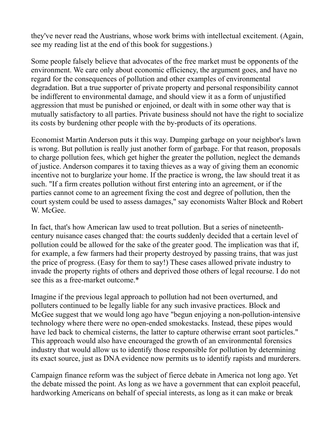they've never read the Austrians, whose work brims with intellectual excitement. (Again, see my reading list at the end of this book for suggestions.)

Some people falsely believe that advocates of the free market must be opponents of the environment. We care only about economic efficiency, the argument goes, and have no regard for the consequences of pollution and other examples of environmental degradation. But a true supporter of private property and personal responsibility cannot be indifferent to environmental damage, and should view it as a form of unjustified aggression that must be punished or enjoined, or dealt with in some other way that is mutually satisfactory to all parties. Private business should not have the right to socialize its costs by burdening other people with the by-products of its operations.

Economist Martin Anderson puts it this way. Dumping garbage on your neighbor's lawn is wrong. But pollution is really just another form of garbage. For that reason, proposals to charge pollution fees, which get higher the greater the pollution, neglect the demands of justice. Anderson compares it to taxing thieves as a way of giving them an economic incentive not to burglarize your home. If the practice is wrong, the law should treat it as such. "If a firm creates pollution without first entering into an agreement, or if the parties cannot come to an agreement fixing the cost and degree of pollution, then the court system could be used to assess damages," say economists Walter Block and Robert W. McGee.

In fact, that's how American law used to treat pollution. But a series of nineteenthcentury nuisance cases changed that: the courts suddenly decided that a certain level of pollution could be allowed for the sake of the greater good. The implication was that if, for example, a few farmers had their property destroyed by passing trains, that was just the price of progress. (Easy for them to say!) These cases allowed private industry to invade the property rights of others and deprived those others of legal recourse. I do not see this as a free-market outcome.\*

Imagine if the previous legal approach to pollution had not been overturned, and polluters continued to be legally liable for any such invasive practices. Block and McGee suggest that we would long ago have "begun enjoying a non-pollution-intensive technology where there were no open-ended smokestacks. Instead, these pipes would have led back to chemical cisterns, the latter to capture otherwise errant soot particles." This approach would also have encouraged the growth of an environmental forensics industry that would allow us to identify those responsible for pollution by determining its exact source, just as DNA evidence now permits us to identify rapists and murderers.

Campaign finance reform was the subject of fierce debate in America not long ago. Yet the debate missed the point. As long as we have a government that can exploit peaceful, hardworking Americans on behalf of special interests, as long as it can make or break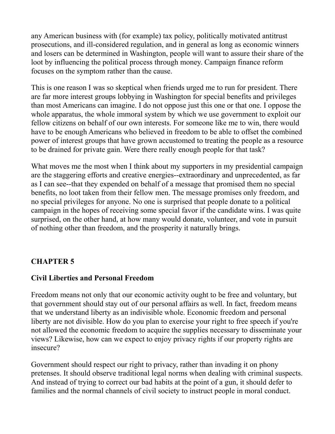any American business with (for example) tax policy, politically motivated antitrust prosecutions, and ill-considered regulation, and in general as long as economic winners and losers can be determined in Washington, people will want to assure their share of the loot by influencing the political process through money. Campaign finance reform focuses on the symptom rather than the cause.

This is one reason I was so skeptical when friends urged me to run for president. There are far more interest groups lobbying in Washington for special benefits and privileges than most Americans can imagine. I do not oppose just this one or that one. I oppose the whole apparatus, the whole immoral system by which we use government to exploit our fellow citizens on behalf of our own interests. For someone like me to win, there would have to be enough Americans who believed in freedom to be able to offset the combined power of interest groups that have grown accustomed to treating the people as a resource to be drained for private gain. Were there really enough people for that task?

What moves me the most when I think about my supporters in my presidential campaign are the staggering efforts and creative energies--extraordinary and unprecedented, as far as I can see--that they expended on behalf of a message that promised them no special benefits, no loot taken from their fellow men. The message promises only freedom, and no special privileges for anyone. No one is surprised that people donate to a political campaign in the hopes of receiving some special favor if the candidate wins. I was quite surprised, on the other hand, at how many would donate, volunteer, and vote in pursuit of nothing other than freedom, and the prosperity it naturally brings.

# **CHAPTER 5**

## **Civil Liberties and Personal Freedom**

Freedom means not only that our economic activity ought to be free and voluntary, but that government should stay out of our personal affairs as well. In fact, freedom means that we understand liberty as an indivisible whole. Economic freedom and personal liberty are not divisible. How do you plan to exercise your right to free speech if you're not allowed the economic freedom to acquire the supplies necessary to disseminate your views? Likewise, how can we expect to enjoy privacy rights if our property rights are insecure?

Government should respect our right to privacy, rather than invading it on phony pretenses. It should observe traditional legal norms when dealing with criminal suspects. And instead of trying to correct our bad habits at the point of a gun, it should defer to families and the normal channels of civil society to instruct people in moral conduct.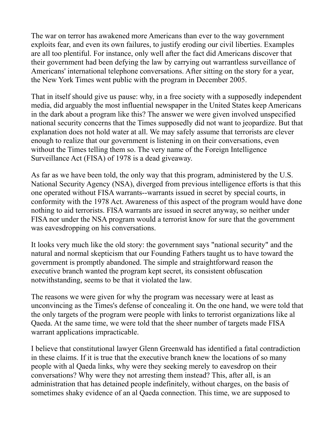The war on terror has awakened more Americans than ever to the way government exploits fear, and even its own failures, to justify eroding our civil liberties. Examples are all too plentiful. For instance, only well after the fact did Americans discover that their government had been defying the law by carrying out warrantless surveillance of Americans' international telephone conversations. After sitting on the story for a year, the New York Times went public with the program in December 2005.

That in itself should give us pause: why, in a free society with a supposedly independent media, did arguably the most influential newspaper in the United States keep Americans in the dark about a program like this? The answer we were given involved unspecified national security concerns that the Times supposedly did not want to jeopardize. But that explanation does not hold water at all. We may safely assume that terrorists are clever enough to realize that our government is listening in on their conversations, even without the Times telling them so. The very name of the Foreign Intelligence Surveillance Act (FISA) of 1978 is a dead giveaway.

As far as we have been told, the only way that this program, administered by the U.S. National Security Agency (NSA), diverged from previous intelligence efforts is that this one operated without FISA warrants--warrants issued in secret by special courts, in conformity with the 1978 Act. Awareness of this aspect of the program would have done nothing to aid terrorists. FISA warrants are issued in secret anyway, so neither under FISA nor under the NSA program would a terrorist know for sure that the government was eavesdropping on his conversations.

It looks very much like the old story: the government says "national security" and the natural and normal skepticism that our Founding Fathers taught us to have toward the government is promptly abandoned. The simple and straightforward reason the executive branch wanted the program kept secret, its consistent obfuscation notwithstanding, seems to be that it violated the law.

The reasons we were given for why the program was necessary were at least as unconvincing as the Times's defense of concealing it. On the one hand, we were told that the only targets of the program were people with links to terrorist organizations like al Qaeda. At the same time, we were told that the sheer number of targets made FISA warrant applications impracticable.

I believe that constitutional lawyer Glenn Greenwald has identified a fatal contradiction in these claims. If it is true that the executive branch knew the locations of so many people with al Qaeda links, why were they seeking merely to eavesdrop on their conversations? Why were they not arresting them instead? This, after all, is an administration that has detained people indefinitely, without charges, on the basis of sometimes shaky evidence of an al Qaeda connection. This time, we are supposed to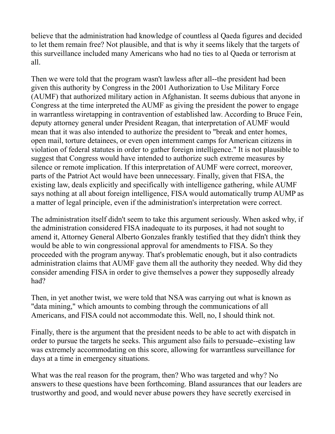believe that the administration had knowledge of countless al Qaeda figures and decided to let them remain free? Not plausible, and that is why it seems likely that the targets of this surveillance included many Americans who had no ties to al Qaeda or terrorism at all.

Then we were told that the program wasn't lawless after all--the president had been given this authority by Congress in the 2001 Authorization to Use Military Force (AUMF) that authorized military action in Afghanistan. It seems dubious that anyone in Congress at the time interpreted the AUMF as giving the president the power to engage in warrantless wiretapping in contravention of established law. According to Bruce Fein, deputy attorney general under President Reagan, that interpretation of AUMF would mean that it was also intended to authorize the president to "break and enter homes, open mail, torture detainees, or even open internment camps for American citizens in violation of federal statutes in order to gather foreign intelligence." It is not plausible to suggest that Congress would have intended to authorize such extreme measures by silence or remote implication. If this interpretation of AUMF were correct, moreover, parts of the Patriot Act would have been unnecessary. Finally, given that FISA, the existing law, deals explicitly and specifically with intelligence gathering, while AUMF says nothing at all about foreign intelligence, FISA would automatically trump AUMP as a matter of legal principle, even if the administration's interpretation were correct.

The administration itself didn't seem to take this argument seriously. When asked why, if the administration considered FISA inadequate to its purposes, it had not sought to amend it, Attorney General Alberto Gonzales frankly testified that they didn't think they would be able to win congressional approval for amendments to FISA. So they proceeded with the program anyway. That's problematic enough, but it also contradicts administration claims that AUMF gave them all the authority they needed. Why did they consider amending FISA in order to give themselves a power they supposedly already had?

Then, in yet another twist, we were told that NSA was carrying out what is known as "data mining," which amounts to combing through the communications of all Americans, and FISA could not accommodate this. Well, no, I should think not.

Finally, there is the argument that the president needs to be able to act with dispatch in order to pursue the targets he seeks. This argument also fails to persuade--existing law was extremely accommodating on this score, allowing for warrantless surveillance for days at a time in emergency situations.

What was the real reason for the program, then? Who was targeted and why? No answers to these questions have been forthcoming. Bland assurances that our leaders are trustworthy and good, and would never abuse powers they have secretly exercised in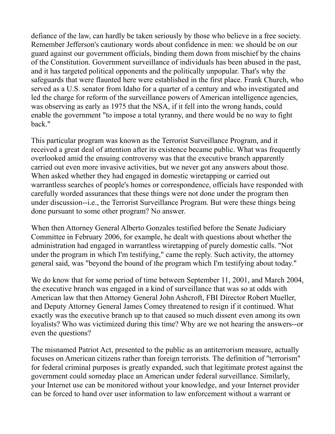defiance of the law, can hardly be taken seriously by those who believe in a free society. Remember Jefferson's cautionary words about confidence in men: we should be on our guard against our government officials, binding them down from mischief by the chains of the Constitution. Government surveillance of individuals has been abused in the past, and it has targeted political opponents and the politically unpopular. That's why the safeguards that were flaunted here were established in the first place. Frank Church, who served as a U.S. senator from Idaho for a quarter of a century and who investigated and led the charge for reform of the surveillance powers of American intelligence agencies, was observing as early as 1975 that the NSA, if it fell into the wrong hands, could enable the government "to impose a total tyranny, and there would be no way to fight back."

This particular program was known as the Terrorist Surveillance Program, and it received a great deal of attention after its existence became public. What was frequently overlooked amid the ensuing controversy was that the executive branch apparently carried out even more invasive activities, but we never got any answers about those. When asked whether they had engaged in domestic wiretapping or carried out warrantless searches of people's homes or correspondence, officials have responded with carefully worded assurances that these things were not done under the program then under discussion--i.e., the Terrorist Surveillance Program. But were these things being done pursuant to some other program? No answer.

When then Attorney General Alberto Gonzales testified before the Senate Judiciary Committee in February 2006, for example, he dealt with questions about whether the administration had engaged in warrantless wiretapping of purely domestic calls. "Not under the program in which I'm testifying," came the reply. Such activity, the attorney general said, was "beyond the bound of the program which I'm testifying about today."

We do know that for some period of time between September 11, 2001, and March 2004, the executive branch was engaged in a kind of surveillance that was so at odds with American law that then Attorney General John Ashcroft, FBI Director Robert Mueller, and Deputy Attorney General James Comey threatened to resign if it continued. What exactly was the executive branch up to that caused so much dissent even among its own loyalists? Who was victimized during this time? Why are we not hearing the answers--or even the questions?

The misnamed Patriot Act, presented to the public as an antiterrorism measure, actually focuses on American citizens rather than foreign terrorists. The definition of "terrorism" for federal criminal purposes is greatly expanded, such that legitimate protest against the government could someday place an American under federal surveillance. Similarly, your Internet use can be monitored without your knowledge, and your Internet provider can be forced to hand over user information to law enforcement without a warrant or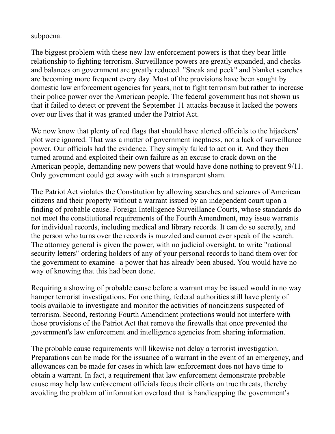#### subpoena.

The biggest problem with these new law enforcement powers is that they bear little relationship to fighting terrorism. Surveillance powers are greatly expanded, and checks and balances on government are greatly reduced. "Sneak and peek" and blanket searches are becoming more frequent every day. Most of the provisions have been sought by domestic law enforcement agencies for years, not to fight terrorism but rather to increase their police power over the American people. The federal government has not shown us that it failed to detect or prevent the September 11 attacks because it lacked the powers over our lives that it was granted under the Patriot Act.

We now know that plenty of red flags that should have alerted officials to the hijackers' plot were ignored. That was a matter of government ineptness, not a lack of surveillance power. Our officials had the evidence. They simply failed to act on it. And they then turned around and exploited their own failure as an excuse to crack down on the American people, demanding new powers that would have done nothing to prevent 9/11. Only government could get away with such a transparent sham.

The Patriot Act violates the Constitution by allowing searches and seizures of American citizens and their property without a warrant issued by an independent court upon a finding of probable cause. Foreign Intelligence Surveillance Courts, whose standards do not meet the constitutional requirements of the Fourth Amendment, may issue warrants for individual records, including medical and library records. It can do so secretly, and the person who turns over the records is muzzled and cannot ever speak of the search. The attorney general is given the power, with no judicial oversight, to write "national security letters" ordering holders of any of your personal records to hand them over for the government to examine--a power that has already been abused. You would have no way of knowing that this had been done.

Requiring a showing of probable cause before a warrant may be issued would in no way hamper terrorist investigations. For one thing, federal authorities still have plenty of tools available to investigate and monitor the activities of noncitizens suspected of terrorism. Second, restoring Fourth Amendment protections would not interfere with those provisions of the Patriot Act that remove the firewalls that once prevented the government's law enforcement and intelligence agencies from sharing information.

The probable cause requirements will likewise not delay a terrorist investigation. Preparations can be made for the issuance of a warrant in the event of an emergency, and allowances can be made for cases in which law enforcement does not have time to obtain a warrant. In fact, a requirement that law enforcement demonstrate probable cause may help law enforcement officials focus their efforts on true threats, thereby avoiding the problem of information overload that is handicapping the government's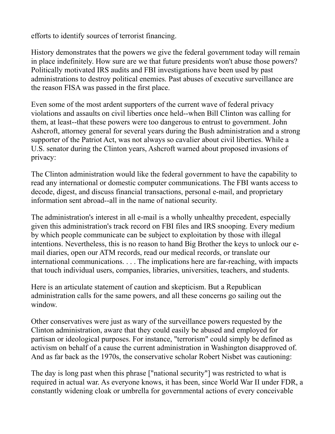efforts to identify sources of terrorist financing.

History demonstrates that the powers we give the federal government today will remain in place indefinitely. How sure are we that future presidents won't abuse those powers? Politically motivated IRS audits and FBI investigations have been used by past administrations to destroy political enemies. Past abuses of executive surveillance are the reason FISA was passed in the first place.

Even some of the most ardent supporters of the current wave of federal privacy violations and assaults on civil liberties once held--when Bill Clinton was calling for them, at least--that these powers were too dangerous to entrust to government. John Ashcroft, attorney general for several years during the Bush administration and a strong supporter of the Patriot Act, was not always so cavalier about civil liberties. While a U.S. senator during the Clinton years, Ashcroft warned about proposed invasions of privacy:

The Clinton administration would like the federal government to have the capability to read any international or domestic computer communications. The FBI wants access to decode, digest, and discuss financial transactions, personal e-mail, and proprietary information sent abroad--all in the name of national security.

The administration's interest in all e-mail is a wholly unhealthy precedent, especially given this administration's track record on FBI files and IRS snooping. Every medium by which people communicate can be subject to exploitation by those with illegal intentions. Nevertheless, this is no reason to hand Big Brother the keys to unlock our email diaries, open our ATM records, read our medical records, or translate our international communications. . . . The implications here are far-reaching, with impacts that touch individual users, companies, libraries, universities, teachers, and students.

Here is an articulate statement of caution and skepticism. But a Republican administration calls for the same powers, and all these concerns go sailing out the window.

Other conservatives were just as wary of the surveillance powers requested by the Clinton administration, aware that they could easily be abused and employed for partisan or ideological purposes. For instance, "terrorism" could simply be defined as activism on behalf of a cause the current administration in Washington disapproved of. And as far back as the 1970s, the conservative scholar Robert Nisbet was cautioning:

The day is long past when this phrase ["national security"] was restricted to what is required in actual war. As everyone knows, it has been, since World War II under FDR, a constantly widening cloak or umbrella for governmental actions of every conceivable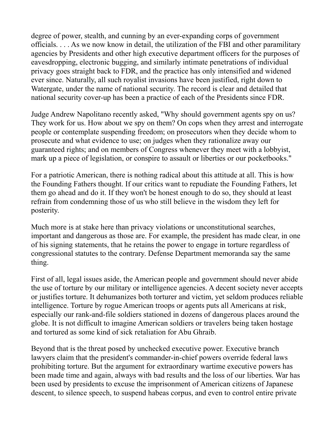degree of power, stealth, and cunning by an ever-expanding corps of government officials. . . . As we now know in detail, the utilization of the FBI and other paramilitary agencies by Presidents and other high executive department officers for the purposes of eavesdropping, electronic bugging, and similarly intimate penetrations of individual privacy goes straight back to FDR, and the practice has only intensified and widened ever since. Naturally, all such royalist invasions have been justified, right down to Watergate, under the name of national security. The record is clear and detailed that national security cover-up has been a practice of each of the Presidents since FDR.

Judge Andrew Napolitano recently asked, "Why should government agents spy on us? They work for us. How about we spy on them? On cops when they arrest and interrogate people or contemplate suspending freedom; on prosecutors when they decide whom to prosecute and what evidence to use; on judges when they rationalize away our guaranteed rights; and on members of Congress whenever they meet with a lobbyist, mark up a piece of legislation, or conspire to assault or liberties or our pocketbooks."

For a patriotic American, there is nothing radical about this attitude at all. This is how the Founding Fathers thought. If our critics want to repudiate the Founding Fathers, let them go ahead and do it. If they won't be honest enough to do so, they should at least refrain from condemning those of us who still believe in the wisdom they left for posterity.

Much more is at stake here than privacy violations or unconstitutional searches, important and dangerous as those are. For example, the president has made clear, in one of his signing statements, that he retains the power to engage in torture regardless of congressional statutes to the contrary. Defense Department memoranda say the same thing.

First of all, legal issues aside, the American people and government should never abide the use of torture by our military or intelligence agencies. A decent society never accepts or justifies torture. It dehumanizes both torturer and victim, yet seldom produces reliable intelligence. Torture by rogue American troops or agents puts all Americans at risk, especially our rank-and-file soldiers stationed in dozens of dangerous places around the globe. It is not difficult to imagine American soldiers or travelers being taken hostage and tortured as some kind of sick retaliation for Abu Ghraib.

Beyond that is the threat posed by unchecked executive power. Executive branch lawyers claim that the president's commander-in-chief powers override federal laws prohibiting torture. But the argument for extraordinary wartime executive powers has been made time and again, always with bad results and the loss of our liberties. War has been used by presidents to excuse the imprisonment of American citizens of Japanese descent, to silence speech, to suspend habeas corpus, and even to control entire private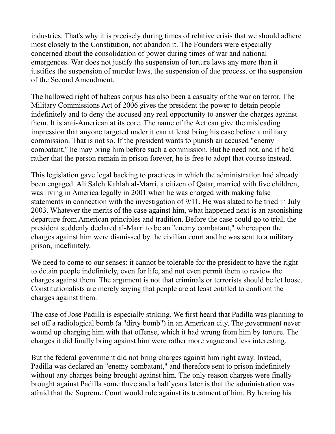industries. That's why it is precisely during times of relative crisis that we should adhere most closely to the Constitution, not abandon it. The Founders were especially concerned about the consolidation of power during times of war and national emergences. War does not justify the suspension of torture laws any more than it justifies the suspension of murder laws, the suspension of due process, or the suspension of the Second Amendment.

The hallowed right of habeas corpus has also been a casualty of the war on terror. The Military Commissions Act of 2006 gives the president the power to detain people indefinitely and to deny the accused any real opportunity to answer the charges against them. It is anti-American at its core. The name of the Act can give the misleading impression that anyone targeted under it can at least bring his case before a military commission. That is not so. If the president wants to punish an accused "enemy combatant," he may bring him before such a commission. But he need not, and if he'd rather that the person remain in prison forever, he is free to adopt that course instead.

This legislation gave legal backing to practices in which the administration had already been engaged. Ali Saleh Kahlah al-Marri, a citizen of Qatar, married with five children, was living in America legally in 2001 when he was charged with making false statements in connection with the investigation of 9/11. He was slated to be tried in July 2003. Whatever the merits of the case against him, what happened next is an astonishing departure from American principles and tradition. Before the case could go to trial, the president suddenly declared al-Marri to be an "enemy combatant," whereupon the charges against him were dismissed by the civilian court and he was sent to a military prison, indefinitely.

We need to come to our senses: it cannot be tolerable for the president to have the right to detain people indefinitely, even for life, and not even permit them to review the charges against them. The argument is not that criminals or terrorists should be let loose. Constitutionalists are merely saying that people are at least entitled to confront the charges against them.

The case of Jose Padilla is especially striking. We first heard that Padilla was planning to set off a radiological bomb (a "dirty bomb") in an American city. The government never wound up charging him with that offense, which it had wrung from him by torture. The charges it did finally bring against him were rather more vague and less interesting.

But the federal government did not bring charges against him right away. Instead, Padilla was declared an "enemy combatant," and therefore sent to prison indefinitely without any charges being brought against him. The only reason charges were finally brought against Padilla some three and a half years later is that the administration was afraid that the Supreme Court would rule against its treatment of him. By hearing his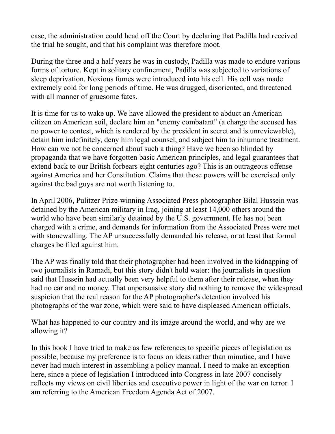case, the administration could head off the Court by declaring that Padilla had received the trial he sought, and that his complaint was therefore moot.

During the three and a half years he was in custody, Padilla was made to endure various forms of torture. Kept in solitary confinement, Padilla was subjected to variations of sleep deprivation. Noxious fumes were introduced into his cell. His cell was made extremely cold for long periods of time. He was drugged, disoriented, and threatened with all manner of gruesome fates.

It is time for us to wake up. We have allowed the president to abduct an American citizen on American soil, declare him an "enemy combatant" (a charge the accused has no power to contest, which is rendered by the president in secret and is unreviewable), detain him indefinitely, deny him legal counsel, and subject him to inhumane treatment. How can we not be concerned about such a thing? Have we been so blinded by propaganda that we have forgotten basic American principles, and legal guarantees that extend back to our British forbears eight centuries ago? This is an outrageous offense against America and her Constitution. Claims that these powers will be exercised only against the bad guys are not worth listening to.

In April 2006, Pulitzer Prize-winning Associated Press photographer Bilal Hussein was detained by the American military in Iraq, joining at least 14,000 others around the world who have been similarly detained by the U.S. government. He has not been charged with a crime, and demands for information from the Associated Press were met with stonewalling. The AP unsuccessfully demanded his release, or at least that formal charges be filed against him.

The AP was finally told that their photographer had been involved in the kidnapping of two journalists in Ramadi, but this story didn't hold water: the journalists in question said that Hussein had actually been very helpful to them after their release, when they had no car and no money. That unpersuasive story did nothing to remove the widespread suspicion that the real reason for the AP photographer's detention involved his photographs of the war zone, which were said to have displeased American officials.

What has happened to our country and its image around the world, and why are we allowing it?

In this book I have tried to make as few references to specific pieces of legislation as possible, because my preference is to focus on ideas rather than minutiae, and I have never had much interest in assembling a policy manual. I need to make an exception here, since a piece of legislation I introduced into Congress in late 2007 concisely reflects my views on civil liberties and executive power in light of the war on terror. I am referring to the American Freedom Agenda Act of 2007.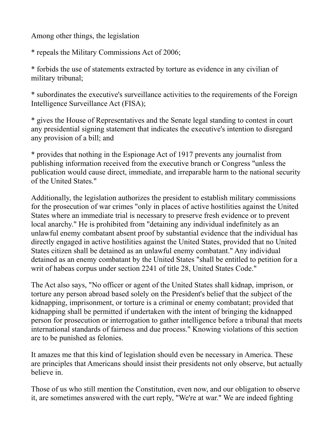Among other things, the legislation

\* repeals the Military Commissions Act of 2006;

\* forbids the use of statements extracted by torture as evidence in any civilian of military tribunal;

\* subordinates the executive's surveillance activities to the requirements of the Foreign Intelligence Surveillance Act (FISA);

\* gives the House of Representatives and the Senate legal standing to contest in court any presidential signing statement that indicates the executive's intention to disregard any provision of a bill; and

\* provides that nothing in the Espionage Act of 1917 prevents any journalist from publishing information received from the executive branch or Congress "unless the publication would cause direct, immediate, and irreparable harm to the national security of the United States."

Additionally, the legislation authorizes the president to establish military commissions for the prosecution of war crimes "only in places of active hostilities against the United States where an immediate trial is necessary to preserve fresh evidence or to prevent local anarchy." He is prohibited from "detaining any individual indefinitely as an unlawful enemy combatant absent proof by substantial evidence that the individual has directly engaged in active hostilities against the United States, provided that no United States citizen shall be detained as an unlawful enemy combatant." Any individual detained as an enemy combatant by the United States "shall be entitled to petition for a writ of habeas corpus under section 2241 of title 28, United States Code."

The Act also says, "No officer or agent of the United States shall kidnap, imprison, or torture any person abroad based solely on the President's belief that the subject of the kidnapping, imprisonment, or torture is a criminal or enemy combatant; provided that kidnapping shall be permitted if undertaken with the intent of bringing the kidnapped person for prosecution or interrogation to gather intelligence before a tribunal that meets international standards of fairness and due process." Knowing violations of this section are to be punished as felonies.

It amazes me that this kind of legislation should even be necessary in America. These are principles that Americans should insist their presidents not only observe, but actually believe in.

Those of us who still mention the Constitution, even now, and our obligation to observe it, are sometimes answered with the curt reply, "We're at war." We are indeed fighting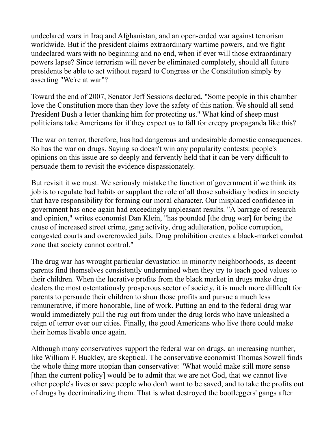undeclared wars in Iraq and Afghanistan, and an open-ended war against terrorism worldwide. But if the president claims extraordinary wartime powers, and we fight undeclared wars with no beginning and no end, when if ever will those extraordinary powers lapse? Since terrorism will never be eliminated completely, should all future presidents be able to act without regard to Congress or the Constitution simply by asserting "We're at war"?

Toward the end of 2007, Senator Jeff Sessions declared, "Some people in this chamber love the Constitution more than they love the safety of this nation. We should all send President Bush a letter thanking him for protecting us." What kind of sheep must politicians take Americans for if they expect us to fall for creepy propaganda like this?

The war on terror, therefore, has had dangerous and undesirable domestic consequences. So has the war on drugs. Saying so doesn't win any popularity contests: people's opinions on this issue are so deeply and fervently held that it can be very difficult to persuade them to revisit the evidence dispassionately.

But revisit it we must. We seriously mistake the function of government if we think its job is to regulate bad habits or supplant the role of all those subsidiary bodies in society that have responsibility for forming our moral character. Our misplaced confidence in government has once again had exceedingly unpleasant results. "A barrage of research and opinion," writes economist Dan Klein, "has pounded [the drug war] for being the cause of increased street crime, gang activity, drug adulteration, police corruption, congested courts and overcrowded jails. Drug prohibition creates a black-market combat zone that society cannot control."

The drug war has wrought particular devastation in minority neighborhoods, as decent parents find themselves consistently undermined when they try to teach good values to their children. When the lucrative profits from the black market in drugs make drug dealers the most ostentatiously prosperous sector of society, it is much more difficult for parents to persuade their children to shun those profits and pursue a much less remunerative, if more honorable, line of work. Putting an end to the federal drug war would immediately pull the rug out from under the drug lords who have unleashed a reign of terror over our cities. Finally, the good Americans who live there could make their homes livable once again.

Although many conservatives support the federal war on drugs, an increasing number, like William F. Buckley, are skeptical. The conservative economist Thomas Sowell finds the whole thing more utopian than conservative: "What would make still more sense [than the current policy] would be to admit that we are not God, that we cannot live other people's lives or save people who don't want to be saved, and to take the profits out of drugs by decriminalizing them. That is what destroyed the bootleggers' gangs after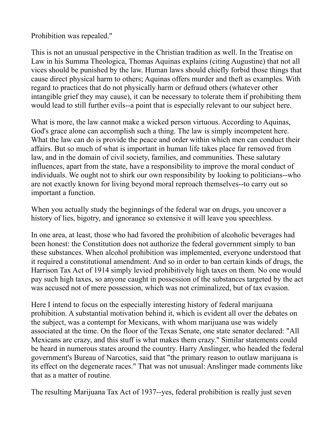Prohibition was repealed."

This is not an unusual perspective in the Christian tradition as well. In the Treatise on Law in his Summa Theologica, Thomas Aquinas explains (citing Augustine) that not all vices should be punished by the law. Human laws should chiefly forbid those things that cause direct physical harm to others; Aquinas offers murder and theft as examples. With regard to practices that do not physically harm or defraud others (whatever other intangible grief they may cause), it can be necessary to tolerate them if prohibiting them would lead to still further evils--a point that is especially relevant to our subject here.

What is more, the law cannot make a wicked person virtuous. According to Aquinas, God's grace alone can accomplish such a thing. The law is simply incompetent here. What the law can do is provide the peace and order within which men can conduct their affairs. But so much of what is important in human life takes place far removed from law, and in the domain of civil society, families, and communities. These salutary influences, apart from the state, have a responsibility to improve the moral conduct of individuals. We ought not to shirk our own responsibility by looking to politicians--who are not exactly known for living beyond moral reproach themselves--to carry out so important a function.

When you actually study the beginnings of the federal war on drugs, you uncover a history of lies, bigotry, and ignorance so extensive it will leave you speechless.

In one area, at least, those who had favored the prohibition of alcoholic beverages had been honest: the Constitution does not authorize the federal government simply to ban these substances. When alcohol prohibition was implemented, everyone understood that it required a constitutional amendment. And so in order to ban certain kinds of drugs, the Harrison Tax Act of 1914 simply levied prohibitively high taxes on them. No one would pay such high taxes, so anyone caught in possession of the substances targeted by the act was accused not of mere possession, which was not criminalized, but of tax evasion.

Here I intend to focus on the especially interesting history of federal marijuana prohibition. A substantial motivation behind it, which is evident all over the debates on the subject, was a contempt for Mexicans, with whom marijuana use was widely associated at the time. On the floor of the Texas Senate, one state senator declared: "All Mexicans are crazy, and this stuff is what makes them crazy." Similar statements could be heard in numerous states around the country. Harry Anslinger, who headed the federal government's Bureau of Narcotics, said that "the primary reason to outlaw marijuana is its effect on the degenerate races." That was not unusual: Anslinger made comments like that as a matter of routine.

The resulting Marijuana Tax Act of 1937--yes, federal prohibition is really just seven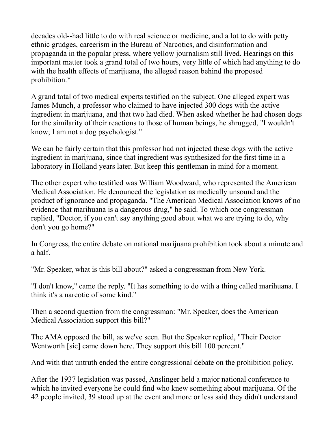decades old--had little to do with real science or medicine, and a lot to do with petty ethnic grudges, careerism in the Bureau of Narcotics, and disinformation and propaganda in the popular press, where yellow journalism still lived. Hearings on this important matter took a grand total of two hours, very little of which had anything to do with the health effects of marijuana, the alleged reason behind the proposed prohibition.\*

A grand total of two medical experts testified on the subject. One alleged expert was James Munch, a professor who claimed to have injected 300 dogs with the active ingredient in marijuana, and that two had died. When asked whether he had chosen dogs for the similarity of their reactions to those of human beings, he shrugged, "I wouldn't know; I am not a dog psychologist."

We can be fairly certain that this professor had not injected these dogs with the active ingredient in marijuana, since that ingredient was synthesized for the first time in a laboratory in Holland years later. But keep this gentleman in mind for a moment.

The other expert who testified was William Woodward, who represented the American Medical Association. He denounced the legislation as medically unsound and the product of ignorance and propaganda. "The American Medical Association knows of no evidence that marihuana is a dangerous drug," he said. To which one congressman replied, "Doctor, if you can't say anything good about what we are trying to do, why don't you go home?"

In Congress, the entire debate on national marijuana prohibition took about a minute and a half.

"Mr. Speaker, what is this bill about?" asked a congressman from New York.

"I don't know," came the reply. "It has something to do with a thing called marihuana. I think it's a narcotic of some kind."

Then a second question from the congressman: "Mr. Speaker, does the American Medical Association support this bill?"

The AMA opposed the bill, as we've seen. But the Speaker replied, "Their Doctor Wentworth [sic] came down here. They support this bill 100 percent."

And with that untruth ended the entire congressional debate on the prohibition policy.

After the 1937 legislation was passed, Anslinger held a major national conference to which he invited everyone he could find who knew something about marijuana. Of the 42 people invited, 39 stood up at the event and more or less said they didn't understand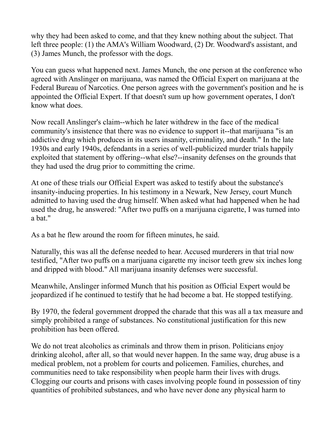why they had been asked to come, and that they knew nothing about the subject. That left three people: (1) the AMA's William Woodward, (2) Dr. Woodward's assistant, and (3) James Munch, the professor with the dogs.

You can guess what happened next. James Munch, the one person at the conference who agreed with Anslinger on marijuana, was named the Official Expert on marijuana at the Federal Bureau of Narcotics. One person agrees with the government's position and he is appointed the Official Expert. If that doesn't sum up how government operates, I don't know what does.

Now recall Anslinger's claim--which he later withdrew in the face of the medical community's insistence that there was no evidence to support it--that marijuana "is an addictive drug which produces in its users insanity, criminality, and death." In the late 1930s and early 1940s, defendants in a series of well-publicized murder trials happily exploited that statement by offering--what else?--insanity defenses on the grounds that they had used the drug prior to committing the crime.

At one of these trials our Official Expert was asked to testify about the substance's insanity-inducing properties. In his testimony in a Newark, New Jersey, court Munch admitted to having used the drug himself. When asked what had happened when he had used the drug, he answered: "After two puffs on a marijuana cigarette, I was turned into a bat."

As a bat he flew around the room for fifteen minutes, he said.

Naturally, this was all the defense needed to hear. Accused murderers in that trial now testified, "After two puffs on a marijuana cigarette my incisor teeth grew six inches long and dripped with blood." All marijuana insanity defenses were successful.

Meanwhile, Anslinger informed Munch that his position as Official Expert would be jeopardized if he continued to testify that he had become a bat. He stopped testifying.

By 1970, the federal government dropped the charade that this was all a tax measure and simply prohibited a range of substances. No constitutional justification for this new prohibition has been offered.

We do not treat alcoholics as criminals and throw them in prison. Politicians enjoy drinking alcohol, after all, so that would never happen. In the same way, drug abuse is a medical problem, not a problem for courts and policemen. Families, churches, and communities need to take responsibility when people harm their lives with drugs. Clogging our courts and prisons with cases involving people found in possession of tiny quantities of prohibited substances, and who have never done any physical harm to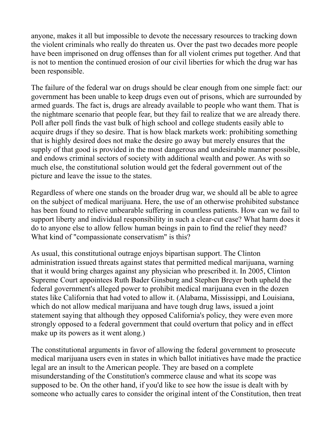anyone, makes it all but impossible to devote the necessary resources to tracking down the violent criminals who really do threaten us. Over the past two decades more people have been imprisoned on drug offenses than for all violent crimes put together. And that is not to mention the continued erosion of our civil liberties for which the drug war has been responsible.

The failure of the federal war on drugs should be clear enough from one simple fact: our government has been unable to keep drugs even out of prisons, which are surrounded by armed guards. The fact is, drugs are already available to people who want them. That is the nightmare scenario that people fear, but they fail to realize that we are already there. Poll after poll finds the vast bulk of high school and college students easily able to acquire drugs if they so desire. That is how black markets work: prohibiting something that is highly desired does not make the desire go away but merely ensures that the supply of that good is provided in the most dangerous and undesirable manner possible, and endows criminal sectors of society with additional wealth and power. As with so much else, the constitutional solution would get the federal government out of the picture and leave the issue to the states.

Regardless of where one stands on the broader drug war, we should all be able to agree on the subject of medical marijuana. Here, the use of an otherwise prohibited substance has been found to relieve unbearable suffering in countless patients. How can we fail to support liberty and individual responsibility in such a clear-cut case? What harm does it do to anyone else to allow fellow human beings in pain to find the relief they need? What kind of "compassionate conservatism" is this?

As usual, this constitutional outrage enjoys bipartisan support. The Clinton administration issued threats against states that permitted medical marijuana, warning that it would bring charges against any physician who prescribed it. In 2005, Clinton Supreme Court appointees Ruth Bader Ginsburg and Stephen Breyer both upheld the federal government's alleged power to prohibit medical marijuana even in the dozen states like California that had voted to allow it. (Alabama, Mississippi, and Louisiana, which do not allow medical marijuana and have tough drug laws, issued a joint statement saying that although they opposed California's policy, they were even more strongly opposed to a federal government that could overturn that policy and in effect make up its powers as it went along.)

The constitutional arguments in favor of allowing the federal government to prosecute medical marijuana users even in states in which ballot initiatives have made the practice legal are an insult to the American people. They are based on a complete misunderstanding of the Constitution's commerce clause and what its scope was supposed to be. On the other hand, if you'd like to see how the issue is dealt with by someone who actually cares to consider the original intent of the Constitution, then treat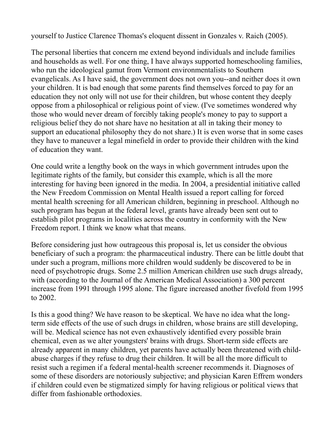yourself to Justice Clarence Thomas's eloquent dissent in Gonzales v. Raich (2005).

The personal liberties that concern me extend beyond individuals and include families and households as well. For one thing, I have always supported homeschooling families, who run the ideological gamut from Vermont environmentalists to Southern evangelicals. As I have said, the government does not own you--and neither does it own your children. It is bad enough that some parents find themselves forced to pay for an education they not only will not use for their children, but whose content they deeply oppose from a philosophical or religious point of view. (I've sometimes wondered why those who would never dream of forcibly taking people's money to pay to support a religious belief they do not share have no hesitation at all in taking their money to support an educational philosophy they do not share.) It is even worse that in some cases they have to maneuver a legal minefield in order to provide their children with the kind of education they want.

One could write a lengthy book on the ways in which government intrudes upon the legitimate rights of the family, but consider this example, which is all the more interesting for having been ignored in the media. In 2004, a presidential initiative called the New Freedom Commission on Mental Health issued a report calling for forced mental health screening for all American children, beginning in preschool. Although no such program has begun at the federal level, grants have already been sent out to establish pilot programs in localities across the country in conformity with the New Freedom report. I think we know what that means.

Before considering just how outrageous this proposal is, let us consider the obvious beneficiary of such a program: the pharmaceutical industry. There can be little doubt that under such a program, millions more children would suddenly be discovered to be in need of psychotropic drugs. Some 2.5 million American children use such drugs already, with (according to the Journal of the American Medical Association) a 300 percent increase from 1991 through 1995 alone. The figure increased another fivefold from 1995 to 2002.

Is this a good thing? We have reason to be skeptical. We have no idea what the longterm side effects of the use of such drugs in children, whose brains are still developing, will be. Medical science has not even exhaustively identified every possible brain chemical, even as we alter youngsters' brains with drugs. Short-term side effects are already apparent in many children, yet parents have actually been threatened with childabuse charges if they refuse to drug their children. It will be all the more difficult to resist such a regimen if a federal mental-health screener recommends it. Diagnoses of some of these disorders are notoriously subjective; and physician Karen Effrem wonders if children could even be stigmatized simply for having religious or political views that differ from fashionable orthodoxies.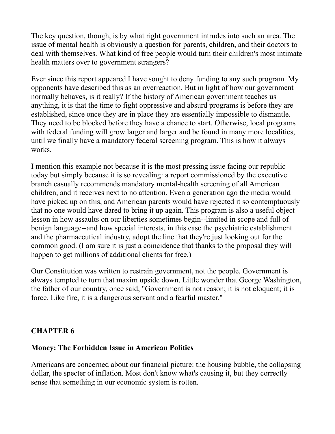The key question, though, is by what right government intrudes into such an area. The issue of mental health is obviously a question for parents, children, and their doctors to deal with themselves. What kind of free people would turn their children's most intimate health matters over to government strangers?

Ever since this report appeared I have sought to deny funding to any such program. My opponents have described this as an overreaction. But in light of how our government normally behaves, is it really? If the history of American government teaches us anything, it is that the time to fight oppressive and absurd programs is before they are established, since once they are in place they are essentially impossible to dismantle. They need to be blocked before they have a chance to start. Otherwise, local programs with federal funding will grow larger and larger and be found in many more localities, until we finally have a mandatory federal screening program. This is how it always works.

I mention this example not because it is the most pressing issue facing our republic today but simply because it is so revealing: a report commissioned by the executive branch casually recommends mandatory mental-health screening of all American children, and it receives next to no attention. Even a generation ago the media would have picked up on this, and American parents would have rejected it so contemptuously that no one would have dared to bring it up again. This program is also a useful object lesson in how assaults on our liberties sometimes begin--limited in scope and full of benign language--and how special interests, in this case the psychiatric establishment and the pharmaceutical industry, adopt the line that they're just looking out for the common good. (I am sure it is just a coincidence that thanks to the proposal they will happen to get millions of additional clients for free.)

Our Constitution was written to restrain government, not the people. Government is always tempted to turn that maxim upside down. Little wonder that George Washington, the father of our country, once said, "Government is not reason; it is not eloquent; it is force. Like fire, it is a dangerous servant and a fearful master."

### **CHAPTER 6**

### **Money: The Forbidden Issue in American Politics**

Americans are concerned about our financial picture: the housing bubble, the collapsing dollar, the specter of inflation. Most don't know what's causing it, but they correctly sense that something in our economic system is rotten.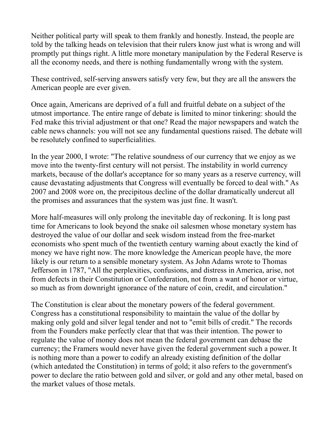Neither political party will speak to them frankly and honestly. Instead, the people are told by the talking heads on television that their rulers know just what is wrong and will promptly put things right. A little more monetary manipulation by the Federal Reserve is all the economy needs, and there is nothing fundamentally wrong with the system.

These contrived, self-serving answers satisfy very few, but they are all the answers the American people are ever given.

Once again, Americans are deprived of a full and fruitful debate on a subject of the utmost importance. The entire range of debate is limited to minor tinkering: should the Fed make this trivial adjustment or that one? Read the major newspapers and watch the cable news channels: you will not see any fundamental questions raised. The debate will be resolutely confined to superficialities.

In the year 2000, I wrote: "The relative soundness of our currency that we enjoy as we move into the twenty-first century will not persist. The instability in world currency markets, because of the dollar's acceptance for so many years as a reserve currency, will cause devastating adjustments that Congress will eventually be forced to deal with." As 2007 and 2008 wore on, the precipitous decline of the dollar dramatically undercut all the promises and assurances that the system was just fine. It wasn't.

More half-measures will only prolong the inevitable day of reckoning. It is long past time for Americans to look beyond the snake oil salesmen whose monetary system has destroyed the value of our dollar and seek wisdom instead from the free-market economists who spent much of the twentieth century warning about exactly the kind of money we have right now. The more knowledge the American people have, the more likely is our return to a sensible monetary system. As John Adams wrote to Thomas Jefferson in 1787, "All the perplexities, confusions, and distress in America, arise, not from defects in their Constitution or Confederation, not from a want of honor or virtue, so much as from downright ignorance of the nature of coin, credit, and circulation."

The Constitution is clear about the monetary powers of the federal government. Congress has a constitutional responsibility to maintain the value of the dollar by making only gold and silver legal tender and not to "emit bills of credit." The records from the Founders make perfectly clear that that was their intention. The power to regulate the value of money does not mean the federal government can debase the currency; the Framers would never have given the federal government such a power. It is nothing more than a power to codify an already existing definition of the dollar (which antedated the Constitution) in terms of gold; it also refers to the government's power to declare the ratio between gold and silver, or gold and any other metal, based on the market values of those metals.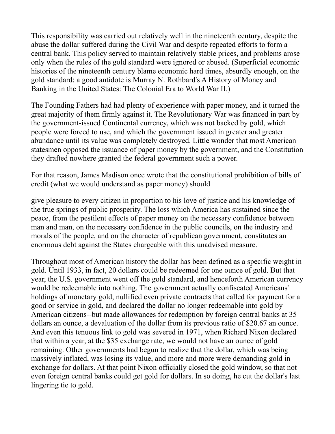This responsibility was carried out relatively well in the nineteenth century, despite the abuse the dollar suffered during the Civil War and despite repeated efforts to form a central bank. This policy served to maintain relatively stable prices, and problems arose only when the rules of the gold standard were ignored or abused. (Superficial economic histories of the nineteenth century blame economic hard times, absurdly enough, on the gold standard; a good antidote is Murray N. Rothbard's A History of Money and Banking in the United States: The Colonial Era to World War II.)

The Founding Fathers had had plenty of experience with paper money, and it turned the great majority of them firmly against it. The Revolutionary War was financed in part by the government-issued Continental currency, which was not backed by gold, which people were forced to use, and which the government issued in greater and greater abundance until its value was completely destroyed. Little wonder that most American statesmen opposed the issuance of paper money by the government, and the Constitution they drafted nowhere granted the federal government such a power.

For that reason, James Madison once wrote that the constitutional prohibition of bills of credit (what we would understand as paper money) should

give pleasure to every citizen in proportion to his love of justice and his knowledge of the true springs of public prosperity. The loss which America has sustained since the peace, from the pestilent effects of paper money on the necessary confidence between man and man, on the necessary confidence in the public councils, on the industry and morals of the people, and on the character of republican government, constitutes an enormous debt against the States chargeable with this unadvised measure.

Throughout most of American history the dollar has been defined as a specific weight in gold. Until 1933, in fact, 20 dollars could be redeemed for one ounce of gold. But that year, the U.S. government went off the gold standard, and henceforth American currency would be redeemable into nothing. The government actually confiscated Americans' holdings of monetary gold, nullified even private contracts that called for payment for a good or service in gold, and declared the dollar no longer redeemable into gold by American citizens--but made allowances for redemption by foreign central banks at 35 dollars an ounce, a devaluation of the dollar from its previous ratio of \$20.67 an ounce. And even this tenuous link to gold was severed in 1971, when Richard Nixon declared that within a year, at the \$35 exchange rate, we would not have an ounce of gold remaining. Other governments had begun to realize that the dollar, which was being massively inflated, was losing its value, and more and more were demanding gold in exchange for dollars. At that point Nixon officially closed the gold window, so that not even foreign central banks could get gold for dollars. In so doing, he cut the dollar's last lingering tie to gold.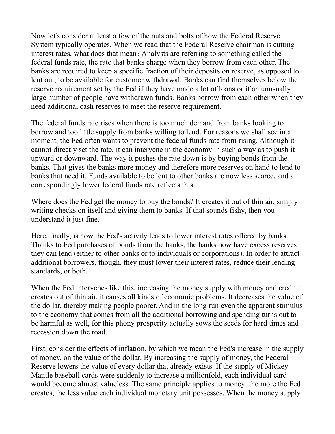Now let's consider at least a few of the nuts and bolts of how the Federal Reserve System typically operates. When we read that the Federal Reserve chairman is cutting interest rates, what does that mean? Analysts are referring to something called the federal funds rate, the rate that banks charge when they borrow from each other. The banks are required to keep a specific fraction of their deposits on reserve, as opposed to lent out, to be available for customer withdrawal. Banks can find themselves below the reserve requirement set by the Fed if they have made a lot of loans or if an unusually large number of people have withdrawn funds. Banks borrow from each other when they need additional cash reserves to meet the reserve requirement.

The federal funds rate rises when there is too much demand from banks looking to borrow and too little supply from banks willing to lend. For reasons we shall see in a moment, the Fed often wants to prevent the federal funds rate from rising. Although it cannot directly set the rate, it can intervene in the economy in such a way as to push it upward or downward. The way it pushes the rate down is by buying bonds from the banks. That gives the banks more money and therefore more reserves on hand to lend to banks that need it. Funds available to be lent to other banks are now less scarce, and a correspondingly lower federal funds rate reflects this.

Where does the Fed get the money to buy the bonds? It creates it out of thin air, simply writing checks on itself and giving them to banks. If that sounds fishy, then you understand it just fine.

Here, finally, is how the Fed's activity leads to lower interest rates offered by banks. Thanks to Fed purchases of bonds from the banks, the banks now have excess reserves they can lend (either to other banks or to individuals or corporations). In order to attract additional borrowers, though, they must lower their interest rates, reduce their lending standards, or both.

When the Fed intervenes like this, increasing the money supply with money and credit it creates out of thin air, it causes all kinds of economic problems. It decreases the value of the dollar, thereby making people poorer. And in the long run even the apparent stimulus to the economy that comes from all the additional borrowing and spending turns out to be harmful as well, for this phony prosperity actually sows the seeds for hard times and recession down the road.

First, consider the effects of inflation, by which we mean the Fed's increase in the supply of money, on the value of the dollar. By increasing the supply of money, the Federal Reserve lowers the value of every dollar that already exists. If the supply of Mickey Mantle baseball cards were suddenly to increase a millionfold, each individual card would become almost valueless. The same principle applies to money: the more the Fed creates, the less value each individual monetary unit possesses. When the money supply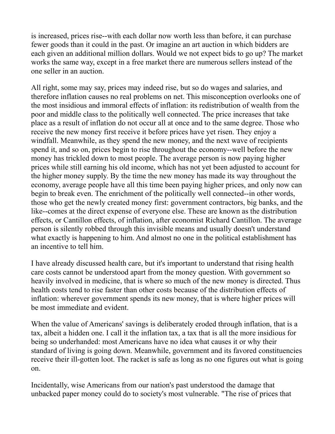is increased, prices rise--with each dollar now worth less than before, it can purchase fewer goods than it could in the past. Or imagine an art auction in which bidders are each given an additional million dollars. Would we not expect bids to go up? The market works the same way, except in a free market there are numerous sellers instead of the one seller in an auction.

All right, some may say, prices may indeed rise, but so do wages and salaries, and therefore inflation causes no real problems on net. This misconception overlooks one of the most insidious and immoral effects of inflation: its redistribution of wealth from the poor and middle class to the politically well connected. The price increases that take place as a result of inflation do not occur all at once and to the same degree. Those who receive the new money first receive it before prices have yet risen. They enjoy a windfall. Meanwhile, as they spend the new money, and the next wave of recipients spend it, and so on, prices begin to rise throughout the economy--well before the new money has trickled down to most people. The average person is now paying higher prices while still earning his old income, which has not yet been adjusted to account for the higher money supply. By the time the new money has made its way throughout the economy, average people have all this time been paying higher prices, and only now can begin to break even. The enrichment of the politically well connected--in other words, those who get the newly created money first: government contractors, big banks, and the like--comes at the direct expense of everyone else. These are known as the distribution effects, or Cantillon effects, of inflation, after economist Richard Cantillon. The average person is silently robbed through this invisible means and usually doesn't understand what exactly is happening to him. And almost no one in the political establishment has an incentive to tell him.

I have already discussed health care, but it's important to understand that rising health care costs cannot be understood apart from the money question. With government so heavily involved in medicine, that is where so much of the new money is directed. Thus health costs tend to rise faster than other costs because of the distribution effects of inflation: wherever government spends its new money, that is where higher prices will be most immediate and evident.

When the value of Americans' savings is deliberately eroded through inflation, that is a tax, albeit a hidden one. I call it the inflation tax, a tax that is all the more insidious for being so underhanded: most Americans have no idea what causes it or why their standard of living is going down. Meanwhile, government and its favored constituencies receive their ill-gotten loot. The racket is safe as long as no one figures out what is going on.

Incidentally, wise Americans from our nation's past understood the damage that unbacked paper money could do to society's most vulnerable. "The rise of prices that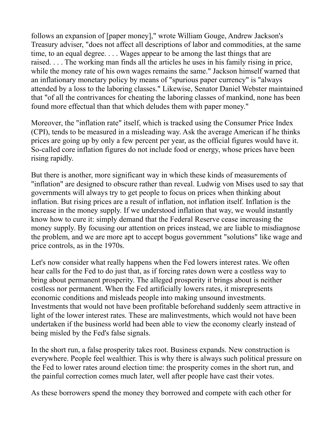follows an expansion of [paper money]," wrote William Gouge, Andrew Jackson's Treasury adviser, "does not affect all descriptions of labor and commodities, at the same time, to an equal degree. . . . Wages appear to be among the last things that are raised. . . . The working man finds all the articles he uses in his family rising in price, while the money rate of his own wages remains the same." Jackson himself warned that an inflationary monetary policy by means of "spurious paper currency" is "always attended by a loss to the laboring classes." Likewise, Senator Daniel Webster maintained that "of all the contrivances for cheating the laboring classes of mankind, none has been found more effectual than that which deludes them with paper money."

Moreover, the "inflation rate" itself, which is tracked using the Consumer Price Index (CPI), tends to be measured in a misleading way. Ask the average American if he thinks prices are going up by only a few percent per year, as the official figures would have it. So-called core inflation figures do not include food or energy, whose prices have been rising rapidly.

But there is another, more significant way in which these kinds of measurements of "inflation" are designed to obscure rather than reveal. Ludwig von Mises used to say that governments will always try to get people to focus on prices when thinking about inflation. But rising prices are a result of inflation, not inflation itself. Inflation is the increase in the money supply. If we understood inflation that way, we would instantly know how to cure it: simply demand that the Federal Reserve cease increasing the money supply. By focusing our attention on prices instead, we are liable to misdiagnose the problem, and we are more apt to accept bogus government "solutions" like wage and price controls, as in the 1970s.

Let's now consider what really happens when the Fed lowers interest rates. We often hear calls for the Fed to do just that, as if forcing rates down were a costless way to bring about permanent prosperity. The alleged prosperity it brings about is neither costless nor permanent. When the Fed artificially lowers rates, it misrepresents economic conditions and misleads people into making unsound investments. Investments that would not have been profitable beforehand suddenly seem attractive in light of the lower interest rates. These are malinvestments, which would not have been undertaken if the business world had been able to view the economy clearly instead of being misled by the Fed's false signals.

In the short run, a false prosperity takes root. Business expands. New construction is everywhere. People feel wealthier. This is why there is always such political pressure on the Fed to lower rates around election time: the prosperity comes in the short run, and the painful correction comes much later, well after people have cast their votes.

As these borrowers spend the money they borrowed and compete with each other for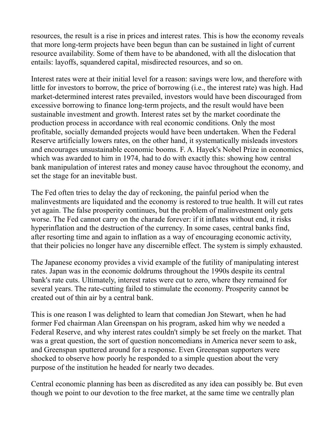resources, the result is a rise in prices and interest rates. This is how the economy reveals that more long-term projects have been begun than can be sustained in light of current resource availability. Some of them have to be abandoned, with all the dislocation that entails: layoffs, squandered capital, misdirected resources, and so on.

Interest rates were at their initial level for a reason: savings were low, and therefore with little for investors to borrow, the price of borrowing (i.e., the interest rate) was high. Had market-determined interest rates prevailed, investors would have been discouraged from excessive borrowing to finance long-term projects, and the result would have been sustainable investment and growth. Interest rates set by the market coordinate the production process in accordance with real economic conditions. Only the most profitable, socially demanded projects would have been undertaken. When the Federal Reserve artificially lowers rates, on the other hand, it systematically misleads investors and encourages unsustainable economic booms. F. A. Hayek's Nobel Prize in economics, which was awarded to him in 1974, had to do with exactly this: showing how central bank manipulation of interest rates and money cause havoc throughout the economy, and set the stage for an inevitable bust.

The Fed often tries to delay the day of reckoning, the painful period when the malinvestments are liquidated and the economy is restored to true health. It will cut rates yet again. The false prosperity continues, but the problem of malinvestment only gets worse. The Fed cannot carry on the charade forever: if it inflates without end, it risks hyperinflation and the destruction of the currency. In some cases, central banks find, after resorting time and again to inflation as a way of encouraging economic activity, that their policies no longer have any discernible effect. The system is simply exhausted.

The Japanese economy provides a vivid example of the futility of manipulating interest rates. Japan was in the economic doldrums throughout the 1990s despite its central bank's rate cuts. Ultimately, interest rates were cut to zero, where they remained for several years. The rate-cutting failed to stimulate the economy. Prosperity cannot be created out of thin air by a central bank.

This is one reason I was delighted to learn that comedian Jon Stewart, when he had former Fed chairman Alan Greenspan on his program, asked him why we needed a Federal Reserve, and why interest rates couldn't simply be set freely on the market. That was a great question, the sort of question noncomedians in America never seem to ask, and Greenspan sputtered around for a response. Even Greenspan supporters were shocked to observe how poorly he responded to a simple question about the very purpose of the institution he headed for nearly two decades.

Central economic planning has been as discredited as any idea can possibly be. But even though we point to our devotion to the free market, at the same time we centrally plan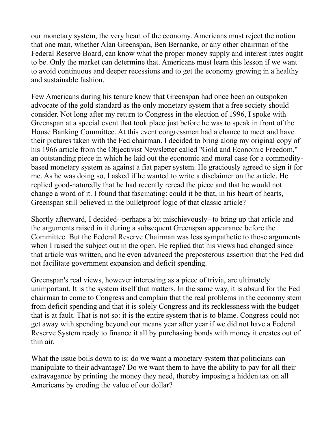our monetary system, the very heart of the economy. Americans must reject the notion that one man, whether Alan Greenspan, Ben Bernanke, or any other chairman of the Federal Reserve Board, can know what the proper money supply and interest rates ought to be. Only the market can determine that. Americans must learn this lesson if we want to avoid continuous and deeper recessions and to get the economy growing in a healthy and sustainable fashion.

Few Americans during his tenure knew that Greenspan had once been an outspoken advocate of the gold standard as the only monetary system that a free society should consider. Not long after my return to Congress in the election of 1996, I spoke with Greenspan at a special event that took place just before he was to speak in front of the House Banking Committee. At this event congressmen had a chance to meet and have their pictures taken with the Fed chairman. I decided to bring along my original copy of his 1966 article from the Objectivist Newsletter called "Gold and Economic Freedom," an outstanding piece in which he laid out the economic and moral case for a commoditybased monetary system as against a fiat paper system. He graciously agreed to sign it for me. As he was doing so, I asked if he wanted to write a disclaimer on the article. He replied good-naturedly that he had recently reread the piece and that he would not change a word of it. I found that fascinating: could it be that, in his heart of hearts, Greenspan still believed in the bulletproof logic of that classic article?

Shortly afterward, I decided--perhaps a bit mischievously--to bring up that article and the arguments raised in it during a subsequent Greenspan appearance before the Committee. But the Federal Reserve Chairman was less sympathetic to those arguments when I raised the subject out in the open. He replied that his views had changed since that article was written, and he even advanced the preposterous assertion that the Fed did not facilitate government expansion and deficit spending.

Greenspan's real views, however interesting as a piece of trivia, are ultimately unimportant. It is the system itself that matters. In the same way, it is absurd for the Fed chairman to come to Congress and complain that the real problems in the economy stem from deficit spending and that it is solely Congress and its recklessness with the budget that is at fault. That is not so: it is the entire system that is to blame. Congress could not get away with spending beyond our means year after year if we did not have a Federal Reserve System ready to finance it all by purchasing bonds with money it creates out of thin air.

What the issue boils down to is: do we want a monetary system that politicians can manipulate to their advantage? Do we want them to have the ability to pay for all their extravagance by printing the money they need, thereby imposing a hidden tax on all Americans by eroding the value of our dollar?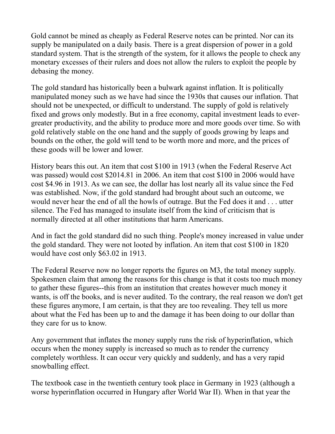Gold cannot be mined as cheaply as Federal Reserve notes can be printed. Nor can its supply be manipulated on a daily basis. There is a great dispersion of power in a gold standard system. That is the strength of the system, for it allows the people to check any monetary excesses of their rulers and does not allow the rulers to exploit the people by debasing the money.

The gold standard has historically been a bulwark against inflation. It is politically manipulated money such as we have had since the 1930s that causes our inflation. That should not be unexpected, or difficult to understand. The supply of gold is relatively fixed and grows only modestly. But in a free economy, capital investment leads to evergreater productivity, and the ability to produce more and more goods over time. So with gold relatively stable on the one hand and the supply of goods growing by leaps and bounds on the other, the gold will tend to be worth more and more, and the prices of these goods will be lower and lower.

History bears this out. An item that cost \$100 in 1913 (when the Federal Reserve Act was passed) would cost \$2014.81 in 2006. An item that cost \$100 in 2006 would have cost \$4.96 in 1913. As we can see, the dollar has lost nearly all its value since the Fed was established. Now, if the gold standard had brought about such an outcome, we would never hear the end of all the howls of outrage. But the Fed does it and . . . utter silence. The Fed has managed to insulate itself from the kind of criticism that is normally directed at all other institutions that harm Americans.

And in fact the gold standard did no such thing. People's money increased in value under the gold standard. They were not looted by inflation. An item that cost \$100 in 1820 would have cost only \$63.02 in 1913.

The Federal Reserve now no longer reports the figures on M3, the total money supply. Spokesmen claim that among the reasons for this change is that it costs too much money to gather these figures--this from an institution that creates however much money it wants, is off the books, and is never audited. To the contrary, the real reason we don't get these figures anymore, I am certain, is that they are too revealing. They tell us more about what the Fed has been up to and the damage it has been doing to our dollar than they care for us to know.

Any government that inflates the money supply runs the risk of hyperinflation, which occurs when the money supply is increased so much as to render the currency completely worthless. It can occur very quickly and suddenly, and has a very rapid snowballing effect.

The textbook case in the twentieth century took place in Germany in 1923 (although a worse hyperinflation occurred in Hungary after World War II). When in that year the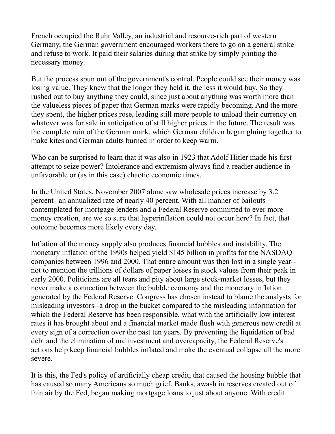French occupied the Ruhr Valley, an industrial and resource-rich part of western Germany, the German government encouraged workers there to go on a general strike and refuse to work. It paid their salaries during that strike by simply printing the necessary money.

But the process spun out of the government's control. People could see their money was losing value. They knew that the longer they held it, the less it would buy. So they rushed out to buy anything they could, since just about anything was worth more than the valueless pieces of paper that German marks were rapidly becoming. And the more they spent, the higher prices rose, leading still more people to unload their currency on whatever was for sale in anticipation of still higher prices in the future. The result was the complete ruin of the German mark, which German children began gluing together to make kites and German adults burned in order to keep warm.

Who can be surprised to learn that it was also in 1923 that Adolf Hitler made his first attempt to seize power? Intolerance and extremism always find a readier audience in unfavorable or (as in this case) chaotic economic times.

In the United States, November 2007 alone saw wholesale prices increase by 3.2 percent--an annualized rate of nearly 40 percent. With all manner of bailouts contemplated for mortgage lenders and a Federal Reserve committed to ever more money creation, are we so sure that hyperinflation could not occur here? In fact, that outcome becomes more likely every day.

Inflation of the money supply also produces financial bubbles and instability. The monetary inflation of the 1990s helped yield \$145 billion in profits for the NASDAQ companies between 1996 and 2000. That entire amount was then lost in a single year- not to mention the trillions of dollars of paper losses in stock values from their peak in early 2000. Politicians are all tears and pity about large stock-market losses, but they never make a connection between the bubble economy and the monetary inflation generated by the Federal Reserve. Congress has chosen instead to blame the analysts for misleading investors--a drop in the bucket compared to the misleading information for which the Federal Reserve has been responsible, what with the artificially low interest rates it has brought about and a financial market made flush with generous new credit at every sign of a correction over the past ten years. By preventing the liquidation of bad debt and the elimination of malinvestment and overcapacity, the Federal Reserve's actions help keep financial bubbles inflated and make the eventual collapse all the more severe.

It is this, the Fed's policy of artificially cheap credit, that caused the housing bubble that has caused so many Americans so much grief. Banks, awash in reserves created out of thin air by the Fed, began making mortgage loans to just about anyone. With credit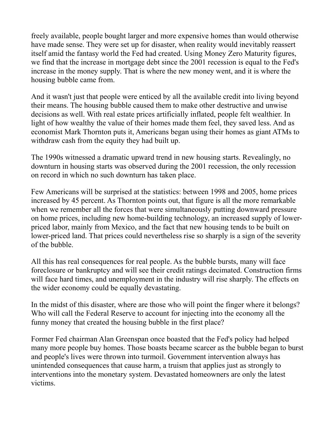freely available, people bought larger and more expensive homes than would otherwise have made sense. They were set up for disaster, when reality would inevitably reassert itself amid the fantasy world the Fed had created. Using Money Zero Maturity figures, we find that the increase in mortgage debt since the 2001 recession is equal to the Fed's increase in the money supply. That is where the new money went, and it is where the housing bubble came from.

And it wasn't just that people were enticed by all the available credit into living beyond their means. The housing bubble caused them to make other destructive and unwise decisions as well. With real estate prices artificially inflated, people felt wealthier. In light of how wealthy the value of their homes made them feel, they saved less. And as economist Mark Thornton puts it, Americans began using their homes as giant ATMs to withdraw cash from the equity they had built up.

The 1990s witnessed a dramatic upward trend in new housing starts. Revealingly, no downturn in housing starts was observed during the 2001 recession, the only recession on record in which no such downturn has taken place.

Few Americans will be surprised at the statistics: between 1998 and 2005, home prices increased by 45 percent. As Thornton points out, that figure is all the more remarkable when we remember all the forces that were simultaneously putting downward pressure on home prices, including new home-building technology, an increased supply of lowerpriced labor, mainly from Mexico, and the fact that new housing tends to be built on lower-priced land. That prices could nevertheless rise so sharply is a sign of the severity of the bubble.

All this has real consequences for real people. As the bubble bursts, many will face foreclosure or bankruptcy and will see their credit ratings decimated. Construction firms will face hard times, and unemployment in the industry will rise sharply. The effects on the wider economy could be equally devastating.

In the midst of this disaster, where are those who will point the finger where it belongs? Who will call the Federal Reserve to account for injecting into the economy all the funny money that created the housing bubble in the first place?

Former Fed chairman Alan Greenspan once boasted that the Fed's policy had helped many more people buy homes. Those boasts became scarcer as the bubble began to burst and people's lives were thrown into turmoil. Government intervention always has unintended consequences that cause harm, a truism that applies just as strongly to interventions into the monetary system. Devastated homeowners are only the latest victims.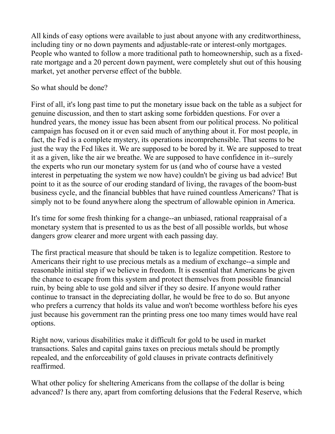All kinds of easy options were available to just about anyone with any creditworthiness, including tiny or no down payments and adjustable-rate or interest-only mortgages. People who wanted to follow a more traditional path to homeownership, such as a fixedrate mortgage and a 20 percent down payment, were completely shut out of this housing market, yet another perverse effect of the bubble.

#### So what should be done?

First of all, it's long past time to put the monetary issue back on the table as a subject for genuine discussion, and then to start asking some forbidden questions. For over a hundred years, the money issue has been absent from our political process. No political campaign has focused on it or even said much of anything about it. For most people, in fact, the Fed is a complete mystery, its operations incomprehensible. That seems to be just the way the Fed likes it. We are supposed to be bored by it. We are supposed to treat it as a given, like the air we breathe. We are supposed to have confidence in it--surely the experts who run our monetary system for us (and who of course have a vested interest in perpetuating the system we now have) couldn't be giving us bad advice! But point to it as the source of our eroding standard of living, the ravages of the boom-bust business cycle, and the financial bubbles that have ruined countless Americans? That is simply not to be found anywhere along the spectrum of allowable opinion in America.

It's time for some fresh thinking for a change--an unbiased, rational reappraisal of a monetary system that is presented to us as the best of all possible worlds, but whose dangers grow clearer and more urgent with each passing day.

The first practical measure that should be taken is to legalize competition. Restore to Americans their right to use precious metals as a medium of exchange--a simple and reasonable initial step if we believe in freedom. It is essential that Americans be given the chance to escape from this system and protect themselves from possible financial ruin, by being able to use gold and silver if they so desire. If anyone would rather continue to transact in the depreciating dollar, he would be free to do so. But anyone who prefers a currency that holds its value and won't become worthless before his eyes just because his government ran the printing press one too many times would have real options.

Right now, various disabilities make it difficult for gold to be used in market transactions. Sales and capital gains taxes on precious metals should be promptly repealed, and the enforceability of gold clauses in private contracts definitively reaffirmed.

What other policy for sheltering Americans from the collapse of the dollar is being advanced? Is there any, apart from comforting delusions that the Federal Reserve, which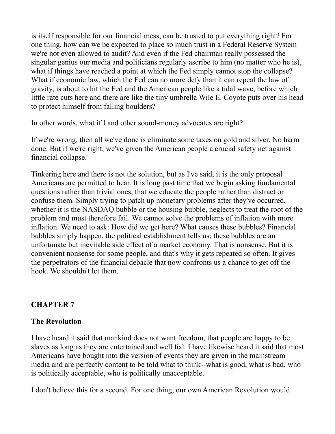is itself responsible for our financial mess, can be trusted to put everything right? For one thing, how can we be expected to place so much trust in a Federal Reserve System we're not even allowed to audit? And even if the Fed chairman really possessed the singular genius our media and politicians regularly ascribe to him (no matter who he is), what if things have reached a point at which the Fed simply cannot stop the collapse? What if economic law, which the Fed can no more defy than it can repeal the law of gravity, is about to hit the Fed and the American people like a tidal wave, before which little rate cuts here and there are like the tiny umbrella Wile E. Coyote puts over his head to protect himself from falling boulders?

In other words, what if I and other sound-money advocates are right?

If we're wrong, then all we've done is eliminate some taxes on gold and silver. No harm done. But if we're right, we've given the American people a crucial safety net against financial collapse.

Tinkering here and there is not the solution, but as I've said, it is the only proposal Americans are permitted to hear. It is long past time that we begin asking fundamental questions rather than trivial ones, that we educate the people rather than distract or confuse them. Simply trying to patch up monetary problems after they've occurred, whether it is the NASDAQ bubble or the housing bubble, neglects to treat the root of the problem and must therefore fail. We cannot solve the problems of inflation with more inflation. We need to ask: How did we get here? What causes these bubbles? Financial bubbles simply happen, the political establishment tells us; these bubbles are an unfortunate but inevitable side effect of a market economy. That is nonsense. But it is convenient nonsense for some people, and that's why it gets repeated so often. It gives the perpetrators of the financial debacle that now confronts us a chance to get off the hook. We shouldn't let them.

# **CHAPTER 7**

# **The Revolution**

I have heard it said that mankind does not want freedom, that people are happy to be slaves as long as they are entertained and well fed. I have likewise heard it said that most Americans have bought into the version of events they are given in the mainstream media and are perfectly content to be told what to think--what is good, what is bad, who is politically acceptable, who is politically unacceptable.

I don't believe this for a second. For one thing, our own American Revolution would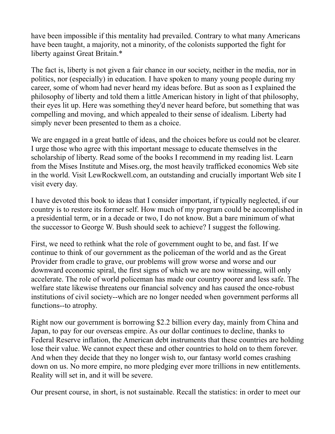have been impossible if this mentality had prevailed. Contrary to what many Americans have been taught, a majority, not a minority, of the colonists supported the fight for liberty against Great Britain.\*

The fact is, liberty is not given a fair chance in our society, neither in the media, nor in politics, nor (especially) in education. I have spoken to many young people during my career, some of whom had never heard my ideas before. But as soon as I explained the philosophy of liberty and told them a little American history in light of that philosophy, their eyes lit up. Here was something they'd never heard before, but something that was compelling and moving, and which appealed to their sense of idealism. Liberty had simply never been presented to them as a choice.

We are engaged in a great battle of ideas, and the choices before us could not be clearer. I urge those who agree with this important message to educate themselves in the scholarship of liberty. Read some of the books I recommend in my reading list. Learn from the Mises Institute and Mises.org, the most heavily trafficked economics Web site in the world. Visit LewRockwell.com, an outstanding and crucially important Web site I visit every day.

I have devoted this book to ideas that I consider important, if typically neglected, if our country is to restore its former self. How much of my program could be accomplished in a presidential term, or in a decade or two, I do not know. But a bare minimum of what the successor to George W. Bush should seek to achieve? I suggest the following.

First, we need to rethink what the role of government ought to be, and fast. If we continue to think of our government as the policeman of the world and as the Great Provider from cradle to grave, our problems will grow worse and worse and our downward economic spiral, the first signs of which we are now witnessing, will only accelerate. The role of world policeman has made our country poorer and less safe. The welfare state likewise threatens our financial solvency and has caused the once-robust institutions of civil society--which are no longer needed when government performs all functions--to atrophy.

Right now our government is borrowing \$2.2 billion every day, mainly from China and Japan, to pay for our overseas empire. As our dollar continues to decline, thanks to Federal Reserve inflation, the American debt instruments that these countries are holding lose their value. We cannot expect these and other countries to hold on to them forever. And when they decide that they no longer wish to, our fantasy world comes crashing down on us. No more empire, no more pledging ever more trillions in new entitlements. Reality will set in, and it will be severe.

Our present course, in short, is not sustainable. Recall the statistics: in order to meet our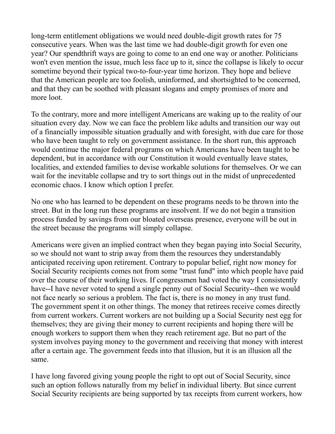long-term entitlement obligations we would need double-digit growth rates for 75 consecutive years. When was the last time we had double-digit growth for even one year? Our spendthrift ways are going to come to an end one way or another. Politicians won't even mention the issue, much less face up to it, since the collapse is likely to occur sometime beyond their typical two-to-four-year time horizon. They hope and believe that the American people are too foolish, uninformed, and shortsighted to be concerned, and that they can be soothed with pleasant slogans and empty promises of more and more loot.

To the contrary, more and more intelligent Americans are waking up to the reality of our situation every day. Now we can face the problem like adults and transition our way out of a financially impossible situation gradually and with foresight, with due care for those who have been taught to rely on government assistance. In the short run, this approach would continue the major federal programs on which Americans have been taught to be dependent, but in accordance with our Constitution it would eventually leave states, localities, and extended families to devise workable solutions for themselves. Or we can wait for the inevitable collapse and try to sort things out in the midst of unprecedented economic chaos. I know which option I prefer.

No one who has learned to be dependent on these programs needs to be thrown into the street. But in the long run these programs are insolvent. If we do not begin a transition process funded by savings from our bloated overseas presence, everyone will be out in the street because the programs will simply collapse.

Americans were given an implied contract when they began paying into Social Security, so we should not want to strip away from them the resources they understandably anticipated receiving upon retirement. Contrary to popular belief, right now money for Social Security recipients comes not from some "trust fund" into which people have paid over the course of their working lives. If congressmen had voted the way I consistently have--I have never voted to spend a single penny out of Social Security--then we would not face nearly so serious a problem. The fact is, there is no money in any trust fund. The government spent it on other things. The money that retirees receive comes directly from current workers. Current workers are not building up a Social Security nest egg for themselves; they are giving their money to current recipients and hoping there will be enough workers to support them when they reach retirement age. But no part of the system involves paying money to the government and receiving that money with interest after a certain age. The government feeds into that illusion, but it is an illusion all the same.

I have long favored giving young people the right to opt out of Social Security, since such an option follows naturally from my belief in individual liberty. But since current Social Security recipients are being supported by tax receipts from current workers, how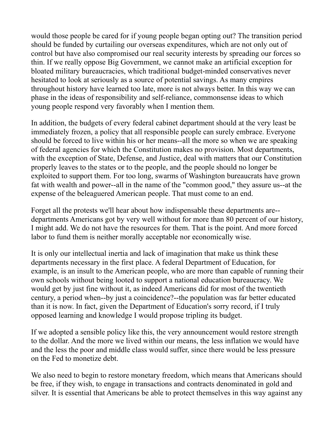would those people be cared for if young people began opting out? The transition period should be funded by curtailing our overseas expenditures, which are not only out of control but have also compromised our real security interests by spreading our forces so thin. If we really oppose Big Government, we cannot make an artificial exception for bloated military bureaucracies, which traditional budget-minded conservatives never hesitated to look at seriously as a source of potential savings. As many empires throughout history have learned too late, more is not always better. In this way we can phase in the ideas of responsibility and self-reliance, commonsense ideas to which young people respond very favorably when I mention them.

In addition, the budgets of every federal cabinet department should at the very least be immediately frozen, a policy that all responsible people can surely embrace. Everyone should be forced to live within his or her means--all the more so when we are speaking of federal agencies for which the Constitution makes no provision. Most departments, with the exception of State, Defense, and Justice, deal with matters that our Constitution properly leaves to the states or to the people, and the people should no longer be exploited to support them. For too long, swarms of Washington bureaucrats have grown fat with wealth and power--all in the name of the "common good," they assure us--at the expense of the beleaguered American people. That must come to an end.

Forget all the protests we'll hear about how indispensable these departments are- departments Americans got by very well without for more than 80 percent of our history, I might add. We do not have the resources for them. That is the point. And more forced labor to fund them is neither morally acceptable nor economically wise.

It is only our intellectual inertia and lack of imagination that make us think these departments necessary in the first place. A federal Department of Education, for example, is an insult to the American people, who are more than capable of running their own schools without being looted to support a national education bureaucracy. We would get by just fine without it, as indeed Americans did for most of the twentieth century, a period when--by just a coincidence?--the population was far better educated than it is now. In fact, given the Department of Education's sorry record, if I truly opposed learning and knowledge I would propose tripling its budget.

If we adopted a sensible policy like this, the very announcement would restore strength to the dollar. And the more we lived within our means, the less inflation we would have and the less the poor and middle class would suffer, since there would be less pressure on the Fed to monetize debt.

We also need to begin to restore monetary freedom, which means that Americans should be free, if they wish, to engage in transactions and contracts denominated in gold and silver. It is essential that Americans be able to protect themselves in this way against any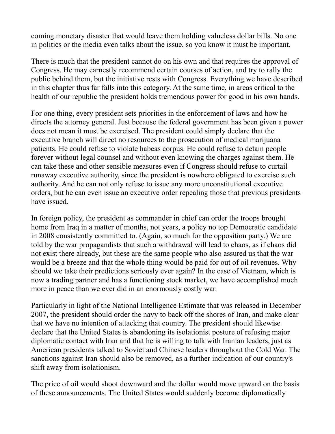coming monetary disaster that would leave them holding valueless dollar bills. No one in politics or the media even talks about the issue, so you know it must be important.

There is much that the president cannot do on his own and that requires the approval of Congress. He may earnestly recommend certain courses of action, and try to rally the public behind them, but the initiative rests with Congress. Everything we have described in this chapter thus far falls into this category. At the same time, in areas critical to the health of our republic the president holds tremendous power for good in his own hands.

For one thing, every president sets priorities in the enforcement of laws and how he directs the attorney general. Just because the federal government has been given a power does not mean it must be exercised. The president could simply declare that the executive branch will direct no resources to the prosecution of medical marijuana patients. He could refuse to violate habeas corpus. He could refuse to detain people forever without legal counsel and without even knowing the charges against them. He can take these and other sensible measures even if Congress should refuse to curtail runaway executive authority, since the president is nowhere obligated to exercise such authority. And he can not only refuse to issue any more unconstitutional executive orders, but he can even issue an executive order repealing those that previous presidents have issued.

In foreign policy, the president as commander in chief can order the troops brought home from Iraq in a matter of months, not years, a policy no top Democratic candidate in 2008 consistently committed to. (Again, so much for the opposition party.) We are told by the war propagandists that such a withdrawal will lead to chaos, as if chaos did not exist there already, but these are the same people who also assured us that the war would be a breeze and that the whole thing would be paid for out of oil revenues. Why should we take their predictions seriously ever again? In the case of Vietnam, which is now a trading partner and has a functioning stock market, we have accomplished much more in peace than we ever did in an enormously costly war.

Particularly in light of the National Intelligence Estimate that was released in December 2007, the president should order the navy to back off the shores of Iran, and make clear that we have no intention of attacking that country. The president should likewise declare that the United States is abandoning its isolationist posture of refusing major diplomatic contact with Iran and that he is willing to talk with Iranian leaders, just as American presidents talked to Soviet and Chinese leaders throughout the Cold War. The sanctions against Iran should also be removed, as a further indication of our country's shift away from isolationism.

The price of oil would shoot downward and the dollar would move upward on the basis of these announcements. The United States would suddenly become diplomatically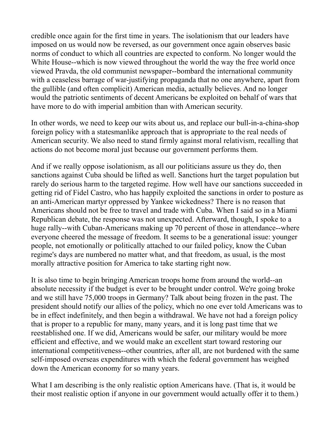credible once again for the first time in years. The isolationism that our leaders have imposed on us would now be reversed, as our government once again observes basic norms of conduct to which all countries are expected to conform. No longer would the White House--which is now viewed throughout the world the way the free world once viewed Pravda, the old communist newspaper--bombard the international community with a ceaseless barrage of war-justifying propaganda that no one anywhere, apart from the gullible (and often complicit) American media, actually believes. And no longer would the patriotic sentiments of decent Americans be exploited on behalf of wars that have more to do with imperial ambition than with American security.

In other words, we need to keep our wits about us, and replace our bull-in-a-china-shop foreign policy with a statesmanlike approach that is appropriate to the real needs of American security. We also need to stand firmly against moral relativism, recalling that actions do not become moral just because our government performs them.

And if we really oppose isolationism, as all our politicians assure us they do, then sanctions against Cuba should be lifted as well. Sanctions hurt the target population but rarely do serious harm to the targeted regime. How well have our sanctions succeeded in getting rid of Fidel Castro, who has happily exploited the sanctions in order to posture as an anti-American martyr oppressed by Yankee wickedness? There is no reason that Americans should not be free to travel and trade with Cuba. When I said so in a Miami Republican debate, the response was not unexpected. Afterward, though, I spoke to a huge rally--with Cuban-Americans making up 70 percent of those in attendance--where everyone cheered the message of freedom. It seems to be a generational issue: younger people, not emotionally or politically attached to our failed policy, know the Cuban regime's days are numbered no matter what, and that freedom, as usual, is the most morally attractive position for America to take starting right now.

It is also time to begin bringing American troops home from around the world--an absolute necessity if the budget is ever to be brought under control. We're going broke and we still have 75,000 troops in Germany? Talk about being frozen in the past. The president should notify our allies of the policy, which no one ever told Americans was to be in effect indefinitely, and then begin a withdrawal. We have not had a foreign policy that is proper to a republic for many, many years, and it is long past time that we reestablished one. If we did, Americans would be safer, our military would be more efficient and effective, and we would make an excellent start toward restoring our international competitiveness--other countries, after all, are not burdened with the same self-imposed overseas expenditures with which the federal government has weighed down the American economy for so many years.

What I am describing is the only realistic option Americans have. (That is, it would be their most realistic option if anyone in our government would actually offer it to them.)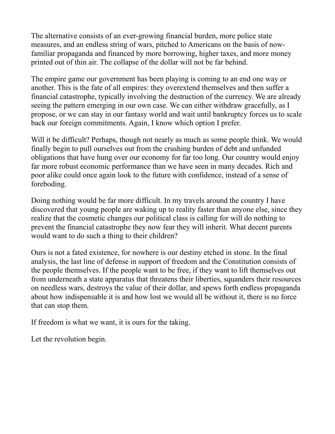The alternative consists of an ever-growing financial burden, more police state measures, and an endless string of wars, pitched to Americans on the basis of nowfamiliar propaganda and financed by more borrowing, higher taxes, and more money printed out of thin air. The collapse of the dollar will not be far behind.

The empire game our government has been playing is coming to an end one way or another. This is the fate of all empires: they overextend themselves and then suffer a financial catastrophe, typically involving the destruction of the currency. We are already seeing the pattern emerging in our own case. We can either withdraw gracefully, as I propose, or we can stay in our fantasy world and wait until bankruptcy forces us to scale back our foreign commitments. Again, I know which option I prefer.

Will it be difficult? Perhaps, though not nearly as much as some people think. We would finally begin to pull ourselves out from the crushing burden of debt and unfunded obligations that have hung over our economy for far too long. Our country would enjoy far more robust economic performance than we have seen in many decades. Rich and poor alike could once again look to the future with confidence, instead of a sense of foreboding.

Doing nothing would be far more difficult. In my travels around the country I have discovered that young people are waking up to reality faster than anyone else, since they realize that the cosmetic changes our political class is calling for will do nothing to prevent the financial catastrophe they now fear they will inherit. What decent parents would want to do such a thing to their children?

Ours is not a fated existence, for nowhere is our destiny etched in stone. In the final analysis, the last line of defense in support of freedom and the Constitution consists of the people themselves. If the people want to be free, if they want to lift themselves out from underneath a state apparatus that threatens their liberties, squanders their resources on needless wars, destroys the value of their dollar, and spews forth endless propaganda about how indispensable it is and how lost we would all be without it, there is no force that can stop them.

If freedom is what we want, it is ours for the taking.

Let the revolution begin.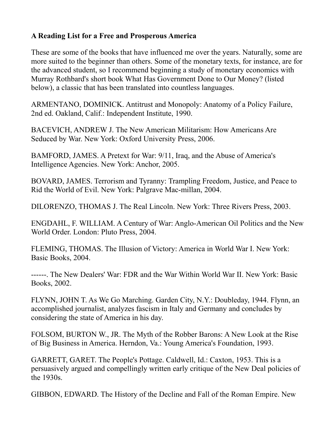# **A Reading List for a Free and Prosperous America**

These are some of the books that have influenced me over the years. Naturally, some are more suited to the beginner than others. Some of the monetary texts, for instance, are for the advanced student, so I recommend beginning a study of monetary economics with Murray Rothbard's short book What Has Government Done to Our Money? (listed below), a classic that has been translated into countless languages.

ARMENTANO, DOMINICK. Antitrust and Monopoly: Anatomy of a Policy Failure, 2nd ed. Oakland, Calif.: Independent Institute, 1990.

BACEVICH, ANDREW J. The New American Militarism: How Americans Are Seduced by War. New York: Oxford University Press, 2006.

BAMFORD, JAMES. A Pretext for War: 9/11, Iraq, and the Abuse of America's Intelligence Agencies. New York: Anchor, 2005.

BOVARD, JAMES. Terrorism and Tyranny: Trampling Freedom, Justice, and Peace to Rid the World of Evil. New York: Palgrave Mac-millan, 2004.

DILORENZO, THOMAS J. The Real Lincoln. New York: Three Rivers Press, 2003.

ENGDAHL, F. WILLIAM. A Century of War: Anglo-American Oil Politics and the New World Order. London: Pluto Press, 2004.

FLEMING, THOMAS. The Illusion of Victory: America in World War I. New York: Basic Books, 2004.

------. The New Dealers' War: FDR and the War Within World War II. New York: Basic Books, 2002.

FLYNN, JOHN T. As We Go Marching. Garden City, N.Y.: Doubleday, 1944. Flynn, an accomplished journalist, analyzes fascism in Italy and Germany and concludes by considering the state of America in his day.

FOLSOM, BURTON W., JR. The Myth of the Robber Barons: A New Look at the Rise of Big Business in America. Herndon, Va.: Young America's Foundation, 1993.

GARRETT, GARET. The People's Pottage. Caldwell, Id.: Caxton, 1953. This is a persuasively argued and compellingly written early critique of the New Deal policies of the 1930s.

GIBBON, EDWARD. The History of the Decline and Fall of the Roman Empire. New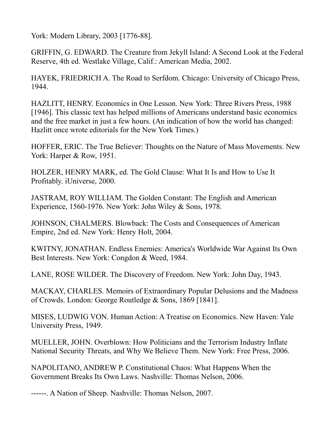York: Modern Library, 2003 [1776-88].

GRIFFIN, G. EDWARD. The Creature from Jekyll Island: A Second Look at the Federal Reserve, 4th ed. Westlake Village, Calif.: American Media, 2002.

HAYEK, FRIEDRICH A. The Road to Serfdom. Chicago: University of Chicago Press, 1944.

HAZLITT, HENRY. Economics in One Lesson. New York: Three Rivers Press, 1988 [1946]. This classic text has helped millions of Americans understand basic economics and the free market in just a few hours. (An indication of how the world has changed: Hazlitt once wrote editorials for the New York Times.)

HOFFER, ERIC. The True Believer: Thoughts on the Nature of Mass Movements. New York: Harper & Row, 1951.

HOLZER, HENRY MARK, ed. The Gold Clause: What It Is and How to Use It Profitably. iUniverse, 2000.

JASTRAM, ROY WILLIAM. The Golden Constant: The English and American Experience, 1560-1976. New York: John Wiley & Sons, 1978.

JOHNSON, CHALMERS. Blowback: The Costs and Consequences of American Empire, 2nd ed. New York: Henry Holt, 2004.

KWITNY, JONATHAN. Endless Enemies: America's Worldwide War Against Its Own Best Interests. New York: Congdon & Weed, 1984.

LANE, ROSE WILDER. The Discovery of Freedom. New York: John Day, 1943.

MACKAY, CHARLES. Memoirs of Extraordinary Popular Delusions and the Madness of Crowds. London: George Routledge & Sons, 1869 [1841].

MISES, LUDWIG VON. Human Action: A Treatise on Economics. New Haven: Yale University Press, 1949.

MUELLER, JOHN. Overblown: How Politicians and the Terrorism Industry Inflate National Security Threats, and Why We Believe Them. New York: Free Press, 2006.

NAPOLITANO, ANDREW P. Constitutional Chaos: What Happens When the Government Breaks Its Own Laws. Nashville: Thomas Nelson, 2006.

------. A Nation of Sheep. Nashville: Thomas Nelson, 2007.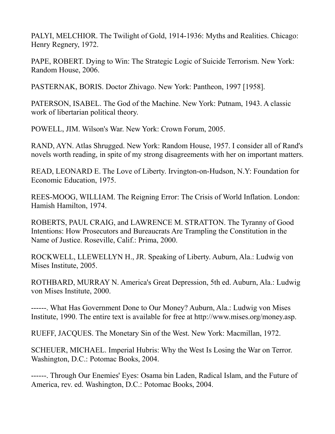PALYI, MELCHIOR. The Twilight of Gold, 1914-1936: Myths and Realities. Chicago: Henry Regnery, 1972.

PAPE, ROBERT. Dying to Win: The Strategic Logic of Suicide Terrorism. New York: Random House, 2006.

PASTERNAK, BORIS. Doctor Zhivago. New York: Pantheon, 1997 [1958].

PATERSON, ISABEL. The God of the Machine. New York: Putnam, 1943. A classic work of libertarian political theory.

POWELL, JIM. Wilson's War. New York: Crown Forum, 2005.

RAND, AYN. Atlas Shrugged. New York: Random House, 1957. I consider all of Rand's novels worth reading, in spite of my strong disagreements with her on important matters.

READ, LEONARD E. The Love of Liberty. Irvington-on-Hudson, N.Y: Foundation for Economic Education, 1975.

REES-MOOG, WILLIAM. The Reigning Error: The Crisis of World Inflation. London: Hamish Hamilton, 1974.

ROBERTS, PAUL CRAIG, and LAWRENCE M. STRATTON. The Tyranny of Good Intentions: How Prosecutors and Bureaucrats Are Trampling the Constitution in the Name of Justice. Roseville, Calif.: Prima, 2000.

ROCKWELL, LLEWELLYN H., JR. Speaking of Liberty. Auburn, Ala.: Ludwig von Mises Institute, 2005.

ROTHBARD, MURRAY N. America's Great Depression, 5th ed. Auburn, Ala.: Ludwig von Mises Institute, 2000.

------. What Has Government Done to Our Money? Auburn, Ala.: Ludwig von Mises Institute, 1990. The entire text is available for free at http://www.mises.org/money.asp.

RUEFF, JACQUES. The Monetary Sin of the West. New York: Macmillan, 1972.

SCHEUER, MICHAEL. Imperial Hubris: Why the West Is Losing the War on Terror. Washington, D.C.: Potomac Books, 2004.

------. Through Our Enemies' Eyes: Osama bin Laden, Radical Islam, and the Future of America, rev. ed. Washington, D.C.: Potomac Books, 2004.